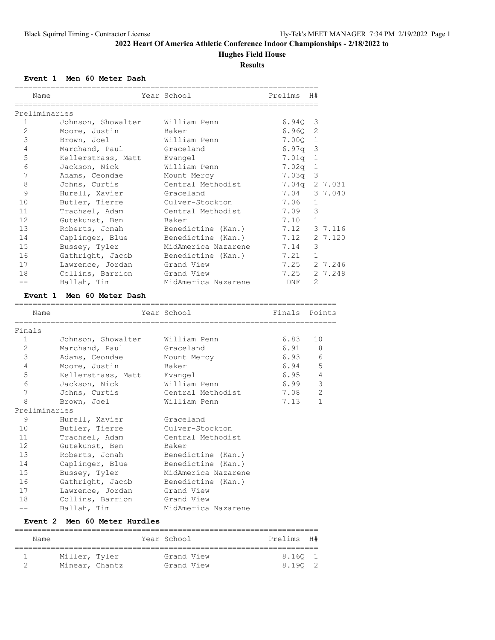### **Hughes Field House**

**Results**

#### **Event 1 Men 60 Meter Dash**

|              | Name                      | Year School         | Prelims       | H#             |
|--------------|---------------------------|---------------------|---------------|----------------|
|              | Preliminaries             |                     |               |                |
| $\mathbf{1}$ | Johnson, Showalter        | William Penn        | 6.94Q         | 3              |
| 2            | Moore, Justin             | Baker               | 6.960         | 2              |
| 3            | Brown, Joel               | William Penn        | 7.000         | $\mathbf{1}$   |
| 4            | Marchand, Paul            | Graceland           | 6.97q         | 3              |
| 5            | Kellerstrass, Matt        | Evangel             | 7.01q         | 1              |
| 6            | Jackson, Nick             | William Penn        | 7.02q         | $\mathbf{1}$   |
| 7            | Adams, Ceondae            | Mount Mercy         | 7.03q         | 3              |
| 8            | Johns, Curtis             | Central Methodist   | 7.04q         | 2 7.031        |
| 9            | Hurell, Xavier            | Graceland           | 7.04          | 3 7.040        |
| 10           | Butler, Tierre            | Culver-Stockton     | 7.06          | $\mathbf{1}$   |
| 11           | Trachsel, Adam            | Central Methodist   | 7.09          | 3              |
| 12           | Gutekunst, Ben            | Baker               | 7.10          | $\mathbf{1}$   |
| 13           | Roberts, Jonah            | Benedictine (Kan.)  | 7.12          | 3 7.116        |
| 14           | Caplinger, Blue           | Benedictine (Kan.)  | 7.12          | 2 7.120        |
| 15           | Bussey, Tyler             | MidAmerica Nazarene | 7.14          | 3              |
| 16           | Gathright, Jacob          | Benedictine (Kan.)  | 7.21          | $\mathbf{1}$   |
| 17           | Lawrence, Jordan          | Grand View          | 7.25          | 2 7.246        |
| 18           | Collins, Barrion          | Grand View          | 7.25          | 2 7.248        |
| $- -$        | Ballah, Tim               | MidAmerica Nazarene | DNF           | 2              |
|              | Event 1 Men 60 Meter Dash |                     |               |                |
|              | Name                      | Year School         | Finals Points |                |
| Finals       |                           |                     |               |                |
| $\mathbf{1}$ | Johnson, Showalter        | William Penn        | 6.83          | 10             |
| $\mathbf{2}$ | Marchand, Paul            | Graceland           | 6.91          | 8              |
| 3            | Adams, Ceondae            | Mount Mercy         | 6.93          | 6              |
| 4            | Moore, Justin             | Baker               | 6.94          | 5              |
| 5            | Kellerstrass, Matt        | Evangel             | 6.95          | $\overline{4}$ |
| 6            | Jackson, Nick             | William Penn        | 6.99          | 3              |
| 7            | Johns, Curtis             | Central Methodist   | 7.08          | 2              |
| 8            | Brown, Joel               | William Penn        | 7.13          | $\mathbf 1$    |
|              | Preliminaries             |                     |               |                |
| 9            | Hurell, Xavier            | Graceland           |               |                |
| 10           | Butler, Tierre            | Culver-Stockton     |               |                |
| 11           | Trachsel, Adam            | Central Methodist   |               |                |
| 12           | Gutekunst, Ben            | Baker               |               |                |
| 13           | Roberts, Jonah            | Benedictine (Kan.)  |               |                |
| 14           | Caplinger, Blue           | Benedictine (Kan.)  |               |                |
| 15           | Bussey, Tyler             | MidAmerica Nazarene |               |                |
| 16           | Gathright, Jacob          | Benedictine (Kan.)  |               |                |

|       |                  | ____________        |
|-------|------------------|---------------------|
| 17    | Lawrence, Jordan | Grand View          |
| 18    | Collins, Barrion | Grand View          |
| $- -$ | Ballah, Tim      | MidAmerica Nazarene |

### **Event 2 Men 60 Meter Hurdles**

| Name           |  | Year School | Prelims H# |  |
|----------------|--|-------------|------------|--|
| Miller, Tyler  |  | Grand View  | 8.160 1    |  |
| Minear, Chantz |  | Grand View  | 8.190 2    |  |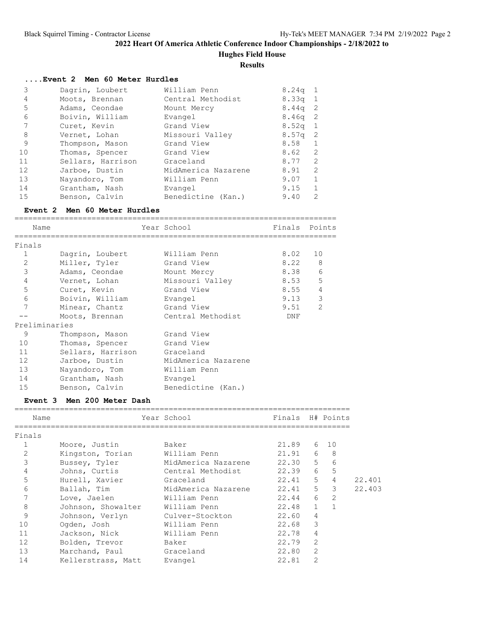**Hughes Field House**

**Results**

#### **....Event 2 Men 60 Meter Hurdles**

| 3  | Dagrin, Loubert   | William Penn        | $8.24q$ 1         |              |
|----|-------------------|---------------------|-------------------|--------------|
| 4  | Moots, Brennan    | Central Methodist   | 8.33 <sub>q</sub> | - 1          |
| 5  | Adams, Ceondae    | Mount Mercy         | 8.44a             | -2           |
| 6  | Boivin, William   | Evangel             | $8.46q$ 2         |              |
| 7  | Curet, Kevin      | Grand View          | $8.52q$ 1         |              |
| 8  | Vernet, Lohan     | Missouri Valley     | 8.57 <sub>q</sub> | -2           |
| 9  | Thompson, Mason   | Grand View          | 8.58              |              |
| 10 | Thomas, Spencer   | Grand View          | 8.62              | 2            |
| 11 | Sellars, Harrison | Graceland           | 8.77              | 2            |
| 12 | Jarboe, Dustin    | MidAmerica Nazarene | 8.91              | 2            |
| 13 | Nayandoro, Tom    | William Penn        | 9.07              | $\mathbf{1}$ |
| 14 | Grantham, Nash    | Evangel             | 9.15              |              |
| 15 | Benson, Calvin    | Benedictine (Kan.)  | 9.40              | 2            |

#### **Event 2 Men 60 Meter Hurdles**

|                | Name              | Year School         | Finals Points |                |
|----------------|-------------------|---------------------|---------------|----------------|
|                |                   |                     |               |                |
| Finals         |                   |                     |               |                |
| $\mathbf{1}$   | Dagrin, Loubert   | William Penn        | 8.02          | 10             |
| 2              | Miller, Tyler     | Grand View          | 8.22          | 8              |
| 3              | Adams, Ceondae    | Mount Mercy         | 8.38          | 6              |
| $\overline{4}$ | Vernet, Lohan     | Missouri Valley     | 8.53          | 5              |
| 5              | Curet, Kevin      | Grand View          | 8.55          | $\overline{4}$ |
| 6              | Boivin, William   | Evangel             | 9.13          | 3              |
| 7              | Minear, Chantz    | Grand View          | 9.51          | $\overline{2}$ |
|                | Moots, Brennan    | Central Methodist   | DNF           |                |
|                | Preliminaries     |                     |               |                |
| 9              | Thompson, Mason   | Grand View          |               |                |
| 10             | Thomas, Spencer   | Grand View          |               |                |
| 11             | Sellars, Harrison | Graceland           |               |                |
| 12             | Jarboe, Dustin    | MidAmerica Nazarene |               |                |
| 13             | Nayandoro, Tom    | William Penn        |               |                |
| 14             | Grantham, Nash    | Evangel             |               |                |
| 15             | Benson, Calvin    | Benedictine (Kan.)  |               |                |

#### **Event 3 Men 200 Meter Dash**

| Name           |                    | Year School         | Finals H# Points |                |                |        |
|----------------|--------------------|---------------------|------------------|----------------|----------------|--------|
| Finals         |                    |                     |                  |                |                |        |
| 1              | Moore, Justin      | Baker               | 21.89            |                | 6 10           |        |
| $\overline{2}$ | Kingston, Torian   | William Penn        | $21.91$ 6        |                | $_{\rm 8}$     |        |
| 3              | Bussey, Tyler      | MidAmerica Nazarene | $22.30\quad 5$   |                | 6              |        |
| 4              | Johns, Curtis      | Central Methodist   | 22.39            | 6              | $-5$           |        |
| 5              | Hurell, Xavier     | Graceland           | $22.41$ 5        |                | $\overline{4}$ | 22.401 |
| 6              | Ballah, Tim        | MidAmerica Nazarene | $22.41$ 5 3      |                |                | 22.403 |
| 7              | Love, Jaelen       | William Penn        | $22.44$ 6 2      |                |                |        |
| 8              | Johnson, Showalter | William Penn        | 22.48 1          |                |                |        |
| 9              | Johnson, Verlyn    | Culver-Stockton     | 22.60            | $\overline{4}$ |                |        |
| 10             | Ogden, Josh        | William Penn        | 22.68            | 3              |                |        |
| 11             | Jackson, Nick      | William Penn        | 22.78            | $\overline{4}$ |                |        |
| 12             | Bolden, Trevor     | Baker               | 22.79            | 2              |                |        |
| 13             | Marchand, Paul     | Graceland           | 22.80            | 2              |                |        |
| 14             | Kellerstrass, Matt | Evangel             | 22.81            | $\overline{2}$ |                |        |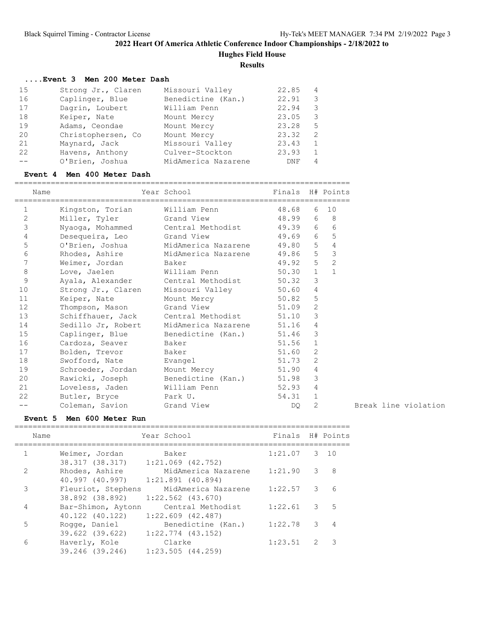**Hughes Field House**

**Results**

### **....Event 3 Men 200 Meter Dash**

| 15 | Strong Jr., Claren | Missouri Valley     | 22.85 | $\overline{4}$ |
|----|--------------------|---------------------|-------|----------------|
| 16 | Caplinger, Blue    | Benedictine (Kan.)  | 22.91 | 3              |
| 17 | Dagrin, Loubert    | William Penn        | 22.94 | 3              |
| 18 | Keiper, Nate       | Mount Mercy         | 23.05 | 3              |
| 19 | Adams, Ceondae     | Mount Mercy         | 23.28 | .5             |
| 20 | Christophersen, Co | Mount Mercy         | 23.32 | 2              |
| 21 | Maynard, Jack      | Missouri Valley     | 23.43 |                |
| 22 | Havens, Anthony    | Culver-Stockton     | 23.93 |                |
|    | O'Brien, Joshua    | MidAmerica Nazarene | DNF   | 4              |

#### **Event 4 Men 400 Meter Dash**

|                   | Name |                              | Year School                                   | Finals H# Points |                |                         |
|-------------------|------|------------------------------|-----------------------------------------------|------------------|----------------|-------------------------|
| $\mathbf{1}$      |      | Kingston, Torian             | William Penn                                  | 48.68 6 10       |                |                         |
| 2                 |      | Miller, Tyler Grand View     |                                               | 48.99 6 8        |                |                         |
| $\mathsf 3$       |      | Nyaoga, Mohammed             | Central Methodist 49.39 6 6                   |                  |                |                         |
| $\sqrt{4}$        |      | Desequeira, Leo Grand View   |                                               | 49.69 6 5        |                |                         |
| 5                 |      |                              | O'Brien, Joshua MidAmerica Nazarene 49.80 5 4 |                  |                |                         |
| 6                 |      |                              | Rhodes, Ashire MidAmerica Nazarene 49.86 5    |                  |                | $\overline{\mathbf{3}}$ |
| 7                 |      | Weimer, Jordan Baker         |                                               | 49.92 5          |                | $\overline{c}$          |
| 8                 |      | Love, Jaelen William Penn    |                                               | 50.30            | $\mathbf{1}$   | $\mathbf{1}$            |
| 9                 |      | Ayala, Alexander             | Central Methodist 50.32                       |                  | 3              |                         |
| 10                |      | Strong Jr., Claren           | Missouri Valley                               | 50.60            | $\overline{4}$ |                         |
| 11                |      | Keiper, Nate                 | Mount Mercy                                   | 50.82            | 5              |                         |
| $12 \overline{ }$ |      | Thompson, Mason              | Grand View                                    | 51.09            | 2              |                         |
| 13                |      |                              | Schiffhauer, Jack Central Methodist 51.10     |                  | $\mathbf{3}$   |                         |
| 14                |      | Sedillo Jr, Robert           | MidAmerica Nazarene 51.16                     |                  | $\overline{4}$ |                         |
| 15                |      |                              | Caplinger, Blue Benedictine (Kan.) 51.46      |                  | $\mathcal{S}$  |                         |
| 16                |      | Cardoza, Seaver              | Baker                                         | 51.56            | $\mathbf{1}$   |                         |
| 17                |      | Bolden, Trevor               | Baker                                         | 51.60            | 2              |                         |
| 18                |      | Swofford, Nate               | Evangel                                       | 51.73            | 2              |                         |
| 19                |      | Schroeder, Jordan            | Mount Mercy                                   | 51.90            | $\overline{4}$ |                         |
| 20                |      | Rawicki, Joseph              | Benedictine (Kan.) 51.98                      |                  | 3              |                         |
| 21                |      | Loveless, Jaden William Penn |                                               | 52.93            | $\overline{4}$ |                         |
| 22                |      | Butler, Bryce Park U.        |                                               | 54.31            | $\mathbf{1}$   |                         |
| --                |      | Coleman, Savion Grand View   |                                               | DO.              | $\overline{2}$ |                         |

O<sub>2</sub> 2 Break line violation

# **Event 5 Men 600 Meter Run**

| Name          |                                   | Year School           | Finals H# Points |               |                 |
|---------------|-----------------------------------|-----------------------|------------------|---------------|-----------------|
|               |                                   |                       |                  |               |                 |
| 1             | Weimer, Jordan                    | Baker                 | 1:21.07          | 3 10          |                 |
|               | 38.317 (38.317)                   | $1:21.069$ (42.752)   |                  |               |                 |
| $\mathcal{L}$ | Rhodes, Ashire                    | MidAmerica Nazarene   | 1:21.90 3        |               | - 8             |
|               | 40.997 (40.997) 1:21.891 (40.894) |                       |                  |               |                 |
| 3             | Fleuriot, Stephens                | MidAmerica Nazarene   | $1:22.57$ 3      |               | $6\overline{6}$ |
|               | 38.892 (38.892)                   | 1:22.562 (43.670)     |                  |               |                 |
| 4             | Bar-Shimon, Aytonn                | Central Methodist     | $1:22.61$ 3 5    |               |                 |
|               | 40.122 (40.122)                   | $1:22.609$ (42.487)   |                  |               |                 |
| 5             | Rogge, Daniel                     | Benedictine (Kan.)    | $1:22.78$ 3      |               |                 |
|               | 39.622 (39.622)                   | $1:22.774$ (43.152)   |                  |               |                 |
| 6             | Haverly, Kole                     | Clarke                | 1:23.51          | $\mathcal{L}$ |                 |
|               | 39.246 (39.246)                   | $1:23.505$ $(44.259)$ |                  |               |                 |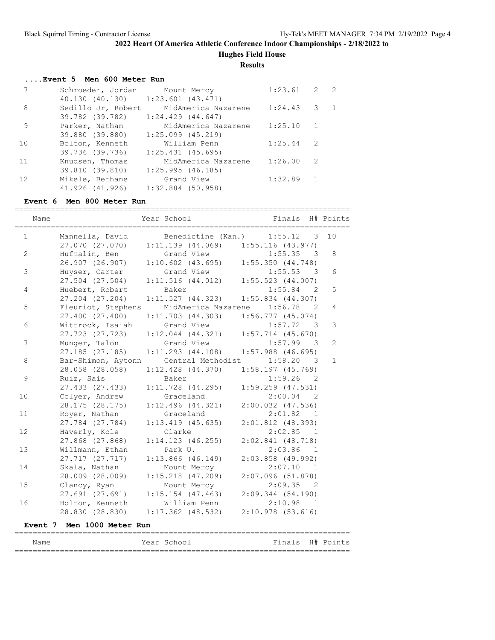**Hughes Field House**

**Results**

#### **....Event 5 Men 600 Meter Run**

| 7  | Schroeder, Jordan  | Mount Mercy           | 1:23.61 | $\overline{2}$ | $\overline{2}$ |
|----|--------------------|-----------------------|---------|----------------|----------------|
|    | 40.130 (40.130)    | $1:23.601$ $(43.471)$ |         |                |                |
| 8  | Sedillo Jr, Robert | MidAmerica Nazarene   | 1:24.43 | - 3            | -1             |
|    | 39.782 (39.782)    | $1:24.429$ $(44.647)$ |         |                |                |
| 9  | Parker, Nathan     | MidAmerica Nazarene   | 1:25.10 | 1              |                |
|    | 39.880 (39.880)    | $1:25.099$ (45.219)   |         |                |                |
| 10 | Bolton, Kenneth    | William Penn          | 1:25.44 | 2              |                |
|    | 39.736 (39.736)    | $1:25.431$ (45.695)   |         |                |                |
| 11 | Knudsen, Thomas    | MidAmerica Nazarene   | 1:26.00 | -2             |                |
|    | 39.810 (39.810)    | 1:25.995(46.185)      |         |                |                |
| 12 | Mikele, Berhane    | Grand View            | 1:32.89 |                |                |
|    | 41.926 (41.926)    | $1:32.884$ (50.958)   |         |                |                |

#### **Event 6 Men 800 Meter Run**

| Name         |                                     | Year School                                           | Finals                              | H# Points      |
|--------------|-------------------------------------|-------------------------------------------------------|-------------------------------------|----------------|
| $\mathbf{1}$ | Mannella, David                     | Benedictine (Kan.)                                    | 1:55.12<br>3                        | 10             |
| 2            | 27.070 (27.070)<br>Huftalin, Ben    | $1:11.139$ (44.069) $1:55.116$ (43.977)<br>Grand View | 1:55.35<br>$\overline{\phantom{a}}$ | 8              |
|              | 26.907 (26.907)                     | $1:10.602$ (43.695) $1:55.350$ (44.748)               |                                     |                |
| 3            | Huyser, Carter                      | Grand View                                            | $1:55.53$ 3                         | 6              |
|              | 27.504 (27.504)                     | $1:11.516$ (44.012) $1:55.523$ (44.007)               |                                     |                |
| 4            | Huebert, Robert                     | Baker                                                 | 1:55.84<br>2                        | 5              |
|              | 27.204 (27.204)                     | 1:11.527(44.323)                                      | $1:55.834$ (44.307)                 |                |
| 5            | Fleuriot, Stephens                  | MidAmerica Nazarene                                   | 1:56.78<br>2                        | $\overline{4}$ |
| 6            | 27.400 (27.400)                     | $1:11.703$ (44.303)                                   | 1:56.777(45.074)                    | 3              |
|              | Wittrock, Isaiah<br>27.723 (27.723) | Grand View<br>$1:12.044$ $(44.321)$                   | $1:57.72$ 3<br>$1:57.714$ (45.670)  |                |
| 7            | Munger, Talon                       | Grand View                                            | $1:57.99$ 3                         | $\overline{2}$ |
|              | 27.185 (27.185)                     | $1:11.293$ $(44.108)$                                 | $1:57.988$ (46.695)                 |                |
| 8            | Bar-Shimon, Aytonn                  | Central Methodist                                     | $1:58.20$ 3                         | $\mathbf{1}$   |
|              | 28.058 (28.058)                     | $1:12.428$ $(44.370)$                                 | 1:58.197(45.769)                    |                |
| 9            | Ruiz, Sais                          | Baker                                                 | $1:59.26$ 2                         |                |
|              | 27.433 (27.433)                     | $1:11.728$ (44.295)                                   | $1:59.259$ $(47.531)$               |                |
| 10           | Colyer, Andrew                      | Graceland                                             | $2:00.04$ 2                         |                |
|              | 28.175 (28.175)                     | $1:12.496$ $(44.321)$                                 | $2:00.032$ $(47.536)$               |                |
| 11           | Royer, Nathan                       | Graceland                                             | 2:01.82 1                           |                |
|              | 27.784 (27.784)                     | $1:13.419$ (45.635)                                   | $2:01.812$ (48.393)                 |                |
| 12           | Haverly, Kole                       | Clarke                                                | 2:02.85 1                           |                |
| 13           | 27.868 (27.868)                     | $1:14.123$ (46.255)                                   | $2:02.841$ (48.718)                 |                |
|              | Willmann, Ethan<br>27.717 (27.717)  | Park U.<br>$1:13.866$ (46.149)                        | $2:03.86$ 1<br>$2:03.858$ (49.992)  |                |
| 14           | Skala, Nathan                       | Mount Mercy                                           | 2:07.10<br>$\overline{\phantom{1}}$ |                |
|              | 28.009 (28.009)                     | $1:15.218$ $(47.209)$                                 | $2:07.096$ (51.878)                 |                |
| 15           | Clancy, Ryan                        | Mount Mercy                                           | 2:09.35 2                           |                |
|              | 27.691 (27.691)                     | $1:15.154$ (47.463)                                   | 2:09.344(54.190)                    |                |
| 16           | Bolton, Kenneth                     | William Penn                                          | 2:10.98 1                           |                |
|              | 28.830 (28.830)                     | $1:17.362$ (48.532)                                   | $2:10.978$ (53.616)                 |                |
|              | Event 7 Men 1000 Meter Run          |                                                       |                                     |                |
| Name         |                                     | Year School                                           | Finals H# Points                    |                |
|              |                                     |                                                       |                                     |                |

==========================================================================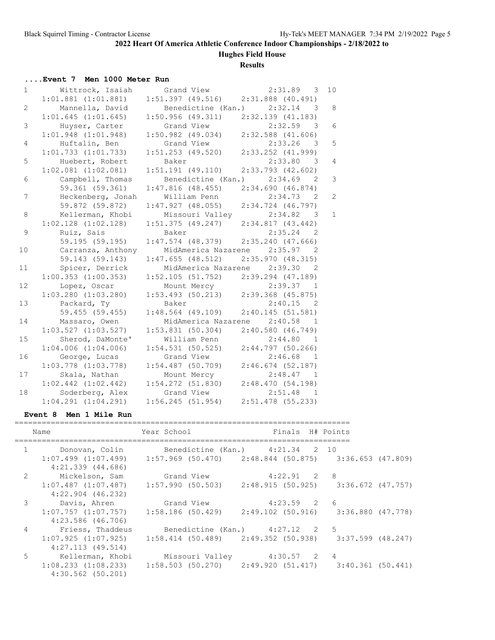# **Hughes Field House**

### **Results**

# **....Event 7 Men 1000 Meter Run**

| $\mathbf{1}$   | Wittrock, Isaiah        | Grand View                              | $2:31.89$ 3                        | 10 <sup>°</sup> |
|----------------|-------------------------|-----------------------------------------|------------------------------------|-----------------|
|                | $1:01.881$ $(1:01.881)$ | $1:51.397$ (49.516) $2:31.888$ (40.491) |                                    |                 |
| $\overline{2}$ | Mannella, David         |                                         | Benedictine (Kan.) 2:32.14 3       | 8               |
|                | 1:01.645(1:01.645)      | $1:50.956$ (49.311) $2:32.139$ (41.183) |                                    |                 |
| 3              | Huyser, Carter          | Grand View                              | 2:32.59<br>$\overline{\mathbf{3}}$ | 6               |
|                | $1:01.948$ $(1:01.948)$ | $1:50.982$ (49.034) $2:32.588$ (41.606) |                                    |                 |
| $\overline{4}$ | Huftalin, Ben           | Grand View                              | $2:33.26$ 3                        | 5               |
|                | $1:01.733$ $(1:01.733)$ | 1:51.253 (49.520)                       | $2:33.252$ $(41.999)$              |                 |
| 5              | Huebert, Robert         | Baker                                   | 2:33.80 3                          | $\overline{4}$  |
|                | $1:02.081$ $(1:02.081)$ | $1:51.191$ (49.110)                     | $2:33.793$ (42.602)                |                 |
| 6              | Campbell, Thomas        |                                         | Benedictine (Kan.) 2:34.69 2       | 3               |
|                | 59.361 (59.361)         | $1:47.816$ (48.455) $2:34.690$ (46.874) |                                    |                 |
| 7              | Heckenberg, Jonah       | William Penn                            | $2:34.73$ 2                        | $\overline{c}$  |
|                | 59.872 (59.872)         | 1:47.927(48.055)                        | $2:34.724$ (46.797)                |                 |
| 8              | Kellerman, Khobi        | Missouri Valley                         | 2:34.82 3                          | $\mathbf{1}$    |
|                | $1:02.128$ $(1:02.128)$ | 1:51.375(49.247)                        | 2:34.817(43.442)                   |                 |
| 9              | Ruiz, Sais              | Baker                                   | 2:35.24 2                          |                 |
|                | 59.195 (59.195)         | $1:47.574$ (48.379) $2:35.240$ (47.666) |                                    |                 |
| 10             | Carranza, Anthony       | MidAmerica Nazarene 2:35.97             | $\overline{2}$                     |                 |
|                | 59.143 (59.143)         | $1:47.655$ (48.512) $2:35.970$ (48.315) |                                    |                 |
| 11             | Spicer, Derrick         | MidAmerica Nazarene 2:39.30             | $\overline{2}$                     |                 |
|                | $1:00.353$ $(1:00.353)$ | $1:52.105$ (51.752) $2:39.294$ (47.189) |                                    |                 |
| 12             | Lopez, Oscar            |                                         | Mount Mercy 2:39.37 1              |                 |
|                | $1:03.280$ $(1:03.280)$ | $1:53.493$ (50.213) 2:39.368 (45.875)   |                                    |                 |
| 13             | Packard, Ty             | Baker                                   | $2:40.15$ 2                        |                 |
|                | 59.455 (59.455)         | $1:48.564$ (49.109)                     | 2:40.145(51.581)                   |                 |
| 14             | Massaro, Owen           |                                         | MidAmerica Nazarene 2:40.58 1      |                 |
|                | $1:03.527$ $(1:03.527)$ | 1:53.831(50.304)                        | 2:40.580(46.749)                   |                 |
| 15             | Sherod, DaMonte'        | William Penn                            | 2:44.80 1                          |                 |
|                | $1:04.006$ $(1:04.006)$ | 1:54.531(50.525)                        | $2:44.797$ (50.266)                |                 |
| 16             | George, Lucas           | Grand View                              | $2:46.68$ 1                        |                 |
|                | $1:03.778$ $(1:03.778)$ | $1:54.487$ (50.709)                     | $2:46.674$ (52.187)                |                 |
| 17             | Skala, Nathan           | Mount Mercy                             | $2:48.47$ 1                        |                 |
|                | $1:02.442$ $(1:02.442)$ | $1:54.272$ $(51.830)$                   | 2:48.470(54.198)                   |                 |
| 18             | Soderberg, Alex         | Grand View                              | $2:51.48$ 1                        |                 |
|                | $1:04.291$ $(1:04.291)$ | $1:56.245$ (51.954) $2:51.478$ (55.233) |                                    |                 |

#### **Event 8 Men 1 Mile Run**

| Name                                                               | Year School International                                                                 | Finals H# Points |  |
|--------------------------------------------------------------------|-------------------------------------------------------------------------------------------|------------------|--|
| 1 Donovan, Colin Benedictine (Kan.) 4:21.34 2 10                   |                                                                                           |                  |  |
| $4:21.339$ $(44.686)$                                              | $1:07.499$ $(1:07.499)$ $1:57.969$ $(50.470)$ $2:48.844$ $(50.875)$ $3:36.653$ $(47.809)$ |                  |  |
| 2 Mickelson, Sam Grand View 4:22.91 2 8                            |                                                                                           |                  |  |
| $4:22.904$ $(46.232)$                                              | $1:07.487$ (1:07.487) 1:57.990 (50.503) 2:48.915 (50.925) 3:36.672 (47.757)               |                  |  |
| 3 Davis, Ahren Grand View 4:23.59 2 6                              |                                                                                           |                  |  |
| 4:23.586 (46.706)                                                  | $1:07.757$ $(1:07.757)$ $1:58.186$ $(50.429)$ $2:49.102$ $(50.916)$ $3:36.880$ $(47.778)$ |                  |  |
| 4 Friess, Thaddeus                                                 | Benedictine (Kan.) 4:27.12 2 5                                                            |                  |  |
| 4:27.113(49.514)                                                   | $1:07.925$ (1:07.925) 1:58.414 (50.489) 2:49.352 (50.938) 3:37.599 (48.247)               |                  |  |
| 5 Kellerman, Khobi     Missouri Valley         4:30.57     2     4 |                                                                                           |                  |  |
| $4:30.562$ $(50.201)$                                              | $1:08.233$ $(1:08.233)$ $1:58.503$ $(50.270)$ $2:49.920$ $(51.417)$ $3:40.361$ $(50.441)$ |                  |  |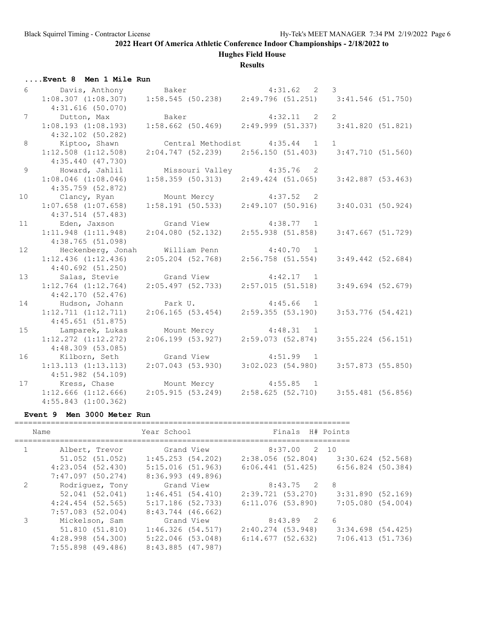# **Hughes Field House**

### **Results**

| Event 8 Men 1 Mile Run |  |  |  |
|------------------------|--|--|--|
|------------------------|--|--|--|

|                 | 6 Davis, Anthony Baker 4:31.62 2 3<br>1:08.307 (1:08.307) 1:58.545 (50.238) 2:49.796 (51.251) 3:41.546 (51.750) |                               |                                                             |                     |
|-----------------|-----------------------------------------------------------------------------------------------------------------|-------------------------------|-------------------------------------------------------------|---------------------|
|                 | 4:31.616(50.070)                                                                                                |                               |                                                             |                     |
| $7\overline{ }$ | Dutton, Max                                                                                                     | Baker                         | $4:32.11$ 2 2                                               |                     |
|                 | 1:08.193(1:08.193)                                                                                              |                               | $1:58.662$ (50.469) $2:49.999$ (51.337) 3:41.820 (51.821)   |                     |
|                 | $4:32.102$ (50.282)                                                                                             |                               |                                                             |                     |
| 8               | Kiptoo, Shawn                                                                                                   | Central Methodist 4:35.44 1 1 |                                                             |                     |
|                 | $1:12.508$ $(1:12.508)$                                                                                         |                               | $2:04.747$ (52.239) $2:56.150$ (51.403) $3:47.710$ (51.560) |                     |
|                 | 4:35.440(47.730)                                                                                                |                               |                                                             |                     |
| $\mathcal{G}$   | Howard, Jahlil                                                                                                  | Missouri Valley 4:35.76 2     |                                                             |                     |
|                 | $1:08.046$ $(1:08.046)$                                                                                         |                               | $1:58.359$ (50.313) $2:49.424$ (51.065)                     | $3:42.887$ (53.463) |
|                 | 4:35.759 (52.872)                                                                                               |                               |                                                             |                     |
| 10 <sup>°</sup> | Clancy, Ryan Mount Mercy 4:37.52 2                                                                              |                               |                                                             |                     |
|                 | $1:07.658$ $(1:07.658)$                                                                                         |                               | $1:58.191(50.533)$ $2:49.107(50.916)$                       | 3:40.031(50.924)    |
|                 | 4:37.514 (57.483)                                                                                               |                               |                                                             |                     |
| 11              | Eden, Jaxson Grand View 4:38.77 1                                                                               |                               |                                                             |                     |
|                 | $1:11.948$ $(1:11.948)$                                                                                         |                               | $2:04.080$ (52.132) $2:55.938$ (51.858)                     | $3:47.667$ (51.729) |
|                 | 4:38.765 (51.098)                                                                                               |                               |                                                             |                     |
| 12              | Heckenberg, Jonah William Penn 4:40.70 1                                                                        |                               |                                                             |                     |
|                 | $1:12.436$ $(1:12.436)$                                                                                         |                               | 2:05.204 (52.768) 2:56.758 (51.554)                         | $3:49.442$ (52.684) |
|                 | 4:40.692(51.250)                                                                                                |                               |                                                             |                     |
| 13              | Salas, Stevie 6rand View 4:42.17 1                                                                              |                               |                                                             |                     |
|                 | $1:12.764$ $(1:12.764)$                                                                                         |                               | $2:05.497$ (52.733) $2:57.015$ (51.518)                     | $3:49.694$ (52.679) |
|                 | 4:42.170(52.476)                                                                                                |                               |                                                             |                     |
| 14              | Hudson, Johann                                                                                                  | Park U.                       | $4:45.66$ 1                                                 |                     |
|                 | 1:12.711(1:12.711)                                                                                              |                               | $2:06.165$ (53.454) $2:59.355$ (53.190)                     | $3:53.776$ (54.421) |
|                 | 4:45.651(51.875)                                                                                                |                               |                                                             |                     |
| 15              | Lamparek, Lukas                                                                                                 | Mount Mercy 4:48.31 1         |                                                             |                     |
|                 | $1:12.272$ $(1:12.272)$                                                                                         |                               | $2:06.199$ (53.927) $2:59.073$ (52.874)                     | $3:55.224$ (56.151) |
|                 | 4:48.309 (53.085)                                                                                               |                               |                                                             |                     |
| 16              | Kilborn, Seth Grand View 4:51.99 1                                                                              |                               |                                                             |                     |
|                 | 1:13.113(1:13.113)                                                                                              |                               | $2:07.043$ (53.930) 3:02.023 (54.980)                       | 3:57.873 (55.850)   |
|                 | 4:51.982(54.109)                                                                                                |                               |                                                             |                     |
|                 | 17 Kress, Chase Mount Mercy 4:55.85 1<br>1:12.666 (1:12.666) 2:05.915 (53.249) 2:58.625 (52.710)                |                               |                                                             |                     |
|                 | $1:12.666$ $(1:12.666)$                                                                                         |                               |                                                             | $3:55.481$ (56.856) |
|                 | $4:55.843$ $(1:00.362)$                                                                                         |                               |                                                             |                     |

### **Event 9 Men 3000 Meter Run**

| Name         |                       | Year School           | Finals            | H# Points             |  |
|--------------|-----------------------|-----------------------|-------------------|-----------------------|--|
|              |                       |                       |                   |                       |  |
| $\mathbf{1}$ | Albert, Trevor        | Grand View            | 8:37.00 2 10      |                       |  |
|              | 51.052 (51.052)       | $1:45.253$ $(54.202)$ | 2:38.056 (52.804) | $3:30.624$ $(52.568)$ |  |
|              | $4:23.054$ $(52.430)$ | 5:15.016 (51.963)     | 6:06.441 (51.425) | 6:56.824 (50.384)     |  |
|              | $7:47.097$ (50.274)   | 8:36.993 (49.896)     |                   |                       |  |
| 2            | Rodriquez, Tony       | Grand View            | $8:43.75$ 2       | 8 <sup>8</sup>        |  |
|              | 52.041(52.041)        | 1:46.451(54.410)      | 2:39.721 (53.270) | $3:31.890$ $(52.169)$ |  |
|              | $4:24.454$ (52.565)   | $5:17.186$ (52.733)   | 6:11.076 (53.890) | $7:05.080$ $(54.004)$ |  |
|              | $7:57.083$ (52.004)   | $8:43.744$ (46.662)   |                   |                       |  |
|              | Mickelson, Sam        | Grand View            | $8:43.89$ 2       | - 6                   |  |
|              | 51.810 (51.810)       | $1:46.326$ $(54.517)$ | 2:40.274 (53.948) | $3:34.698$ $(54.425)$ |  |
|              | $4:28.998$ $(54.300)$ | $5:22.046$ (53.048)   | 6:14.677(52.632)  | 7:06.413(51.736)      |  |
|              | $7:55.898$ (49.486)   | 8:43.885 (47.987)     |                   |                       |  |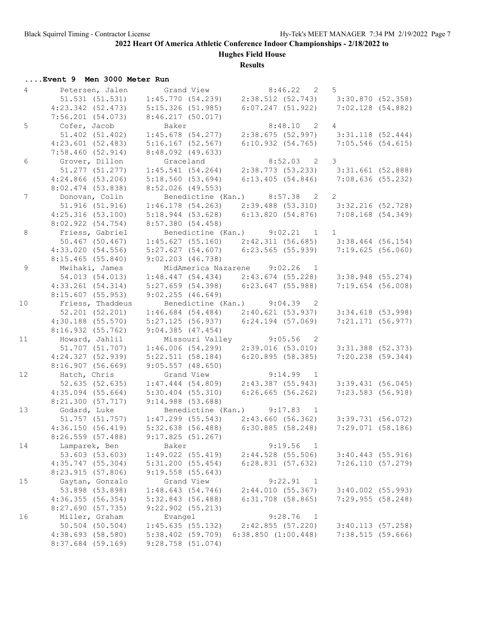**Hughes Field House**

#### **Results**

|                | Event 9 Men 3000 Meter Run |                       |                                                                                                                            |                     |  |
|----------------|----------------------------|-----------------------|----------------------------------------------------------------------------------------------------------------------------|---------------------|--|
| $\overline{4}$ | Petersen, Jalen            | Grand View            | $8:46.22$ 2                                                                                                                | 5                   |  |
|                | $51.531$ $(51.531)$        |                       | 1:45.770 (54.239) 2:38.512 (52.743) 3:30.870 (52.358)                                                                      |                     |  |
|                | $4:23.342$ (52.473)        | 5:15.326(51.985)      | $6:07.247$ (51.922)                                                                                                        | 7:02.128(54.882)    |  |
|                | $7:56.201$ (54.073)        | $8:46.217$ (50.017)   |                                                                                                                            |                     |  |
| 5              | Cofer, Jacob               | Baker                 | $8:48.10$ 2                                                                                                                | $\overline{4}$      |  |
|                | 51.402 (51.402)            | $1:45.678$ (54.277)   | 2:38.675 (52.997) 3:31.118 (52.444)                                                                                        |                     |  |
|                | $4:23.601$ (52.483)        | $5:16.167$ (52.567)   | $6:10.932$ (54.765) 7:05.546 (54.615)                                                                                      |                     |  |
|                | 7:58.460(52.914)           | $8:48.092$ (49.633)   |                                                                                                                            |                     |  |
| 6              | Grover, Dillon             | Graceland             | $8:52.03$ 2 3                                                                                                              |                     |  |
|                | 51.277 (51.277)            |                       | 1:45.541 (54.264) 2:38.773 (53.233) 3:31.661 (52.888)                                                                      |                     |  |
|                | $4:24.866$ (53.206)        | 5:18.560(53.694)      | $6:13.405$ (54.846) 7:08.636 (55.232)                                                                                      |                     |  |
|                | $8:02.474$ (53.838)        | $8:52.026$ (49.553)   |                                                                                                                            |                     |  |
| $7\phantom{.}$ | Donovan, Colin             |                       | Benedictine (Kan.) 8:57.38 2                                                                                               | $\overline{2}$      |  |
|                | 51.916 (51.916)            |                       | $1:46.178$ (54.263) $2:39.488$ (53.310) $3:32.216$ (52.728)                                                                |                     |  |
|                | 4:25.316(53.100)           |                       | 5:18.944 (53.628) 6:13.820 (54.876) 7:08.168 (54.349)                                                                      |                     |  |
|                | 8:02.922(54.754)           | 8:57.380 (54.458)     |                                                                                                                            |                     |  |
| 8              | Friess, Gabriel            |                       | Benedictine (Kan.) 9:02.21 1                                                                                               | $\mathbf{1}$        |  |
|                | 50.467 (50.467)            |                       | $1:45.627$ (55.160) $2:42.311$ (56.685) $3:38.464$ (56.154)                                                                |                     |  |
|                | 4:33.020(54.556)           |                       | 5:27.627 (54.607) 6:23.565 (55.939) 7:19.625 (56.060)                                                                      |                     |  |
|                | $8:15.465$ (55.840)        | 9:02.203(46.738)      |                                                                                                                            |                     |  |
| 9              | Mwihaki, James             |                       | MidAmerica Nazarene 9:02.26 1                                                                                              |                     |  |
|                | 54.013 (54.013)            |                       | $1:48.447$ (54.434) $2:43.674$ (55.228) $3:38.948$ (55.274)                                                                |                     |  |
|                | $4:33.261$ (54.314)        |                       | $5:27.659$ (54.398) 6:23.647 (55.988)                                                                                      | 7:19.654(56.008)    |  |
|                | $8:15.607$ (55.953)        | 9:02.255(46.649)      |                                                                                                                            |                     |  |
| 10             | Friess, Thaddeus           |                       | Benedictine (Kan.) 9:04.39 2                                                                                               |                     |  |
|                | 52.201 (52.201)            |                       | $1:46.684$ (54.484) $2:40.621$ (53.937)                                                                                    | 3:34.618 (53.998)   |  |
|                | $4:30.188$ (55.570)        |                       | $5:27.125$ (56.937) 6:24.194 (57.069)                                                                                      | 7:21.171 (56.977)   |  |
|                | 8:16.932 (55.762)          | $9:04.385$ (47.454)   |                                                                                                                            |                     |  |
| 11             | Howard, Jahlil             |                       | Missouri Valley 9:05.56 2                                                                                                  |                     |  |
|                | 51.707 (51.707)            |                       | $1:46.006$ (54.299) 2:39.016 (53.010) 3:31.388 (52.373)                                                                    |                     |  |
|                | 4:24.327 (52.939)          |                       | 5:22.511 (58.184) 6:20.895 (58.385)                                                                                        | 7:20.238 (59.344)   |  |
|                | 8:16.907(56.669)           | $9:05.557$ $(48.650)$ |                                                                                                                            |                     |  |
| 12             | Hatch, Chris               | Grand View            | $9:14.99$ 1                                                                                                                |                     |  |
|                | 52.635 (52.635)            |                       | $1:47.444$ (54.809) $2:43.387$ (55.943) 3:39.431 (56.045)                                                                  |                     |  |
|                | $4:35.094$ (55.664)        | $5:30.404$ (55.310)   | 6:26.665(56.262)                                                                                                           | 7:23.583(56.918)    |  |
|                | 8:21.300(57.717)           | 9:14.988(53.688)      |                                                                                                                            |                     |  |
| 13             | Godard, Luke               |                       | Godard, Luke<br>51.757 (51.757) 1:47.299 (55.543) 2:43.660 (56.362)<br>62.150 (56.410) 5:32.638 (56.488) 6:30.885 (58.248) |                     |  |
|                |                            |                       |                                                                                                                            | 3:39.731(56.072)    |  |
|                | 4:36.150(56.419)           |                       | $5:32.638$ (56.488) 6:30.885 (58.248) 7:29.071 (58.186)                                                                    |                     |  |
|                | 8:26.559 (57.488)          | 9:17.825(51.267)      |                                                                                                                            |                     |  |
| 14             | Lamparek, Ben              | Baker                 | 9:19.56<br>$\overline{1}$                                                                                                  |                     |  |
|                | 53.603 (53.603)            | 1:49.022(55.419)      | $2:44.528$ (55.506)                                                                                                        | $3:40.443$ (55.916) |  |
|                | 4:35.747(55.304)           | 5:31.200(55.454)      | 6:28.831(57.632)                                                                                                           | 7:26.110 (57.279)   |  |
|                | 8:23.915(57.806)           | $9:19.558$ (55.643)   |                                                                                                                            |                     |  |
| 15             | Gaytan, Gonzalo            | Grand View            | 9:22.91<br>1                                                                                                               |                     |  |
|                | 53.898 (53.898)            | 1:48.643(54.746)      | 2:44.010(55.367)                                                                                                           | $3:40.002$ (55.993) |  |
|                | 4:36.355(56.354)           | 5:32.843(56.488)      | $6:31.708$ (58.865)                                                                                                        | 7:29.955(58.248)    |  |
|                | 8:27.690 (57.735)          | $9:22.902$ $(55.213)$ |                                                                                                                            |                     |  |
| 16             | Miller, Graham             | Evangel               | 9:28.76<br>$\overline{1}$                                                                                                  |                     |  |
|                | $50.504$ (50.504)          | 1:45.635(55.132)      | 2:42.855(57.220)                                                                                                           | 3:40.113(57.258)    |  |
|                | 4:38.693(58.580)           | $5:38.402$ (59.709)   | $6:38.850$ $(1:00.448)$                                                                                                    | 7:38.515(59.666)    |  |
|                | 8:37.684 (59.169)          | $9:28.758$ (51.074)   |                                                                                                                            |                     |  |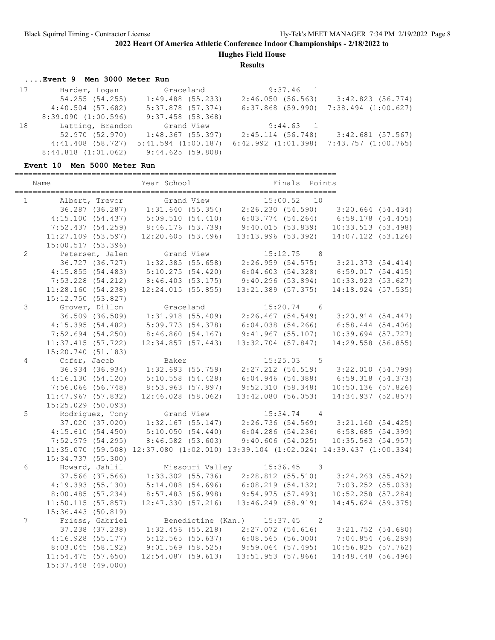**Hughes Field House**

**Results**

# **....Event 9 Men 3000 Meter Run**

| 17 | Harder, Logan           | Graceland                         | $9:37.46$ 1             |                                         |
|----|-------------------------|-----------------------------------|-------------------------|-----------------------------------------|
|    | 54.255 (54.255)         | $1:49.488$ (55.233)               | 2:46.050(56.563)        | $3:42.823$ (56.774)                     |
|    | $4:40.504$ (57.682)     | $5:37.878$ (57.374)               |                         | $6:37.868$ (59.990) 7:38.494 (1:00.627) |
|    | 8:39.090(1:00.596)      | $9:37.458$ (58.368)               |                         |                                         |
| 18 | Latting, Brandon        | Grand View                        | $9:44.63$ 1             |                                         |
|    |                         | 52.970 (52.970) 1:48.367 (55.397) | 2:45.114 (56.748)       | $3:42.681$ (57.567)                     |
|    | $4:41.408$ (58.727)     | $5:41.594$ $(1:00.187)$           | $6:42.992$ $(1:01.398)$ | $7:43.757$ $(1:00.765)$                 |
|    | $8:44.818$ $(1:01.062)$ | 9:44.625(59.808)                  |                         |                                         |

### **Event 10 Men 5000 Meter Run**

|                | Name                 | Year School           | Finals Points                                                                     |                        |  |
|----------------|----------------------|-----------------------|-----------------------------------------------------------------------------------|------------------------|--|
| $\mathbf{1}$   | Albert, Trevor       | Grand View            | 15:00.52<br>10                                                                    |                        |  |
|                | 36.287 (36.287)      | 1:31.640(55.354)      | 2:26.230(54.590)                                                                  | $3:20.664$ (54.434)    |  |
|                | 4:15.100(54.437)     | 5:09.510(54.410)      | $6:03.774$ (54.264)                                                               | $6:58.178$ $(54.405)$  |  |
|                | 7:52.437(54.259)     | 8:46.176(53.739)      | 9:40.015(53.839)                                                                  | 10:33.513(53.498)      |  |
|                | $11:27.109$ (53.597) | 12:20.605(53.496)     | 13:13.996(53.392)                                                                 | 14:07.122 (53.126)     |  |
|                | 15:00.517 (53.396)   |                       |                                                                                   |                        |  |
| $\overline{2}$ | Petersen, Jalen      | Grand View            | $15:12.75$ 8                                                                      |                        |  |
|                | 36.727 (36.727)      | $1:32.385$ (55.658)   | 2:26.959 (54.575) 3:21.373 (54.414)                                               |                        |  |
|                | 4:15.855(54.483)     | 5:10.275(54.420)      | 6:04.603(54.328)                                                                  | 6:59.017(54.415)       |  |
|                | $7:53.228$ (54.212)  | 8:46.403(53.175)      | 9:40.296(53.894)                                                                  | 10:33.923(53.627)      |  |
|                | 11:28.160(54.238)    | 12:24.015(55.855)     | 13:21.389 (57.375)                                                                | 14:18.924 (57.535)     |  |
|                | 15:12.750 (53.827)   |                       |                                                                                   |                        |  |
| $\mathfrak{Z}$ | Grover, Dillon       | Graceland             | $15:20.74$ 6                                                                      |                        |  |
|                | 36.509 (36.509)      | 1:31.918(55.409)      | 2:26.467 (54.549) 3:20.914 (54.447)                                               |                        |  |
|                | 4:15.395(54.482)     | 5:09.773(54.378)      | $6:04.038$ $(54.266)$                                                             | $6:58.444$ $(54.406)$  |  |
|                | $7:52.694$ (54.250)  | 8:46.860(54.167)      | $9:41.967$ (55.107)                                                               | $10:39.694$ (57.727)   |  |
|                | 11:37.415(57.722)    | 12:34.857(57.443)     | $13:32.704$ (57.847)                                                              | 14:29.558 (56.855)     |  |
|                | 15:20.740 (51.183)   |                       |                                                                                   |                        |  |
| 4              | Cofer, Jacob         | Baker                 | $15:25.03$ 5                                                                      |                        |  |
|                | 36.934 (36.934)      | 1:32.693 (55.759)     | 2:27.212 (54.519) 3:22.010 (54.799)                                               |                        |  |
|                | 4:16.130(54.120)     | $5:10.558$ $(54.428)$ | 6:04.946(54.388)                                                                  | 6:59.318(54.373)       |  |
|                | $7:56.066$ (56.748)  | 8:53.963 (57.897)     | 9:52.310(58.348)                                                                  | $10:50.136$ (57.826)   |  |
|                | 11:47.967(57.832)    | $12:46.028$ (58.062)  | 13:42.080(56.053)                                                                 | 14:34.937 (52.857)     |  |
|                | 15:25.029 (50.093)   |                       |                                                                                   |                        |  |
| 5              | Rodriquez, Tony      | Grand View            | $15:34.74$ 4                                                                      |                        |  |
|                | 37.020 (37.020)      |                       | $1:32.167$ (55.147) $2:26.736$ (54.569) $3:21.160$ (54.425)                       |                        |  |
|                | 4:15.610(54.450)     |                       | 5:10.050 (54.440) 6:04.286 (54.236) 6:58.685 (54.399)                             |                        |  |
|                | 7:52.979 (54.295)    | 8:46.582(53.603)      | 9:40.606(54.025)                                                                  | $10:35.563$ $(54.957)$ |  |
|                |                      |                       | 11:35.070 (59.508) 12:37.080 (1:02.010) 13:39.104 (1:02.024) 14:39.437 (1:00.334) |                        |  |
|                | 15:34.737 (55.300)   |                       |                                                                                   |                        |  |
| 6              | Howard, Jahlil       | Missouri Valley       | $15:36.45$ 3                                                                      |                        |  |
|                | 37.566 (37.566)      | $1:33.302$ (55.736)   | $2:28.812$ (55.510) $3:24.263$ (55.452)                                           |                        |  |
|                | 4:19.393(55.130)     | $5:14.088$ (54.696)   | 6:08.219(54.132)                                                                  | $7:03.252$ (55.033)    |  |
|                | 8:00.485(57.234)     | 8:57.483 (56.998)     | 9:54.975(57.493)                                                                  | $10:52.258$ (57.284)   |  |
|                | 11:50.115(57.857)    | 12:47.330(57.216)     | $13:46.249$ $(58.919)$                                                            | 14:45.624 (59.375)     |  |
|                | 15:36.443 (50.819)   |                       |                                                                                   |                        |  |
| 7              | Friess, Gabriel      |                       | Benedictine (Kan.) 15:37.45 2                                                     |                        |  |
|                | 37.238 (37.238)      |                       | $1:32.456$ (55.218) $2:27.072$ (54.616) $3:21.752$ (54.680)                       |                        |  |
|                | 4:16.928(55.177)     |                       | $5:12.565$ (55.637) 6:08.565 (56.000)                                             | $7:04.854$ (56.289)    |  |
|                | 8:03.045(58.192)     |                       | $9:01.569$ (58.525) $9:59.064$ (57.495)                                           | 10:56.825(57.762)      |  |
|                | $11:54.475$ (57.650) | $12:54.087$ (59.613)  | $13:51.953$ (57.866)                                                              | 14:48.448 (56.496)     |  |
|                | 15:37.448 (49.000)   |                       |                                                                                   |                        |  |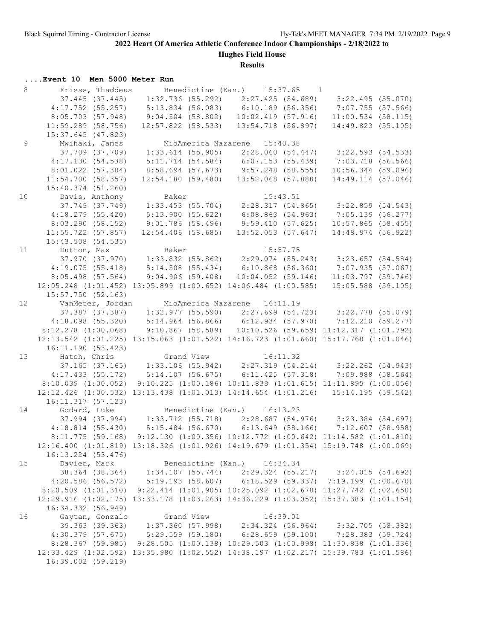**Hughes Field House**

#### **Results**

# **....Event 10 Men 5000 Meter Run**

| 8               | Friess, Thaddeus                                                                                                    |                             | Benedictine (Kan.) 15:37.65 1                                                                        |                                        |
|-----------------|---------------------------------------------------------------------------------------------------------------------|-----------------------------|------------------------------------------------------------------------------------------------------|----------------------------------------|
|                 |                                                                                                                     |                             | 37.445 (37.445) 1:32.736 (55.292) 2:27.425 (54.689) 3:22.495 (55.070)                                |                                        |
|                 |                                                                                                                     |                             | 4:17.752 (55.257) 5:13.834 (56.083) 6:10.189 (56.356) 7:07.755 (57.566)                              |                                        |
|                 | 8:05.703(57.948)                                                                                                    |                             | $9:04.504$ (58.802) 10:02.419 (57.916) 11:00.534 (58.115)                                            |                                        |
|                 | $11:59.289$ (58.756)                                                                                                | $12:57.822$ (58.533)        |                                                                                                      | 13:54.718 (56.897) 14:49.823 (55.105)  |
|                 | $15:37.645$ (47.823)                                                                                                |                             |                                                                                                      |                                        |
| $\overline{9}$  | Mwihaki, James                                                                                                      |                             | MidAmerica Nazarene 15:40.38                                                                         |                                        |
|                 |                                                                                                                     |                             | 37.709 (37.709) 1:33.614 (55.905) 2:28.060 (54.447) 3:22.593 (54.533)                                |                                        |
|                 | 4:17.130(54.538)                                                                                                    |                             | 5:11.714 (54.584)    6:07.153 (55.439)    7:03.718 (56.566)                                          |                                        |
|                 | $8:01.022$ $(57.304)$                                                                                               |                             | 8:58.694 (57.673) 9:57.248 (58.555) 10:56.344 (59.096)                                               |                                        |
|                 | 11:54.700(58.357)                                                                                                   |                             | 12:54.180 (59.480) 13:52.068 (57.888)                                                                | 14:49.114 (57.046)                     |
|                 | $15:40.374$ (51.260)                                                                                                |                             |                                                                                                      |                                        |
| 10              | Davis, Anthony Baker                                                                                                |                             | 15:43.51                                                                                             |                                        |
|                 |                                                                                                                     |                             | $37.749$ $(37.749)$ $1:33.453$ $(55.704)$ $2:28.317$ $(54.865)$ $3:22.859$ $(54.543)$                |                                        |
|                 | 4:18.279(55.420)                                                                                                    | 5:13.900(55.622)            |                                                                                                      | $6:08.863$ (54.963) 7:05.139 (56.277)  |
|                 | 8:03.290(58.152)                                                                                                    | $9:01.786$ (58.496)         |                                                                                                      | $9:59.410$ (57.625) 10:57.865 (58.455) |
|                 | $11:55.722$ (57.857)                                                                                                | $12:54.406$ (58.685)        | $13:52.053$ (57.647)                                                                                 | 14:48.974 (56.922)                     |
|                 | $15:43.508$ (54.535)                                                                                                |                             |                                                                                                      |                                        |
| 11              | Dutton, Max Baker                                                                                                   |                             | 15:57.75                                                                                             |                                        |
|                 |                                                                                                                     |                             | $37.970$ (37.970) 1:33.832 (55.862) 2:29.074 (55.243) 3:23.657 (54.584)                              |                                        |
|                 |                                                                                                                     |                             | 4:19.075 (55.418) 5:14.508 (55.434) 6:10.868 (56.360) 7:07.935 (57.067)                              |                                        |
|                 | $8:05.498$ (57.564)                                                                                                 |                             | $9:04.906$ (59.408) 10:04.052 (59.146) 11:03.797 (59.746)                                            |                                        |
|                 |                                                                                                                     |                             | 12:05.248 (1:01.452) 13:05.899 (1:00.652) 14:06.484 (1:00.585) 15:05.588 (59.105)                    |                                        |
|                 | 15:57.750(52.163)                                                                                                   |                             |                                                                                                      |                                        |
| 12 <sup>°</sup> | VanMeter, Jordan MidAmerica Nazarene 16:11.19                                                                       |                             |                                                                                                      |                                        |
|                 |                                                                                                                     |                             | 37.387 (37.387) 1:32.977 (55.590) 2:27.699 (54.723) 3:22.778 (55.079)                                |                                        |
|                 |                                                                                                                     |                             |                                                                                                      |                                        |
|                 |                                                                                                                     |                             | 4:18.098 (55.320) 5:14.964 (56.866) 6:12.934 (57.970) 7:12.210 (59.277)                              |                                        |
|                 |                                                                                                                     |                             | 8:12.278 (1:00.068) 9:10.867 (58.589) 10:10.526 (59.659) 11:12.317 (1:01.792)                        |                                        |
|                 |                                                                                                                     |                             | 12:13.542 (1:01.225) 13:15.063 (1:01.522) 14:16.723 (1:01.660) 15:17.768 (1:01.046)                  |                                        |
|                 | 16:11.190(53.423)                                                                                                   |                             |                                                                                                      |                                        |
| 13              | Hatch, Chris (197.165) Crand View 16:11.32<br>37.165 (37.165) 1:33.106 (55.942) 2:27.319 (54.214) 3:22.262 (54.943) |                             |                                                                                                      |                                        |
|                 |                                                                                                                     |                             |                                                                                                      |                                        |
|                 |                                                                                                                     |                             | 4:17.433 (55.172) 5:14.107 (56.675) 6:11.425 (57.318) 7:09.988 (58.564)                              |                                        |
|                 | 8:10.039(1:00.052)                                                                                                  |                             | $9:10.225$ (1:00.186) 10:11.839 (1:01.615) 11:11.895 (1:00.056)                                      |                                        |
|                 |                                                                                                                     |                             | 12:12.426 (1:00.532) 13:13.438 (1:01.013) 14:14.654 (1:01.216) 15:14.195 (59.542)                    |                                        |
|                 | 16:11.317(57.123)<br>Godard, Luke                                                                                   |                             |                                                                                                      |                                        |
| 14              |                                                                                                                     |                             | Benedictine (Kan.) 16:13.23<br>37.994 (37.994) 1:33.712 (55.718) 2:28.687 (54.976) 3:23.384 (54.697) |                                        |
|                 |                                                                                                                     |                             |                                                                                                      |                                        |
|                 |                                                                                                                     |                             | 4:18.814 (55.430) 5:15.484 (56.670) 6:13.649 (58.166) 7:12.607 (58.958)                              |                                        |
|                 |                                                                                                                     |                             | 8:11.775 (59.168) 9:12.130 (1:00.356) 10:12.772 (1:00.642) 11:14.582 (1:01.810)                      |                                        |
|                 |                                                                                                                     |                             | 12:16.400 (1:01.819) 13:18.326 (1:01.926) 14:19.679 (1:01.354) 15:19.748 (1:00.069)                  |                                        |
|                 | 16:13.224 (53.476)                                                                                                  |                             |                                                                                                      |                                        |
| 15              | Davied, Mark                                                                                                        | Benedictine (Kan.) 16:34.34 |                                                                                                      |                                        |
|                 |                                                                                                                     |                             | 38.364 (38.364) 1:34.107 (55.744) 2:29.324 (55.217) 3:24.015 (54.692)                                |                                        |
|                 |                                                                                                                     |                             | 4:20.586 (56.572) 5:19.193 (58.607) 6:18.529 (59.337) 7:19.199 (1:00.670)                            |                                        |
|                 |                                                                                                                     |                             | 8:20.509 (1:01.310) 9:22.414 (1:01.905) 10:25.092 (1:02.678) 11:27.742 (1:02.650)                    |                                        |
|                 |                                                                                                                     |                             | 12:29.916 (1:02.175) 13:33.178 (1:03.263) 14:36.229 (1:03.052) 15:37.383 (1:01.154)                  |                                        |
|                 | 16:34.332 (56.949)                                                                                                  |                             |                                                                                                      |                                        |
| 16              | Gaytan, Gonzalo                                                                                                     | Grand View                  | 16:39.01                                                                                             |                                        |
|                 |                                                                                                                     |                             | 39.363 (39.363) 1:37.360 (57.998) 2:34.324 (56.964) 3:32.705 (58.382)                                |                                        |
|                 | $4:30.379$ $(57.675)$                                                                                               |                             | 5:29.559 (59.180) 6:28.659 (59.100) 7:28.383 (59.724)                                                |                                        |
|                 |                                                                                                                     |                             | 8:28.367 (59.985) 9:28.505 (1:00.138) 10:29.503 (1:00.998) 11:30.838 (1:01.336)                      |                                        |
|                 |                                                                                                                     |                             | 12:33.429 (1:02.592) 13:35.980 (1:02.552) 14:38.197 (1:02.217) 15:39.783 (1:01.586)                  |                                        |
|                 | 16:39.002 (59.219)                                                                                                  |                             |                                                                                                      |                                        |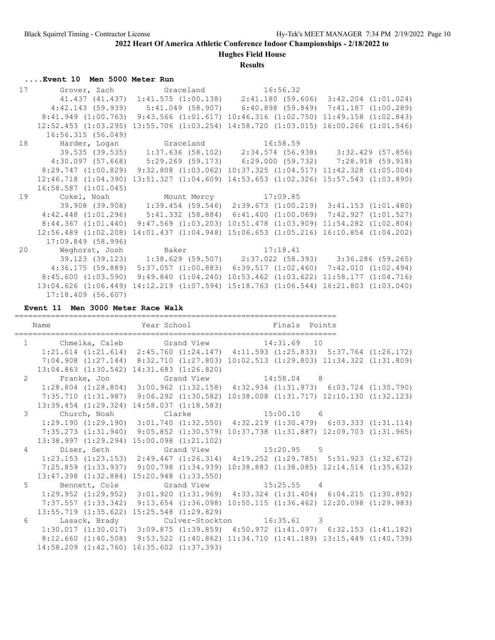**Hughes Field House**

#### **Results**

#### **....Event 10 Men 5000 Meter Run**

|    | 17 Grover, Zach Graceland 16:56.32                                                |                                                                                                     |                                                                           |
|----|-----------------------------------------------------------------------------------|-----------------------------------------------------------------------------------------------------|---------------------------------------------------------------------------|
|    |                                                                                   |                                                                                                     | 41.437 (41.437) 1:41.575 (1:00.138) 2:41.180 (59.606) 3:42.204 (1:01.024) |
|    |                                                                                   | $4:42.143$ (59.939) 5:41.049 (58.907) 6:40.898 (59.849) 7:41.187 (1:00.289)                         |                                                                           |
|    |                                                                                   | 8:41.949 (1:00.763) 9:43.566 (1:01.617) 10:46.316 (1:02.750) 11:49.158 (1:02.843)                   |                                                                           |
|    | $12:52.453$ $(1:03.295)$                                                          | 13:55.706 (1:03.254) 14:58.720 (1:03.015) 16:00.266 (1:01.546)                                      |                                                                           |
|    | 16:56.315(56.049)                                                                 |                                                                                                     |                                                                           |
| 18 | Harder, Logan Graceland 16:58.59                                                  |                                                                                                     |                                                                           |
|    |                                                                                   |                                                                                                     | 39.535 (39.535) 1:37.636 (58.102) 2:34.574 (56.938) 3:32.429 (57.856)     |
|    | 4:30.097 (57.668) 5:29.269 (59.173) 6:29.000 (59.732) 7:28.918 (59.918)           |                                                                                                     |                                                                           |
|    |                                                                                   | $8:29.747$ (1:00.829) 9:32.808 (1:03.062) 10:37.325 (1:04.517) 11:42.328 (1:05.004)                 |                                                                           |
|    |                                                                                   | $12:46.718$ $(1:04.390)$ $13:51.327$ $(1:04.609)$ $14:53.653$ $(1:02.326)$ $15:57.543$ $(1:03.890)$ |                                                                           |
|    | $16:58.587$ $(1:01.045)$                                                          |                                                                                                     |                                                                           |
| 19 | Cokel, Noah Mount Mercy 17:09.85                                                  |                                                                                                     |                                                                           |
|    |                                                                                   |                                                                                                     | 39.908 (39.908) 1:39.454 (59.546) 2:39.673 (1:00.219) 3:41.153 (1:01.480) |
|    | $4:42.448$ (1:01.296) $5:41.332$ (58.884) 6:41.400 (1:00.069) 7:42.927 (1:01.527) |                                                                                                     |                                                                           |
|    |                                                                                   | $8:44.367$ (1:01.440) 9:47.569 (1:03.203) 10:51.478 (1:03.909) 11:54.282 (1:02.804)                 |                                                                           |
|    |                                                                                   | 12:56.489 (1:02.208) 14:01.437 (1:04.948) 15:06.653 (1:05.216) 16:10.854 (1:04.202)                 |                                                                           |
|    | 17:09.849 (58.996)                                                                |                                                                                                     |                                                                           |
| 20 | Weghorst, Josh Baker 17:18.41                                                     |                                                                                                     |                                                                           |
|    |                                                                                   | 39.123 (39.123) 1:38.629 (59.507) 2:37.022 (58.393) 3:36.286 (59.265)                               |                                                                           |
|    |                                                                                   | $4:36.175$ (59.889) 5:37.057 (1:00.883) 6:39.517 (1:02.460) 7:42.010 (1:02.494)                     |                                                                           |
|    |                                                                                   | 8:45.600 (1:03.590) 9:49.840 (1:04.240) 10:53.462 (1:03.622) 11:58.177 (1:04.716)                   |                                                                           |
|    |                                                                                   | 13:04.626 (1:06.449) 14:12.219 (1:07.594) 15:18.763 (1:06.544) 16:21.803 (1:03.040)                 |                                                                           |
|    | $17:18.409$ (56.607)                                                              |                                                                                                     |                                                                           |

**Event 11 Men 3000 Meter Race Walk**

======================================================================= Name Year School Finals Points ======================================================================= 1 Chmelka, Caleb Grand View 14:31.69 10 1:21.614 (1:21.614) 2:45.760 (1:24.147) 4:11.593 (1:25.833) 5:37.764 (1:26.172) 7:04.908 (1:27.144) 8:32.710 (1:27.803) 10:02.513 (1:29.803) 11:34.322 (1:31.809) 13:04.863 (1:30.542) 14:31.683 (1:26.820) 2 Franke, Jon Grand View 14:58.04 8 1:28.804 (1:28.804) 3:00.962 (1:32.158) 4:32.934 (1:31.973) 6:03.724 (1:30.790) 7:35.710 (1:31.987) 9:06.292 (1:30.582) 10:38.008 (1:31.717) 12:10.130 (1:32.123) 13:39.454 (1:29.324) 14:58.037 (1:18.583) 3 Church, Noah Clarke 15:00.10 6 1:29.190 (1:29.190) 3:01.740 (1:32.550) 4:32.219 (1:30.479) 6:03.333 (1:31.114) 7:35.273 (1:31.940) 9:05.852 (1:30.579) 10:37.738 (1:31.887) 12:09.703 (1:31.965) 13:38.997 (1:29.294) 15:00.098 (1:21.102) 4 Diser, Seth Grand View 15:20.95 5 1:23.153 (1:23.153) 2:49.467 (1:26.314) 4:19.252 (1:29.785) 5:51.923 (1:32.672) 7:25.859 (1:33.937) 9:00.798 (1:34.939) 10:38.883 (1:38.085) 12:14.514 (1:35.632) 13:47.398 (1:32.884) 15:20.948 (1:33.550) 5 Bennett, Cole Grand View 15:25.55 4 1:29.952 (1:29.952) 3:01.920 (1:31.969) 4:33.324 (1:31.404) 6:04.215 (1:30.892) 7:37.557 (1:33.342) 9:13.654 (1:36.098) 10:50.115 (1:36.462) 12:20.098 (1:29.983) 13:55.719 (1:35.622) 15:25.548 (1:29.829) 6 Lasack, Brady Culver-Stockton 16:35.61 3 1:30.017 (1:30.017) 3:09.875 (1:39.859) 4:50.972 (1:41.097) 6:32.153 (1:41.182) 8:12.660 (1:40.508) 9:53.522 (1:40.862) 11:34.710 (1:41.189) 13:15.449 (1:40.739) 14:58.209 (1:42.760) 16:35.602 (1:37.393)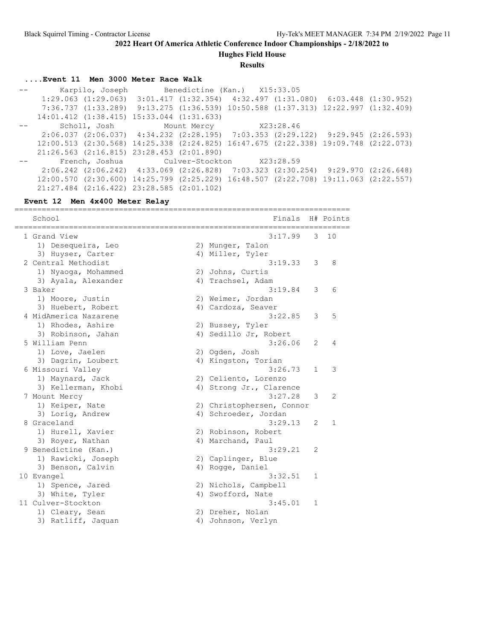**Hughes Field House**

**Results**

# **....Event 11 Men 3000 Meter Race Walk**

 -- Karpilo, Joseph Benedictine (Kan.) X15:33.05 1:29.063 (1:29.063) 3:01.417 (1:32.354) 4:32.497 (1:31.080) 6:03.448 (1:30.952) 7:36.737 (1:33.289) 9:13.275 (1:36.539) 10:50.588 (1:37.313) 12:22.997 (1:32.409) 14:01.412 (1:38.415) 15:33.044 (1:31.633) -- Scholl, Josh Mount Mercy X23:28.46 2:06.037 (2:06.037) 4:34.232 (2:28.195) 7:03.353 (2:29.122) 9:29.945 (2:26.593) 12:00.513 (2:30.568) 14:25.338 (2:24.825) 16:47.675 (2:22.338) 19:09.748 (2:22.073) 21:26.563 (2:16.815) 23:28.453 (2:01.890) -- French, Joshua Culver-Stockton X23:28.59 2:06.242 (2:06.242) 4:33.069 (2:26.828) 7:03.323 (2:30.254) 9:29.970 (2:26.648) 12:00.570 (2:30.600) 14:25.799 (2:25.229) 16:48.507 (2:22.708) 19:11.063 (2:22.557) 21:27.484 (2:16.422) 23:28.585 (2:01.102)

#### **Event 12 Men 4x400 Meter Relay**

| =============<br>School                | ================<br>Finals              |              | H# Points    |
|----------------------------------------|-----------------------------------------|--------------|--------------|
| 1 Grand View                           | 3:17.99                                 | 3            | 10           |
| 1) Desequeira, Leo                     | 2) Munger, Talon                        |              |              |
| 3) Huyser, Carter                      | 4) Miller, Tyler                        |              |              |
| 2 Central Methodist                    | 3:19.33                                 | 3            | 8            |
| 1) Nyaoga, Mohammed                    | 2) Johns, Curtis                        |              |              |
| 3) Ayala, Alexander<br>3 Baker         | 4) Trachsel, Adam<br>3:19.84            | 3            | 6            |
|                                        |                                         |              |              |
| 1) Moore, Justin<br>3) Huebert, Robert | 2) Weimer, Jordan<br>4) Cardoza, Seaver |              |              |
| 4 MidAmerica Nazarene                  | 3:22.85                                 | 3            | 5            |
| 1) Rhodes, Ashire                      | 2) Bussey, Tyler                        |              |              |
| 3) Robinson, Jahan                     | 4) Sedillo Jr, Robert                   |              |              |
| 5 William Penn                         | 3:26.06                                 | 2            | 4            |
| 1) Love, Jaelen                        | 2) Ogden, Josh                          |              |              |
| 3) Dagrin, Loubert                     | 4) Kingston, Torian                     |              |              |
| 6 Missouri Valley                      | 3:26.73                                 | 1            | 3            |
| 1) Maynard, Jack                       | 2) Celiento, Lorenzo                    |              |              |
| 3) Kellerman, Khobi                    | 4) Strong Jr., Clarence                 |              |              |
| 7 Mount Mercy                          | 3:27.28                                 | 3            | 2            |
| 1) Keiper, Nate                        | 2) Christophersen, Connor               |              |              |
| 3) Lorig, Andrew                       | 4) Schroeder, Jordan                    |              |              |
| 8 Graceland                            | 3:29.13                                 | 2            | $\mathbf{1}$ |
| 1) Hurell, Xavier                      | 2) Robinson, Robert                     |              |              |
| 3) Royer, Nathan                       | 4) Marchand, Paul                       |              |              |
| 9 Benedictine (Kan.)                   | 3:29.21                                 | 2            |              |
| 1) Rawicki, Joseph                     | 2) Caplinger, Blue                      |              |              |
| 3) Benson, Calvin                      | 4) Rogge, Daniel                        |              |              |
| 10 Evangel                             | 3:32.51                                 | 1            |              |
| 1) Spence, Jared                       | 2) Nichols, Campbell                    |              |              |
| 3) White, Tyler                        | 4) Swofford, Nate                       |              |              |
| 11 Culver-Stockton                     | 3:45.01                                 | $\mathbf{1}$ |              |
| 1) Cleary, Sean                        | 2) Dreher, Nolan                        |              |              |
| 3) Ratliff, Jaquan                     | 4) Johnson, Verlyn                      |              |              |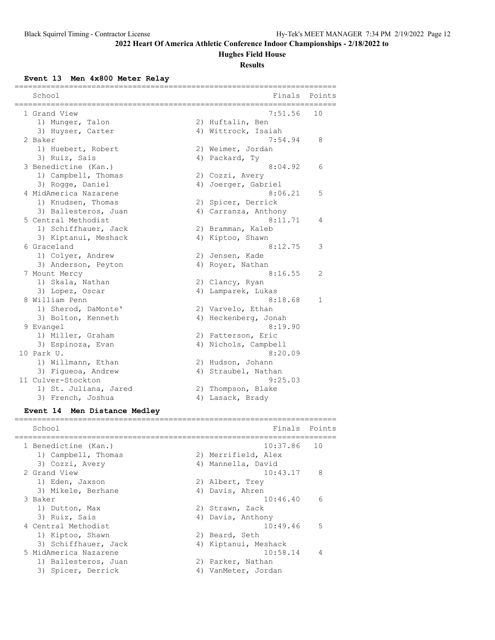# **Hughes Field House**

#### **Results**

**Event 13 Men 4x800 Meter Relay**

| ================================      |                                         |              |
|---------------------------------------|-----------------------------------------|--------------|
| School                                | Finals                                  | Points       |
|                                       |                                         |              |
| 1 Grand View                          | 7:51.56                                 | 10           |
| 1) Munger, Talon<br>3) Huyser, Carter | 2) Huftalin, Ben<br>4) Wittrock, Isaiah |              |
| 2 Baker                               | 7:54.94                                 | 8            |
| 1) Huebert, Robert                    | 2) Weimer, Jordan                       |              |
| 3) Ruiz, Sais                         | 4) Packard, Ty                          |              |
| 3 Benedictine (Kan.)                  | 8:04.92                                 | 6            |
| 1) Campbell, Thomas                   | 2) Cozzi, Avery                         |              |
| 3) Rogge, Daniel                      | 4) Joerger, Gabriel                     |              |
| 4 MidAmerica Nazarene                 | 8:06.21                                 | 5            |
| 1) Knudsen, Thomas                    | 2) Spicer, Derrick                      |              |
| 3) Ballesteros, Juan                  | 4) Carranza, Anthony                    |              |
| 5 Central Methodist                   | 8:11.71                                 | 4            |
| 1) Schiffhauer, Jack                  | 2) Bramman, Kaleb                       |              |
| 3) Kiptanui, Meshack                  | 4) Kiptoo, Shawn                        |              |
| 6 Graceland                           | 8:12.75                                 | 3            |
| 1) Colyer, Andrew                     | 2) Jensen, Kade                         |              |
| 3) Anderson, Peyton                   | 4) Royer, Nathan                        |              |
| 7 Mount Mercy                         | 8:16.55                                 | 2            |
| 1) Skala, Nathan                      | 2) Clancy, Ryan                         |              |
| 3) Lopez, Oscar                       | 4) Lamparek, Lukas                      |              |
| 8 William Penn                        | 8:18.68                                 | $\mathbf{1}$ |
| 1) Sherod, DaMonte'                   | 2) Varvelo, Ethan                       |              |
| 3) Bolton, Kenneth                    | 4) Heckenberg, Jonah                    |              |
| 9 Evangel                             | 8:19.90                                 |              |
| 1) Miller, Graham                     | 2) Patterson, Eric                      |              |
| 3) Espinoza, Evan                     | 4) Nichols, Campbell                    |              |
| 10 Park U.                            | 8:20.09                                 |              |
| 1) Willmann, Ethan                    | 2) Hudson, Johann                       |              |
| 3) Figueoa, Andrew                    | 4) Straubel, Nathan                     |              |
| 11 Culver-Stockton                    | 9:25.03                                 |              |
| 1) St. Juliana, Jared                 | 2) Thompson, Blake                      |              |
| 3) French, Joshua                     | 4) Lasack, Brady                        |              |
| Event 14 Men Distance Medley          |                                         |              |

======================================================================= School **Finals** Points ======================================================================= 1 Benedictine (Kan.) 10:37.86 10 1) Campbell, Thomas 2) Merrifield, Alex 3) Cozzi, Avery 1988 (4) Mannella, David 2 Grand View 10:43.17 8 1) Eden, Jaxson 2) Albert, Trey 3) Mikele, Berhane (4) Davis, Ahren 3 Baker 10:46.40 6 1) Dutton, Max 2) Strawn, Zack 3) Ruiz, Sais (4) Davis, Anthony 4 Central Methodist 10:49.46 5 1) Kiptoo, Shawn 2) Beard, Seth 3) Schiffhauer, Jack (4) Kiptanui, Meshack 5 MidAmerica Nazarene 10:58.14 4 1) Ballesteros, Juan 2) Parker, Nathan 3) Spicer, Derrick and Allah VanMeter, Jordan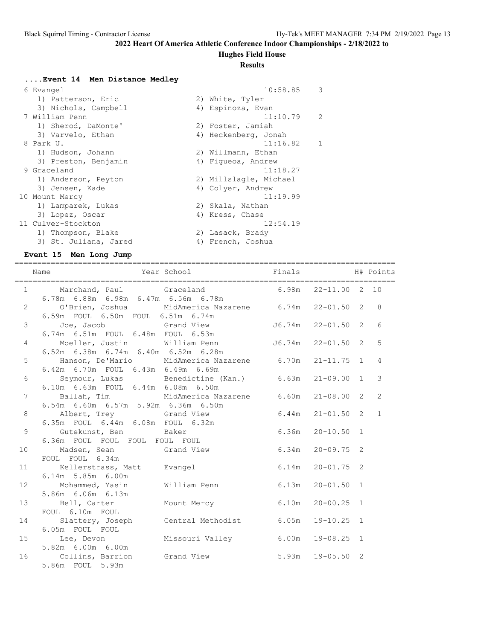### **Hughes Field House**

#### **Results**

# **....Event 14 Men Distance Medley**

| 6 Evangel             | 10:58.85               | 3            |
|-----------------------|------------------------|--------------|
| 1) Patterson, Eric    | 2) White, Tyler        |              |
| 3) Nichols, Campbell  | 4) Espinoza, Evan      |              |
| 7 William Penn        | 11:10.79               | 2            |
| 1) Sherod, DaMonte'   | 2) Foster, Jamiah      |              |
| 3) Varvelo, Ethan     | 4) Heckenberg, Jonah   |              |
| 8 Park U.             | 11:16.82               | $\mathbf{1}$ |
| 1) Hudson, Johann     | 2) Willmann, Ethan     |              |
| 3) Preston, Benjamin  | 4) Fiqueoa, Andrew     |              |
| 9 Graceland           | 11:18.27               |              |
| 1) Anderson, Peyton   | 2) Millslagle, Michael |              |
| 3) Jensen, Kade       | 4) Colyer, Andrew      |              |
| 10 Mount Mercy        | 11:19.99               |              |
| 1) Lamparek, Lukas    | 2) Skala, Nathan       |              |
| 3) Lopez, Oscar       | 4) Kress, Chase        |              |
| 11 Culver-Stockton    | 12:54.19               |              |
| 1) Thompson, Blake    | 2) Lasack, Brady       |              |
| 3) St. Juliana, Jared | 4) French, Joshua      |              |

### **Event 15 Men Long Jump**

|                 | Name Name Year School Finals H# Points                                                                                                    |  |  |                |
|-----------------|-------------------------------------------------------------------------------------------------------------------------------------------|--|--|----------------|
|                 | 1 Marchand, Paul Graceland 6.98m 22-11.00 2 10                                                                                            |  |  |                |
|                 | 6.78m  6.88m  6.98m  6.47m  6.56m  6.78m<br>2 0'Brien, Joshua MidAmerica Nazarene 6.74m 22-01.50 2 8<br>6.59m FOUL 6.50m FOUL 6.51m 6.74m |  |  |                |
| 3 <sup>7</sup>  | Joe, Jacob Grand View J6.74m 22-01.50 2 6<br>6.74m 6.51m FOUL 6.48m FOUL 6.53m                                                            |  |  |                |
|                 | 4 Moeller, Justin William Penn $J6.74m$ 22-01.50 2 5<br>$6.52m$ $6.38m$ $6.74m$ $6.40m$ $6.52m$ $6.28m$                                   |  |  |                |
| 5 <sup>1</sup>  | Hanson, De'Mario MidAmerica Nazarene 6.70m 21-11.75 1 4<br>6.42m 6.70m FOUL 6.43m 6.49m 6.69m                                             |  |  |                |
| 6               | Seymour, Lukas Benedictine (Kan.) 6.63m 21-09.00 1 3<br>6.10m  6.63m  FOUL  6.44m  6.08m  6.50m                                           |  |  |                |
| $7^{\circ}$     | Ballah, Tim MidAmerica Nazarene 6.60m 21-08.00 2<br>6.54m 6.60m 6.57m 5.92m 6.36m 6.50m                                                   |  |  | $\overline{2}$ |
| 8               | Albert, Trey 6rand View 6.44m 21-01.50 2 1<br>6.35m FOUL 6.44m 6.08m FOUL 6.32m                                                           |  |  |                |
| 9               | Gutekunst, Ben Baker 6.36m 20-10.50 1<br>6.36m FOUL FOUL FOUL FOUL FOUL FOUL FOUL<br>6.36m FOUL FOUL FOUL FOUL FOUL                       |  |  |                |
|                 | 10 Madsen, Sean Crand View 6.34m 20-09.75 2<br>FOUL FOUL 6.34m                                                                            |  |  |                |
| 11              | Kellerstrass, Matt Evangel 6.14m 20-01.75 2<br>6.14m 5.85m 6.00m                                                                          |  |  |                |
| 12 <sup>°</sup> | Mohammed, Yasin William Penn 6.13m 20-01.50 1<br>5.86m 6.06m 6.13m                                                                        |  |  |                |
| 13              | Bell, Carter Mount Mercy 6.10m 20-00.25 1<br>FOUL 6.10m FOUL                                                                              |  |  |                |
| 14              | Slattery, Joseph Central Methodist 6.05m 19-10.25 1<br>6.05m FOUL FOUL                                                                    |  |  |                |
|                 | 15 Lee, Devon Missouri Valley 6.00m 19-08.25 1<br>5.82m 6.00m 6.00m                                                                       |  |  |                |
| 16              | Collins, Barrion Grand View 5.93m 19-05.50 2<br>5.86m FOUL 5.93m                                                                          |  |  |                |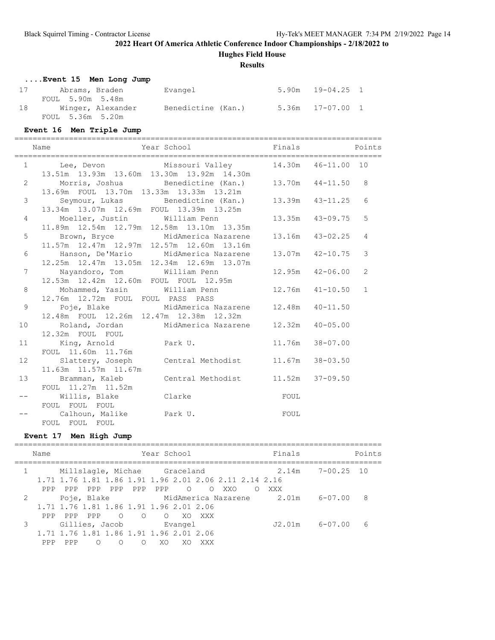**Hughes Field House**

#### **Results**

|    | Event 15 Men Long Jump |                    |                  |  |
|----|------------------------|--------------------|------------------|--|
|    |                        | Evangel            | 5.90m 19-04.25 1 |  |
|    | FOUL 5.90m 5.48m       |                    |                  |  |
| 18 | Winger, Alexander      | Benedictine (Kan.) | 5.36m 17-07.00 1 |  |
|    | FOUL 5.36m 5.20m       |                    |                  |  |

#### **Event 16 Men Triple Jump**

================================================================================= Name  $Year School$  Finals Points

|                 | 1 Lee, Devon Missouri Valley 14.30m 46-11.00 10<br>13.51m  13.93m  13.60m  13.30m  13.92m  14.30m    |  |                 |
|-----------------|------------------------------------------------------------------------------------------------------|--|-----------------|
|                 | 2 Morris, Joshua Benedictine (Kan.) 13.70m 44-11.50 8                                                |  |                 |
|                 | 13.69m FOUL 13.70m 13.33m 13.33m 13.21m<br>3 Seymour, Lukas Benedictine (Kan.) 13.39m 43-11.25       |  | $6\overline{6}$ |
|                 | 13.34m 13.07m 12.69m FOUL 13.39m 13.25m<br>4 Moeller, Justin William Penn 13.35m 43-09.75            |  | 5               |
|                 | 11.89m  12.54m  12.79m  12.58m  13.10m  13.35m<br>5 Brown, Bryce MidAmerica Nazarene 13.16m 43-02.25 |  | $\overline{4}$  |
|                 | 11.57m 12.47m 12.97m 12.57m 12.60m 13.16m<br>6 Hanson, De'Mario MidAmerica Nazarene 13.07m 42-10.75  |  | $\mathbf{3}$    |
| $7^{\circ}$     | 12.25m  12.47m  13.05m  12.34m  12.69m  13.07m<br>Nayandoro, Tom William Penn 12.95m 42-06.00        |  | 2               |
|                 | 12.53m  12.42m  12.60m  FOUL  FOUL  12.95m<br>8 Mohammed, Yasin William Penn 12.76m 41-10.50 1       |  |                 |
|                 | 12.76m 12.72m FOUL FOUL PASS PASS<br>9 Poje, Blake MidAmerica Nazarene 12.48m 40-11.50               |  |                 |
|                 | 12.48m FOUL 12.26m 12.47m 12.38m 12.32m                                                              |  |                 |
|                 | 10 Roland, Jordan MidAmerica Nazarene 12.32m 40-05.00<br>12.32m FOUL FOUL                            |  |                 |
|                 | 11 King, Arnold Park U. 11.76m 38-07.00<br>FOUL 11.60m 11.76m                                        |  |                 |
| 12 <sup>°</sup> | Slattery, Joseph Central Methodist 11.67m 38-03.50<br>11.63m  11.57m  11.67m                         |  |                 |
|                 | 13 Bramman, Kaleb Central Methodist 11.52m 37-09.50<br>FOUL 11.27m 11.52m                            |  |                 |
|                 | <b>EXECUTE:</b><br>Willis, Blake Clarke<br>FOUL FOUL FOUL                                            |  |                 |
|                 | FOUL<br>Calhoun, Malike Park U.<br>FOUL FOUL FOUL                                                    |  |                 |

#### **Event 17 Men High Jump**

|   | Name |                                                        |     |                              |                 | Year School    |         |            |                                                        | Finals |                    | Points |
|---|------|--------------------------------------------------------|-----|------------------------------|-----------------|----------------|---------|------------|--------------------------------------------------------|--------|--------------------|--------|
|   |      |                                                        |     | Millslagle, Michae Graceland |                 |                |         |            | 1.71 1.76 1.81 1.86 1.91 1.96 2.01 2.06 2.11 2.14 2.16 | 2.14m  | $7 - 00.25$ 10     |        |
|   | PPP  | PPP                                                    | PPP | PPP                          | PPP             | PPP            | $\circ$ | $\bigcirc$ | XXO                                                    | XXX    |                    |        |
| 2 |      | Poje, Blake<br>1,71 1,76 1,81 1,86 1,91 1,96 2,01 2,06 |     |                              |                 |                |         |            | MidAmerica Nazarene                                    | 2.01m  | 6-07.00            | 8      |
|   | PPP  | PPP.                                                   | PPP |                              | $\circ$ $\circ$ | $\overline{O}$ | - XO    | XXX        |                                                        |        |                    |        |
|   |      | 1,71 1,76 1,81 1,86 1,91 1,96 2,01 2,06                |     | Gillies, Jacob               |                 |                | Evangel |            |                                                        |        | $J2.01m$ $6-07.00$ | 6      |
|   | PPP  | PPP                                                    | ∩   | ∩                            | ∩               | XΟ             |         | XXX        |                                                        |        |                    |        |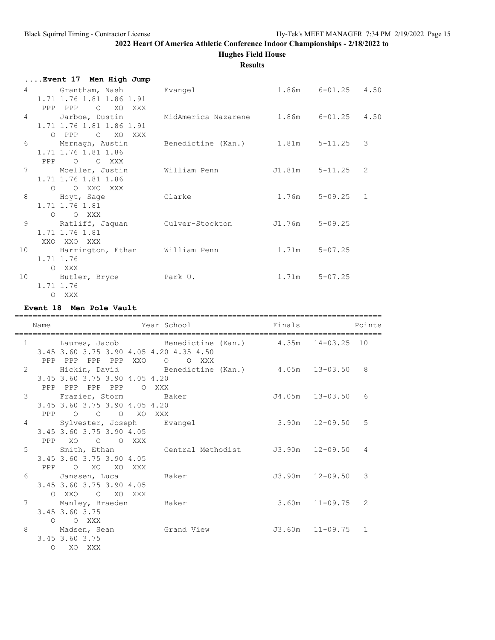### **2022 Heart Of America Athletic Conference Indoor Championships - 2/18/2022 to Hughes Field House**

### **Results**

| O XO XXX<br>PPP PPP      |                                                                                                                                                                                                                           |                                                                                                                                                   |                                                                                                                                                                                                                        |
|--------------------------|---------------------------------------------------------------------------------------------------------------------------------------------------------------------------------------------------------------------------|---------------------------------------------------------------------------------------------------------------------------------------------------|------------------------------------------------------------------------------------------------------------------------------------------------------------------------------------------------------------------------|
|                          |                                                                                                                                                                                                                           |                                                                                                                                                   |                                                                                                                                                                                                                        |
| 1.71 1.76 1.81 1.86 1.91 |                                                                                                                                                                                                                           |                                                                                                                                                   |                                                                                                                                                                                                                        |
|                          |                                                                                                                                                                                                                           |                                                                                                                                                   |                                                                                                                                                                                                                        |
|                          |                                                                                                                                                                                                                           |                                                                                                                                                   |                                                                                                                                                                                                                        |
| PPP 0 0 XXX              |                                                                                                                                                                                                                           |                                                                                                                                                   |                                                                                                                                                                                                                        |
| Moeller, Justin          |                                                                                                                                                                                                                           |                                                                                                                                                   | 2                                                                                                                                                                                                                      |
|                          |                                                                                                                                                                                                                           |                                                                                                                                                   |                                                                                                                                                                                                                        |
|                          |                                                                                                                                                                                                                           |                                                                                                                                                   |                                                                                                                                                                                                                        |
| 1.71 1.76 1.81           |                                                                                                                                                                                                                           |                                                                                                                                                   |                                                                                                                                                                                                                        |
| O O XXX                  |                                                                                                                                                                                                                           |                                                                                                                                                   |                                                                                                                                                                                                                        |
|                          |                                                                                                                                                                                                                           |                                                                                                                                                   |                                                                                                                                                                                                                        |
|                          |                                                                                                                                                                                                                           |                                                                                                                                                   |                                                                                                                                                                                                                        |
|                          |                                                                                                                                                                                                                           |                                                                                                                                                   |                                                                                                                                                                                                                        |
| 1.71 1.76                |                                                                                                                                                                                                                           |                                                                                                                                                   |                                                                                                                                                                                                                        |
| O XXX                    |                                                                                                                                                                                                                           |                                                                                                                                                   |                                                                                                                                                                                                                        |
|                          |                                                                                                                                                                                                                           |                                                                                                                                                   |                                                                                                                                                                                                                        |
|                          |                                                                                                                                                                                                                           |                                                                                                                                                   |                                                                                                                                                                                                                        |
|                          | Event 17 Men High Jump<br>1.71 1.76 1.81 1.86 1.91<br>O PPP O XO XXX<br>Mernagh, Austin<br>1.71 1.76 1.81 1.86<br>1.71 1.76 1.81 1.86<br>O O XXO XXX<br>Hoyt, Sage<br>1.71 1.76 1.81<br>XXO XXO XXX<br>1.71 1.76<br>O XXX | Grantham, Nash Bvangel<br>William Penn<br>Clarke<br>Ratliff, Jaquan Culver-Stockton<br>Harrington, Ethan William Penn<br>10 Butler, Bryce Park U. | 1.86m 6-01.25 4.50<br>Jarboe, Dustin MidAmerica Nazarene 1.86m 6-01.25 4.50<br>Benedictine (Kan.) 1.81m 5-11.25 3<br>J1.81m 5-11.25<br>$1.76m$ $5-09.25$ 1<br>J1.76m 5-09.25<br>$1.71m$ $5-07.25$<br>$1.71m$ $5-07.25$ |

**Event 18 Men Pole Vault**

================================================================================= Name **The School Points** Points Points Points Points Points ================================================================================= 1 Laures, Jacob Benedictine (Kan.) 4.35m 14-03.25 10 3.45 3.60 3.75 3.90 4.05 4.20 4.35 4.50 PPP PPP PPP PPP XXO O O XXX 2 Hickin, David Benedictine (Kan.) 4.05m 13-03.50 8 3.45 3.60 3.75 3.90 4.05 4.20 PPP PPP PPP PPP O XXX 3 Frazier, Storm Baker J4.05m 13-03.50 6 3.45 3.60 3.75 3.90 4.05 4.20 PPP O O O XO XXX 4 Sylvester, Joseph Evangel 3.90m 12-09.50 5 3.45 3.60 3.75 3.90 4.05 PPP XO O O XXX 5 Smith, Ethan Central Methodist J3.90m 12-09.50 4 3.45 3.60 3.75 3.90 4.05 PPP O XO XO XXX 6 Janssen, Luca Baker J3.90m 12-09.50 3 3.45 3.60 3.75 3.90 4.05 O XXO O XO XXX<br>7 Manley, Braeden Manley, Braeden Baker 3.60m 11-09.75 2 3.45 3.60 3.75 O O XXX 8 Madsen, Sean Grand View J3.60m 11-09.75 1 3.45 3.60 3.75 O XO XXX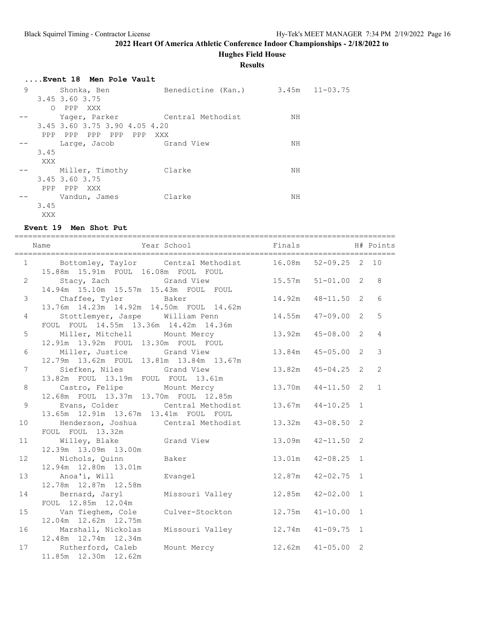**Hughes Field House**

**Results**

|   |            | Event 18 Men Pole Vault         |                    |    |                    |
|---|------------|---------------------------------|--------------------|----|--------------------|
| 9 |            | Shonka, Ben                     | Benedictine (Kan.) |    | $3.45m$ $11-03.75$ |
|   |            | 3.45 3.60 3.75                  |                    |    |                    |
|   | $\bigcirc$ | PPP XXX                         |                    |    |                    |
|   |            | Yager, Parker Central Methodist |                    | NH |                    |
|   |            | 3.45 3.60 3.75 3.90 4.05 4.20   |                    |    |                    |
|   | PPP        | PPP PPP PPP PPP XXX             |                    |    |                    |
|   |            | Large, Jacob Grand View         |                    | NH |                    |
|   | 3.45       |                                 |                    |    |                    |
|   | XXX        |                                 |                    |    |                    |
|   |            | Miller, Timothy                 | Clarke             | NH |                    |
|   |            | 3.45 3.60 3.75                  |                    |    |                    |
|   | PPP        | PPP XXX                         |                    |    |                    |
|   |            | Vandun, James                   | Clarke             | ΝH |                    |
|   | 3.45       |                                 |                    |    |                    |
|   | XXX        |                                 |                    |    |                    |

### **Event 19 Men Shot Put**

|                 | Name                                                                                                   | Year School <a> Finals <a> H#<br/> Finals <a> H#<br/> Finals <a> H#<br/> Finals <a> H#<br/> Finals <a> H#<br/> Finals <a> H#<br/> Finals <a> H#<br/> Finals <a> H#<br/> Finals <a> H#<br/> Finals <a> H#<br/> Finals <a> H#<br< th=""><th></th><th></th><th></th></br<></a></a></a></a></a></a></a></a></a></a></a></a> |                        |  |                |
|-----------------|--------------------------------------------------------------------------------------------------------|-------------------------------------------------------------------------------------------------------------------------------------------------------------------------------------------------------------------------------------------------------------------------------------------------------------------------|------------------------|--|----------------|
|                 | 1 Bottomley, Taylor Central Methodist 16.08m 52-09.25 2 10<br>15.88m  15.91m  FOUL  16.08m  FOUL  FOUL |                                                                                                                                                                                                                                                                                                                         |                        |  |                |
| $\mathbf{2}$    | Stacy, Zach Grand View 15.57m 51-01.00 2 8<br>14.94m  15.10m  15.57m  15.43m  FOUL  FOUL               |                                                                                                                                                                                                                                                                                                                         |                        |  |                |
| $\mathcal{S}$   | Chaffee, Tyler Baker<br>13.76m  14.23m  14.92m  14.50m  FOUL  14.62m                                   |                                                                                                                                                                                                                                                                                                                         | 14.92m  48-11.50  2    |  | 6              |
| $\overline{4}$  | Stottlemyer, Jaspe William Penn<br>FOUL FOUL 14.55m 13.36m 14.42m 14.36m                               |                                                                                                                                                                                                                                                                                                                         | 14.55m  47-09.00  2  5 |  |                |
| 5               | 12.91m  13.92m  FOUL  13.30m  FOUL  FOUL                                                               | Miller, Mitchell Mount Mercy 13.92m 45-08.00 2                                                                                                                                                                                                                                                                          |                        |  | $\overline{4}$ |
| 6               | Miller, Justice Grand View<br>12.79m  13.62m  FOUL  13.81m  13.84m  13.67m                             | 13.84m  45-05.00  2                                                                                                                                                                                                                                                                                                     |                        |  | $\mathcal{E}$  |
| $7^{\circ}$     | 13.82m FOUL 13.19m FOUL FOUL 13.61m                                                                    | Siefken, Niles Grand View 13.82m 45-04.25 2                                                                                                                                                                                                                                                                             |                        |  | 2              |
| 8               | 12.68m FOUL 13.37m 13.70m FOUL 12.85m                                                                  | Castro, Felipe Mount Mercy 13.70m 44-11.50 2                                                                                                                                                                                                                                                                            |                        |  | $\mathbf{1}$   |
| 9               | 13.65m  12.91m  13.67m  13.41m  FOUL  FOUL                                                             | Evans, Colder Central Methodist 13.67m 44-10.25 1                                                                                                                                                                                                                                                                       |                        |  |                |
| 10 <sub>1</sub> | Henderson, Joshua Central Methodist 13.32m 43-08.50 2<br>FOUL FOUL 13.32m                              |                                                                                                                                                                                                                                                                                                                         |                        |  |                |
| 11              | Willey, Blake Grand View 13.09m 42-11.50 2<br>12.39m  13.09m  13.00m                                   |                                                                                                                                                                                                                                                                                                                         |                        |  |                |
| 12              | Nichols, Quinn Baker<br>12.94m  12.80m  13.01m                                                         |                                                                                                                                                                                                                                                                                                                         | 13.01m  42-08.25  1    |  |                |
| 13              | Anoa'i, Will Montagel 2.87m 42-02.75 1<br>12.78m  12.87m  12.58m                                       |                                                                                                                                                                                                                                                                                                                         |                        |  |                |
| 14              | Bernard, Jaryl Missouri Valley 12.85m 42-02.00 1<br>FOUL 12.85m 12.04m                                 |                                                                                                                                                                                                                                                                                                                         |                        |  |                |
| 15              | Van Tieghem, Cole Culver-Stockton 12.75m 41-10.00 1<br>12.04m  12.62m  12.75m                          |                                                                                                                                                                                                                                                                                                                         |                        |  |                |
| 16              | Marshall, Nickolas Missouri Valley 12.74m 41-09.75 1<br>12.48m  12.74m  12.34m                         |                                                                                                                                                                                                                                                                                                                         |                        |  |                |
| 17              | Rutherford, Caleb Mount Mercy 12.62m 41-05.00 2<br>11.85m  12.30m  12.62m                              |                                                                                                                                                                                                                                                                                                                         |                        |  |                |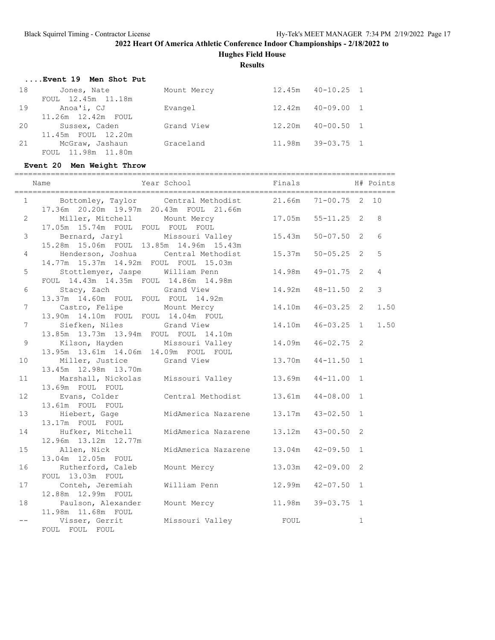**Hughes Field House**

**Results**

|    | Event 19 Men Shot Put |             |        |                       |  |
|----|-----------------------|-------------|--------|-----------------------|--|
| 18 | Jones, Nate           | Mount Mercy | 12.45m | $40 - 10.25$ 1        |  |
|    | FOUL 12.45m 11.18m    |             |        |                       |  |
| 19 | Anoa'i, CJ            | Evangel     |        | $12.42m$ $40-09.00$ 1 |  |
|    | 11.26m 12.42m FOUL    |             |        |                       |  |
| 20 | Sussex, Caden         | Grand View  | 12.20m | $40 - 00.50$ 1        |  |
|    | 11.45m FOUL 12.20m    |             |        |                       |  |
| 21 | McGraw, Jashaun       | Graceland   | 11.98m | $39 - 03.75$ 1        |  |
|    | FOUL 11.98m 11.80m    |             |        |                       |  |

# **Event 20 Men Weight Throw**

|                 | ----------------------------                                             |                                                       | ------------------------- |                |                |                |
|-----------------|--------------------------------------------------------------------------|-------------------------------------------------------|---------------------------|----------------|----------------|----------------|
|                 | Year School<br>Name                                                      |                                                       | Finals                    |                |                | H# Points      |
| 1               | 17.36m  20.20m  19.97m  20.43m  FOUL  21.66m                             | Bottomley, Taylor Central Methodist 21.66m 71-00.75 2 |                           |                |                | 10             |
| $\overline{2}$  | Miller, Mitchell Mount Mercy<br>17.05m 15.74m FOUL FOUL FOUL FOUL        |                                                       | 17.05m  55-11.25  2       |                |                | 8              |
| $\mathfrak{Z}$  | 15.28m  15.06m  FOUL  13.85m  14.96m  15.43m                             | Bernard, Jaryl Missouri Valley 15.43m                 |                           | $50 - 07.50$ 2 |                | 6              |
| $\overline{4}$  | Henderson, Joshua<br>14.77m 15.37m 14.92m FOUL FOUL 15.03m               | Central Methodist 15.37m                              |                           | $50 - 05.25$ 2 |                | 5              |
| 5               | Stottlemyer, Jaspe William Penn<br>FOUL 14.43m 14.35m FOUL 14.86m 14.98m |                                                       | 14.98m                    | $49 - 01.75$ 2 |                | $\overline{4}$ |
| 6               | Stacy, Zach Grand View<br>13.37m  14.60m  FOUL  FOUL  FOUL  14.92m       |                                                       | 14.92m                    | $48 - 11.50$ 2 |                | $\mathfrak{Z}$ |
| $7\phantom{.0}$ | Castro, Felipe Mount Mercy<br>13.90m  14.10m  FOUL  FOUL  14.04m  FOUL   |                                                       | 14.10m                    | $46 - 03.25$ 2 |                | 1.50           |
| $\overline{7}$  | Siefken, Niles Grand View<br>13.85m  13.73m  13.94m  FOUL  FOUL  14.10m  |                                                       | 14.10m                    | $46 - 03.25$ 1 |                | 1.50           |
| 9               | Kilson, Hayden<br>13.95m  13.61m  14.06m  14.09m  FOUL  FOUL             | Missouri Valley 14.09m                                |                           | $46 - 02.75$ 2 |                |                |
| 10 <sup>°</sup> | Miller, Justice<br>13.45m  12.98m  13.70m                                | Grand View                                            | 13.70m                    | $44 - 11.50$ 1 |                |                |
| 11              | 13.69m FOUL FOUL                                                         | Marshall, Nickolas Missouri Valley 13.69m             |                           | $44 - 11.00$ 1 |                |                |
| 12              | Evans, Colder Central Methodist<br>13.61m FOUL FOUL                      |                                                       | 13.61m                    | $44 - 08.00 1$ |                |                |
| 13              | Hiebert, Gage<br>13.17m FOUL FOUL                                        | MidAmerica Nazarene 13.17m                            |                           | $43 - 02.50$   | $\mathbf{1}$   |                |
| 14              | Hufker, Mitchell MidAmerica Nazarene 13.12m<br>12.96m 13.12m 12.77m      |                                                       |                           | $43 - 00.50$   | 2              |                |
| 15              | Allen, Nick<br>13.04m 12.05m FOUL                                        | MidAmerica Nazarene 13.04m                            |                           | $42 - 09.50$   | $\mathbf{1}$   |                |
| 16              | Rutherford, Caleb<br>FOUL 13.03m FOUL                                    | Mount Mercy 13.03m                                    |                           | $42 - 09.00$   | $\overline{2}$ |                |
| 17              | Conteh, Jeremiah<br>12.88m  12.99m  FOUL                                 | William Penn                                          | 12.99m                    | $42 - 07.50$   | $\mathbf{1}$   |                |
| 18              | Paulson, Alexander<br>11.98m  11.68m  FOUL                               | 11.98m<br>Mount Mercy                                 |                           | 39-03.75       | $\mathbf{1}$   |                |
|                 | Visser, Gerrit<br>FOUL FOUL FOUL                                         |                                                       |                           |                | $\mathbf 1$    |                |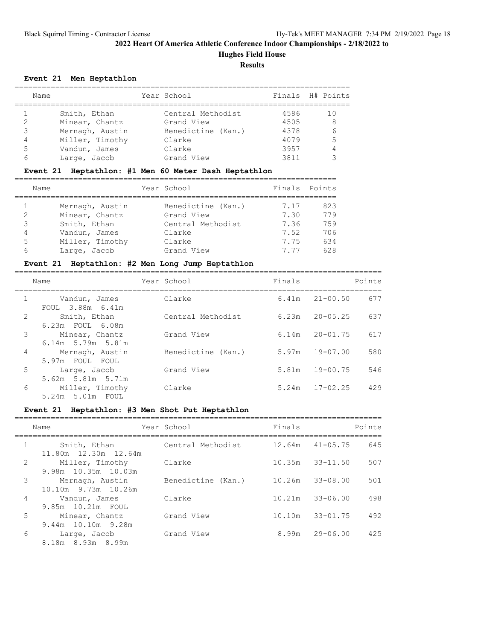**Hughes Field House**

**Results**

### **Event 21 Men Heptathlon**

|   | Name            | Year School        |      | Finals H# Points |
|---|-----------------|--------------------|------|------------------|
|   | Smith, Ethan    | Central Methodist  | 4586 |                  |
|   | Minear, Chantz  | Grand View         | 4505 | 8                |
| 3 | Mernagh, Austin | Benedictine (Kan.) | 4378 |                  |
| 4 | Miller, Timothy | Clarke             | 4079 | 5                |
| 5 | Vandun, James   | Clarke             | 3957 |                  |
| 6 | Large, Jacob    | Grand View         | 3811 |                  |

### **Event 21 Heptathlon: #1 Men 60 Meter Dash Heptathlon**

|               | Name            | Year School        |      | Finals Points |
|---------------|-----------------|--------------------|------|---------------|
|               |                 |                    |      |               |
|               | Mernagh, Austin | Benedictine (Kan.) | 7.17 | 823           |
| $\mathcal{L}$ | Minear, Chantz  | Grand View         | 7.30 | 779           |
| 3             | Smith, Ethan    | Central Methodist  | 7.36 | 759           |
| 4             | Vandun, James   | Clarke             | 7.52 | 706           |
| 5             | Miller, Timothy | Clarke             | 7.75 | 634           |
| 6             | Large, Jacob    | Grand View         | 777  | 628           |

### **Event 21 Heptathlon: #2 Men Long Jump Heptathlon**

|                | Name                                    | Year School        | Finals |                    | Points |
|----------------|-----------------------------------------|--------------------|--------|--------------------|--------|
| $\mathbf{1}$   | Vandun, James<br>FOUL 3.88m 6.41m       | Clarke             |        | $6.41m$ $21-00.50$ | 677    |
| 2              | Smith, Ethan<br>6.23m FOUL 6.08m        | Central Methodist  | 6.23m  | $20 - 05.25$       | 637    |
| 3              | Minear, Chantz<br>6.14m 5.79m 5.81m     | Grand View         | 6.14m  | $20 - 01.75$       | 617    |
| $\overline{4}$ | Mernagh, Austin<br>5.97m FOUL FOUL      | Benedictine (Kan.) |        | $5.97m$ 19-07.00   | 580    |
| 5              | Large, Jacob<br>$5.62m$ $5.81m$ $5.71m$ | Grand View         |        | $5.81m$ $19-00.75$ | 546    |
| 6              | Miller, Timothy<br>5.24m 5.01m FOUL     | Clarke             |        | $5.24m$ $17-02.25$ | 429    |

### **Event 21 Heptathlon: #3 Men Shot Put Heptathlon**

|                | Name                                   | Year School        | Finals              |                    | Points |
|----------------|----------------------------------------|--------------------|---------------------|--------------------|--------|
| $\mathbf{1}$   | Smith, Ethan<br>11.80m 12.30m 12.64m   | Central Methodist  | 12.64m 41-05.75     |                    | 645    |
| 2              | Miller, Timothy<br>9.98m 10.35m 10.03m | Clarke             | $10.35m$ $33-11.50$ |                    | 507    |
| 3              | Mernagh, Austin<br>10.10m 9.73m 10.26m | Benedictine (Kan.) | 10.26m              | $33 - 08.00$       | 501    |
| $\overline{4}$ | Vandun, James<br>9.85m 10.21m FOUL     | Clarke             | 10.21m              | $33 - 06.00$       | 498    |
| 5              | Minear, Chantz<br>9.44m 10.10m 9.28m   | Grand View         | 10.10m              | $33 - 01.75$       | 492    |
| 6              | Large, Jacob<br>8.18m 8.93m 8.99m      | Grand View         |                     | $8.99m$ $29-06.00$ | 425    |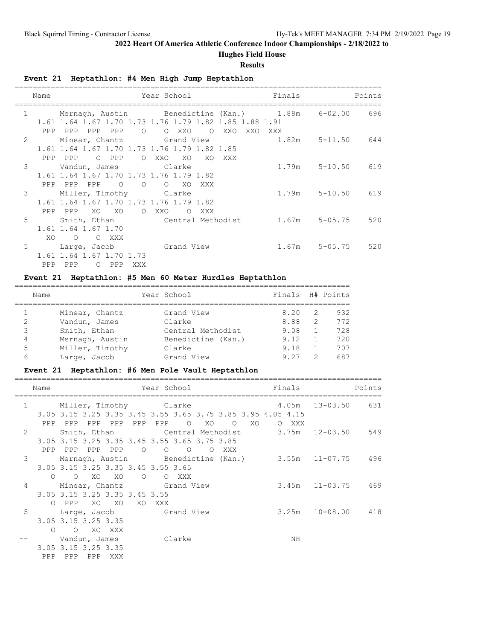## **Hughes Field House**

#### **Results**

**Event 21 Heptathlon: #4 Men High Jump Heptathlon**

|              | Name |                                                        |                 |         | Year School |                |                |     |         | Finals                                                                            | Points |
|--------------|------|--------------------------------------------------------|-----------------|---------|-------------|----------------|----------------|-----|---------|-----------------------------------------------------------------------------------|--------|
| $\mathbf{1}$ |      |                                                        |                 |         |             |                |                |     |         | Mernagh, Austin Benedictine (Kan.) 1.88m 6-02.00 696                              |        |
|              |      | 1.61 1.64 1.67 1.70 1.73 1.76 1.79 1.82 1.85 1.88 1.91 |                 |         |             |                |                |     |         |                                                                                   |        |
|              |      | PPP PPP PPP PPP                                        |                 | $\circ$ |             | O XXO          | $\overline{O}$ | XXO | XXO XXX |                                                                                   |        |
| 2            |      | Minear, Chantz Grand View                              |                 |         |             |                |                |     |         | $1.82m$ $5-11.50$ $644$                                                           |        |
|              |      | 1.61 1.64 1.67 1.70 1.73 1.76 1.79 1.82 1.85           |                 |         |             |                |                |     |         |                                                                                   |        |
|              |      | PPP PPP                                                | O PPP           |         | O XXO       | XO             | XO             | XXX |         |                                                                                   |        |
| 3            |      | Vandun, James Clarke                                   |                 |         |             |                |                |     |         | $1.79m$ $5-10.50$ 619                                                             |        |
|              |      | 1.61 1.64 1.67 1.70 1.73 1.76 1.79 1.82                |                 |         |             |                |                |     |         |                                                                                   |        |
|              |      | PPP<br>PPP PPP                                         |                 |         | $\circ$     | XO             | XXX            |     |         |                                                                                   |        |
| 3            |      | Miller, Timothy Clarke                                 |                 |         |             |                |                |     |         | $1.79m$ $5-10.50$ 619                                                             |        |
|              |      | 1.61 1.64 1.67 1.70 1.73 1.76 1.79 1.82                |                 |         |             |                |                |     |         |                                                                                   |        |
|              |      | PPP PPP                                                | XO XO           |         | O XXO       | $\overline{O}$ | XXX            |     |         |                                                                                   |        |
| 5            |      |                                                        |                 |         |             |                |                |     |         | Smith, Ethan                 Central Methodist          1.67m     5-05.75     520 |        |
|              |      | 1.61 1.64 1.67 1.70                                    |                 |         |             |                |                |     |         |                                                                                   |        |
|              | XO   | $\circ$                                                | XXX<br>$\Omega$ |         |             |                |                |     |         |                                                                                   |        |
| 5            |      | Large, Jacob Grand View                                |                 |         |             |                |                |     |         | 1.67m 5-05.75 520                                                                 |        |
|              |      | 1.61 1.64 1.67 1.70 1.73                               |                 |         |             |                |                |     |         |                                                                                   |        |
|              |      |                                                        |                 |         |             |                |                |     |         |                                                                                   |        |
|              | PPP  | PPP                                                    | O PPP           | XXX     |             |                |                |     |         |                                                                                   |        |

### **Event 21 Heptathlon: #5 Men 60 Meter Hurdles Heptathlon**

| Name |                 | Year School        | Finals H# Points |                |     |
|------|-----------------|--------------------|------------------|----------------|-----|
|      | Minear, Chantz  | Grand View         | 8.20             | -2             | 932 |
| 2    | Vandun, James   | Clarke             | 8.88             | -2             | 772 |
| 3    | Smith, Ethan    | Central Methodist  | 9.08             | $\overline{1}$ | 728 |
| 4    | Mernagh, Austin | Benedictine (Kan.) | 9.12             |                | 720 |
| 5    | Miller, Timothy | Clarke             | 9.18             |                | 707 |
| 6    | Large, Jacob    | Grand View         | 9.27             | $\mathcal{P}$  | 687 |

### **Event 21 Heptathlon: #6 Men Pole Vault Heptathlon**

|                | Name     |                                    |        |                        |                |          | Year School in the School and the School and School         |         |    |       |    | Finals                                                | Points |
|----------------|----------|------------------------------------|--------|------------------------|----------------|----------|-------------------------------------------------------------|---------|----|-------|----|-------------------------------------------------------|--------|
| $\mathbf{1}$   |          |                                    |        | Miller, Timothy Clarke |                |          |                                                             |         |    |       |    | 4.05m 13-03.50 631                                    |        |
|                |          |                                    |        |                        |                |          | 3.05 3.15 3.25 3.35 3.45 3.55 3.65 3.75 3.85 3.95 4.05 4.15 |         |    |       |    |                                                       |        |
|                |          | PPP PPP                            |        | PPP PPP PPP            |                |          | PPP O XO                                                    | $\circ$ | XO | O XXX |    |                                                       |        |
| 2              |          |                                    |        |                        |                |          |                                                             |         |    |       |    | Smith, Ethan Central Methodist 3.75m 12-03.50 549     |        |
|                |          |                                    |        |                        |                |          | 3.05 3.15 3.25 3.35 3.45 3.55 3.65 3.75 3.85                |         |    |       |    |                                                       |        |
|                |          | PPP PPP PPP PPP                    |        |                        | $\overline{O}$ | $\Omega$ | O OXXX                                                      |         |    |       |    |                                                       |        |
| 3              |          |                                    |        |                        |                |          |                                                             |         |    |       |    | Mernagh, Austin Benedictine (Kan.) 3.55m 11-07.75 496 |        |
|                |          | 3.05 3.15 3.25 3.35 3.45 3.55 3.65 |        |                        |                |          |                                                             |         |    |       |    |                                                       |        |
|                |          | $O$ $O$ $XO$ $XO$ $O$              |        |                        |                | O XXX    |                                                             |         |    |       |    |                                                       |        |
| $\overline{4}$ |          | Minear, Chantz Grand View          |        |                        |                |          |                                                             |         |    |       |    | $3.45m$ $11-03.75$ $469$                              |        |
|                |          | 3.05 3.15 3.25 3.35 3.45 3.55      |        |                        |                |          |                                                             |         |    |       |    |                                                       |        |
|                |          | O PPP                              |        | xo xo xo xxx           |                |          |                                                             |         |    |       |    |                                                       |        |
| 5              |          | Large, Jacob Grand View            |        |                        |                |          |                                                             |         |    |       |    | $3.25m$ $10-08.00$ $418$                              |        |
|                |          | 3.05 3.15 3.25 3.35                |        |                        |                |          |                                                             |         |    |       |    |                                                       |        |
|                | $\Omega$ | $\circ$                            | XO XXX |                        |                |          |                                                             |         |    |       |    |                                                       |        |
|                |          | Vandun, James Clarke               |        |                        |                |          |                                                             |         |    |       | ΝH |                                                       |        |
|                |          | 3.05 3.15 3.25 3.35                |        |                        |                |          |                                                             |         |    |       |    |                                                       |        |
|                | PPP      | PPP                                |        | PPP XXX                |                |          |                                                             |         |    |       |    |                                                       |        |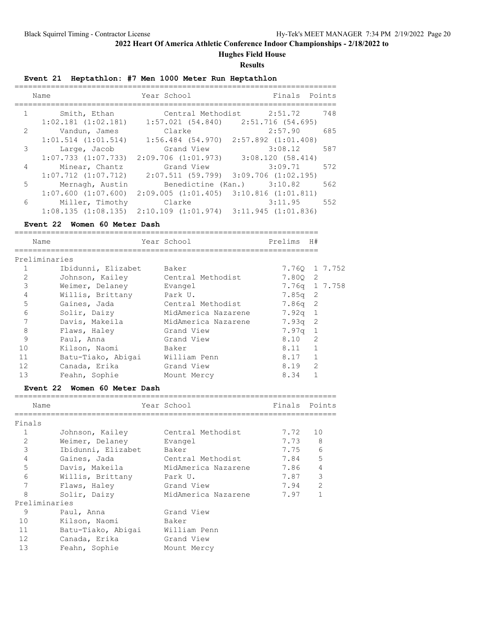**Hughes Field House**

#### **Results**

**Event 21 Heptathlon: #7 Men 1000 Meter Run Heptathlon**

|                | Name                    | Year School                                     | Finals                                  | Points |
|----------------|-------------------------|-------------------------------------------------|-----------------------------------------|--------|
| 1              | Smith, Ethan            |                                                 | Central Methodist 2:51.72               | 748    |
|                | $1:02.181$ $(1:02.181)$ |                                                 | $1:57.021$ (54.840) 2:51.716 (54.695)   |        |
| 2              | Vandun, James           | Clarke                                          | 2:57.90                                 | 685    |
|                | $1:01.514$ $(1:01.514)$ |                                                 | $1:56.484$ (54.970) 2:57.892 (1:01.408) |        |
| 3              | Large, Jacob            | Grand View                                      | 3:08.12                                 | 587    |
|                | $1:07.733$ $(1:07.733)$ | $2:09.706$ $(1:01.973)$ $3:08.120$ $(58.414)$   |                                         |        |
| $\overline{4}$ | Minear, Chantz          | Grand View                                      | 3:09.71                                 | 572    |
|                | $1:07.712$ $(1:07.712)$ | $2:07.511$ (59.799) 3:09.706 (1:02.195)         |                                         |        |
| 5              | Mernagh, Austin         |                                                 | Benedictine (Kan.) 3:10.82              | 562    |
|                | $1:07.600$ $(1:07.600)$ | $2:09.005$ $(1:01.405)$ $3:10.816$ $(1:01.811)$ |                                         |        |
| 6              | Miller, Timothy         | Clarke                                          | 3:11.95                                 | 552    |
|                | $1:08.135$ $(1:08.135)$ | $2:10.109$ $(1:01.974)$ $3:11.945$ $(1:01.836)$ |                                         |        |

#### **Event 22 Women 60 Meter Dash**

|    | Name               | Year School         | Prelims       | H#             |  |
|----|--------------------|---------------------|---------------|----------------|--|
|    | Preliminaries      |                     |               |                |  |
|    | Ibidunni, Elizabet | Baker               | 7.760 1 7.752 |                |  |
| 2  | Johnson, Kailey    | Central Methodist   | 7.800 2       |                |  |
| 3  | Weimer, Delaney    | Evangel             | 7.76g 1 7.758 |                |  |
| 4  | Willis, Brittany   | Park U.             | $7.85q$ 2     |                |  |
| 5  | Gaines, Jada       | Central Methodist   | $7.86q$ 2     |                |  |
| 6  | Solir, Daizy       | MidAmerica Nazarene | 7.92q 1       |                |  |
| 7  | Davis, Makeila     | MidAmerica Nazarene | $7.93q$ 2     |                |  |
| 8  | Flaws, Haley       | Grand View          | 7.97q 1       |                |  |
| 9  | Paul, Anna         | Grand View          | 8.10          | 2              |  |
| 10 | Kilson, Naomi      | Baker               | 8.11          | $\mathbf{1}$   |  |
| 11 | Batu-Tiako, Abigai | William Penn        | 8.17          | $\mathbf{1}$   |  |
| 12 | Canada, Erika      | Grand View          | 8.19          | $\overline{2}$ |  |
| 13 | Feahn, Sophie      | Mount Mercy         | 8.34          |                |  |

#### **Event 22 Women 60 Meter Dash**

| Name            |                    | Year School         | Finals Points |                |
|-----------------|--------------------|---------------------|---------------|----------------|
|                 |                    |                     |               |                |
| Finals          |                    |                     |               |                |
| 1               | Johnson, Kailey    | Central Methodist   | 7.72          | 10             |
| $\overline{2}$  | Weimer, Delaney    | Evangel             | 7.73 8        |                |
| 3               | Ibidunni, Elizabet | Baker               | 7.75          | 6              |
| $\overline{4}$  | Gaines, Jada       | Central Methodist   | 7.84          | 5              |
| 5               | Davis, Makeila     | MidAmerica Nazarene | 7.86          | $\overline{4}$ |
| 6               | Willis, Brittany   | Park U.             | 7.87          | 3              |
| 7               | Flaws, Haley       | Grand View          | 7.94          | $\mathcal{L}$  |
| 8               | Solir, Daizy       | MidAmerica Nazarene | 7.97          |                |
| Preliminaries   |                    |                     |               |                |
| 9               | Paul, Anna         | Grand View          |               |                |
| 10              | Kilson, Naomi      | Baker               |               |                |
| 11              | Batu-Tiako, Abigai | William Penn        |               |                |
| 12 <sup>°</sup> | Canada, Erika      | Grand View          |               |                |
| 13              | Feahn, Sophie      | Mount Mercy         |               |                |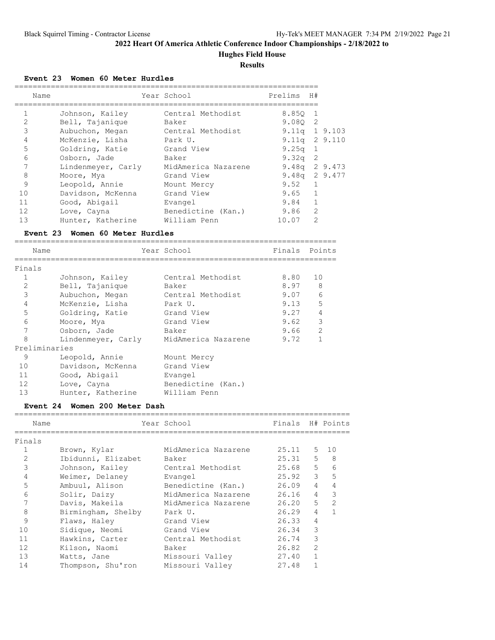**Hughes Field House**

**Results**

**Event 23 Women 60 Meter Hurdles**

| Name           |                                      | Year School         | Prelims           | H#             |  |  |  |  |  |  |  |
|----------------|--------------------------------------|---------------------|-------------------|----------------|--|--|--|--|--|--|--|
|                |                                      |                     |                   |                |  |  |  |  |  |  |  |
| $\mathbf{1}$   | Johnson, Kailey                      | Central Methodist   | 8.850 1           |                |  |  |  |  |  |  |  |
| $\overline{2}$ | Bell, Tajanique                      | Baker               | 9.0802            |                |  |  |  |  |  |  |  |
| 3              | Aubuchon, Megan                      | Central Methodist   | $9.11q$ 1 $9.103$ |                |  |  |  |  |  |  |  |
| $\overline{4}$ | McKenzie, Lisha                      | Park U.             | $9.11q$ 2 $9.110$ |                |  |  |  |  |  |  |  |
| 5              | Goldring, Katie Grand View           |                     | 9.25 <sub>q</sub> | 1              |  |  |  |  |  |  |  |
| 6              | Osborn, Jade                         | Baker               | $9.32q$ 2         |                |  |  |  |  |  |  |  |
| 7              | Lindenmeyer, Carly                   | MidAmerica Nazarene | $9.48q$ 2 9.473   |                |  |  |  |  |  |  |  |
| 8              | Moore, Mya                           | Grand View          | $9.48q$ 2 9.477   |                |  |  |  |  |  |  |  |
| 9              | Leopold, Annie                       | Mount Mercy         | $9.52 \quad 1$    |                |  |  |  |  |  |  |  |
| 10             | Davidson, McKenna                    | Grand View          | $9.65 \quad 1$    |                |  |  |  |  |  |  |  |
| 11             | Good, Abigail                        | Evangel             | 9.84              | $\mathbf{1}$   |  |  |  |  |  |  |  |
| 12             | Love, Cayna                          | Benedictine (Kan.)  | 9.86              | $\overline{2}$ |  |  |  |  |  |  |  |
| 13             | Hunter, Katherine                    | William Penn        | 10.07             | 2              |  |  |  |  |  |  |  |
|                | Woman 60 Matar Hurdlas<br>$Exant$ 23 |                     |                   |                |  |  |  |  |  |  |  |

**Event 23 Women 60 Meter Hurdles** ======================================================================= Name Year School Finals Points ======================================================================= Finals 1 Johnson, Kailey Central Methodist 8.80 10 2 Bell, Tajanique Baker 8.97 8 3 Aubuchon, Megan Central Methodist 9.07 6 4 McKenzie, Lisha Park U. 9.13 5 5 Goldring, Katie Grand View 9.27 4 6 Moore, Mya Grand View 9.62 3 7 Osborn, Jade Baker 9.66 2 8 Lindenmeyer, Carly MidAmerica Nazarene 9.72 1 Preliminaries 9 1 Leopold, Annie 19 Mount Mercy 10 Davidson, McKenna Grand View 11 Good, Abigail Evangel 12 Love, Cayna **Benedictine** (Kan.) 13 Hunter, Katherine William Penn

#### **Event 24 Women 200 Meter Dash**

| Name           |                    | Year School         | Finals H# Points |                |               |
|----------------|--------------------|---------------------|------------------|----------------|---------------|
| Finals         |                    |                     |                  |                |               |
|                | Brown, Kylar       | MidAmerica Nazarene | 25.11            | 5              | 10            |
| $\overline{2}$ | Ibidunni, Elizabet | Baker               | $25.31 - 5$      |                | - 8           |
| 3              | Johnson, Kailey    | Central Methodist   | $25.68$ 5        |                | 6             |
| $\overline{4}$ | Weimer, Delaney    | Evangel             | $25.92$ 3 5      |                |               |
| 5              | Ambuul, Alison     | Benedictine (Kan.)  | 26.09            | $\overline{4}$ | 4             |
| 6              | Solir, Daizy       | MidAmerica Nazarene | 26.16            |                | $4 \quad 3$   |
| 7              | Davis, Makeila     | MidAmerica Nazarene | 26.20            | $5^{\circ}$    | $\mathcal{L}$ |
| 8              | Birmingham, Shelby | Park U.             | 26.29            | $\overline{4}$ |               |
| 9              | Flaws, Haley       | Grand View          | 26.33            | $\overline{4}$ |               |
| 10             | Sidique, Neomi     | Grand View          | 26.34            | 3              |               |
| 11             | Hawkins, Carter    | Central Methodist   | 26.74            | 3              |               |
| 12             | Kilson, Naomi      | Baker               | 26.82            | $\overline{2}$ |               |
| 13             | Watts, Jane        | Missouri Valley     | 27.40            | $\mathbf{1}$   |               |
| 14             | Thompson, Shu'ron  | Missouri Valley     | 27.48            |                |               |
|                |                    |                     |                  |                |               |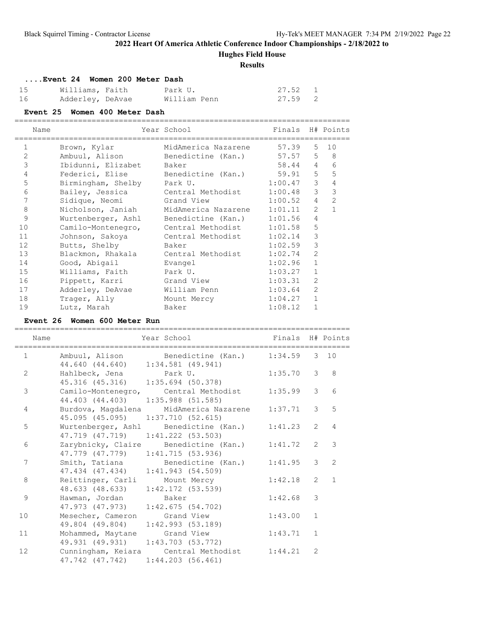**Hughes Field House**

#### **Results**

|    | Event 24 Women 200 Meter Dash |  |              |         |  |
|----|-------------------------------|--|--------------|---------|--|
| 15 | Williams, Faith               |  | Park U.      | 27.52 1 |  |
| 16 | Adderley, DeAvae              |  | William Penn | 27.59 2 |  |

| Event 25 Women 400 Meter Dash |                                          |                                                 |                  |                 |                |  |  |  |  |  |  |
|-------------------------------|------------------------------------------|-------------------------------------------------|------------------|-----------------|----------------|--|--|--|--|--|--|
| Name                          |                                          | Year School<br>________________________________ | Finals H# Points |                 |                |  |  |  |  |  |  |
| $\mathbf{1}$                  | Brown, Kylar                             | MidAmerica Nazarene                             | 57.39            |                 | $5 \quad 10$   |  |  |  |  |  |  |
| 2                             | Ambuul, Alison Benedictine (Kan.)        |                                                 | $57.57$ 5 8      |                 |                |  |  |  |  |  |  |
| 3                             | Ibidunni, Elizabet Baker                 |                                                 | 58.44            | $\overline{4}$  | 6              |  |  |  |  |  |  |
| $\overline{4}$                | Federici, Elise Benedictine (Kan.) 59.91 |                                                 |                  | $5 -$           | 5              |  |  |  |  |  |  |
| 5                             | Birmingham, Shelby Park U.               |                                                 | 1:00.47          | 3 <sup>7</sup>  | $\overline{4}$ |  |  |  |  |  |  |
| 6                             | Bailey, Jessica Central Methodist        |                                                 | 1:00.48          | 3 <sup>7</sup>  | $\mathcal{S}$  |  |  |  |  |  |  |
| $\overline{7}$                | Sidique, Neomi                           | Grand View                                      | 1:00.52          | $4\overline{ }$ | $\overline{2}$ |  |  |  |  |  |  |
| 8                             | Nicholson, Janiah MidAmerica Nazarene    |                                                 | 1:01.11          |                 | $2 \quad 1$    |  |  |  |  |  |  |
| 9                             | Wurtenberger, Ashl Benedictine (Kan.)    |                                                 | 1:01.56          | $\overline{4}$  |                |  |  |  |  |  |  |
| 10                            | Camilo-Montenegro, Central Methodist     |                                                 | 1:01.58          | 5               |                |  |  |  |  |  |  |
| 11                            | Johnson, Sakoya     Central Methodist    |                                                 | 1:02.14          | 3               |                |  |  |  |  |  |  |
| 12                            | Butts, Shelby                            | Baker                                           | 1:02.59          | 3               |                |  |  |  |  |  |  |
| 13                            | Blackmon, Rhakala Central Methodist      |                                                 | 1:02.74          | $\overline{2}$  |                |  |  |  |  |  |  |
| 14                            | Good, Abigail                            | Evangel                                         | 1:02.96          | $\mathbf{1}$    |                |  |  |  |  |  |  |
| 15                            | Williams, Faith                          | Park U.                                         | 1:03.27          | $\mathbf{1}$    |                |  |  |  |  |  |  |
| 16                            | Pippett, Karri                           | Grand View                                      | 1:03.31          | 2               |                |  |  |  |  |  |  |
| 17                            | Adderley, DeAvae                         | William Penn                                    | 1:03.64          | $\overline{2}$  |                |  |  |  |  |  |  |
| 18                            | Trager, Ally                             | Mount Mercy                                     | 1:04.27          | $\mathbf{1}$    |                |  |  |  |  |  |  |
| 19                            | Lutz, Marah                              | Baker                                           | 1:08.12          | $\mathbf{1}$    |                |  |  |  |  |  |  |

### **Event 26 Women 600 Meter Run**

| Name              | Year School                                                                            | Finals H# Points                |                |                |
|-------------------|----------------------------------------------------------------------------------------|---------------------------------|----------------|----------------|
| $1 \qquad \qquad$ | Ambuul, Alison Benedictine (Kan.) 1:34.59 3 10<br>44.640 (44.640) 1:34.581 (49.941)    | _______________________________ |                |                |
| 2                 | Hahlbeck, Jena Park U.<br>45.316 (45.316) 1:35.694 (50.378)                            | $1:35.70$ 3 8                   |                |                |
| 3                 | Camilo-Montenegro, Central Methodist<br>44.403 (44.403) 1:35.988 (51.585)              | 1:35.99                         | 3              | 6              |
| 4                 | Burdova, Magdalena MidAmerica Nazarene<br>45.095 (45.095) 1:37.710 (52.615)            | $1:37.71$ 3 5                   |                |                |
| 5                 | Wurtenberger, Ashl Benedictine (Kan.) 1:41.23 2 4<br>47.719 (47.719) 1:41.222 (53.503) |                                 |                |                |
| 6                 | Zarybnicky, Claire Benedictine (Kan.) 1:41.72 2 3<br>47.779 (47.779) 1:41.715 (53.936) |                                 |                |                |
| 7                 | Smith, Tatiana Benedictine (Kan.) 1:41.95 3 2<br>47.434 (47.434) 1:41.943 (54.509)     |                                 |                |                |
| 8                 | Reittinger, Carli Mount Mercy<br>48.633 (48.633) 1:42.172 (53.539)                     | 1:42.18                         | $\overline{2}$ | $\overline{1}$ |
| 9                 | Hawman, Jordan Baker<br>47.973 (47.973) 1:42.675 (54.702)                              | 1:42.68                         | 3              |                |
| 10                | Mesecher, Cameron Grand View<br>49.804 (49.804) 1:42.993 (53.189)                      | 1:43.00 1                       |                |                |
| 11                | Mohammed, Maytane Grand View<br>49.931 (49.931) 1:43.703 (53.772)                      | 1:43.71 1                       |                |                |
| 12                | Cunningham, Keiara Central Methodist<br>47.742 (47.742) 1:44.203 (56.461)              | 1:44.21                         | 2              |                |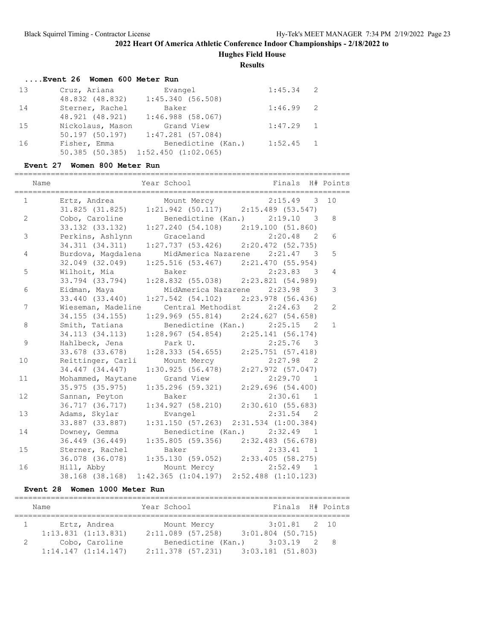**Hughes Field House**

**Results**

|    | Event 26 Women 600 Meter Run           |             |  |
|----|----------------------------------------|-------------|--|
| 13 | Cruz, Ariana<br>Evangel                | $1:45.34$ 2 |  |
|    | 48.832 (48.832) 1:45.340 (56.508)      |             |  |
| 14 | Baker<br>Sterner, Rachel               | $1:46.99$ 2 |  |
|    | 48.921 (48.921)<br>$1:46.988$ (58.067) |             |  |
| 15 | Nickolaus, Mason<br>Grand View         | $1:47.29$ 1 |  |
|    | $50.197$ (50.197) $1:47.281$ (57.084)  |             |  |
| 16 | Benedictine (Kan.)<br>Fisher, Emma     | $1:52.45$ 1 |  |
|    | $50.385$ (50.385) 1:52.450 (1:02.065)  |             |  |

## **Event 27 Women 800 Meter Run**

| Name                   |                 | Year School National School Einals H# Points                                                   |                                         |                |
|------------------------|-----------------|------------------------------------------------------------------------------------------------|-----------------------------------------|----------------|
| $1 \quad \blacksquare$ |                 | Ertz, Andrea Mount Mercy 2:15.49 3 10                                                          |                                         |                |
|                        |                 | 31.825 (31.825) 1:21.942 (50.117) 2:15.489 (53.547)                                            |                                         |                |
| $\mathbf{2}^{\prime}$  |                 | Cobo, Caroline Benedictine (Kan.) 2:19.10 3                                                    |                                         | 8              |
|                        |                 | 33.132 (33.132) 1:27.240 (54.108) 2:19.100 (51.860)                                            |                                         |                |
| 3                      |                 | Perkins, Ashlynn Graceland 2:20.48 2<br>34.311 (34.311) 1:27.737 (53.426) 2:20.472 (52.735)    |                                         | 6              |
|                        |                 |                                                                                                |                                         |                |
| $\overline{4}$         |                 | Burdova, Magdalena MidAmerica Nazarene 2:21.47 3                                               |                                         | 5              |
|                        |                 | 32.049 (32.049) 1:25.516 (53.467) 2:21.470 (55.954)                                            |                                         |                |
| 5                      | Wilhoit, Mia    | Baker                                                                                          | $2:23.83$ 3                             | $\overline{4}$ |
|                        |                 | 33.794 (33.794) 1:28.832 (55.038) 2:23.821 (54.989)                                            |                                         |                |
| 6                      |                 | Eidman, Maya MidAmerica Nazarene 2:23.98 3                                                     |                                         | 3              |
|                        |                 | 33.440 (33.440) 1:27.542 (54.102) 2:23.978 (56.436)                                            |                                         |                |
| 7                      |                 | Wieseman, Madeline Central Methodist 2:24.63 2                                                 |                                         | $\mathbf{2}$   |
|                        | 34.155 (34.155) |                                                                                                | $1:29.969$ (55.814) $2:24.627$ (54.658) |                |
| 8                      | Smith, Tatiana  |                                                                                                | Benedictine (Kan.) 2:25.15 2            | $\mathbf{1}$   |
|                        |                 | 34.113 (34.113) 1:28.967 (54.854) 2:25.141 (56.174)                                            |                                         |                |
| 9                      |                 | Hahlbeck, Jena Park U. 2:25.76 3<br>33.678 (33.678) 1:28.333 (54.655) 2:25.751 (57.418)        | $2:25.76$ 3                             |                |
|                        |                 |                                                                                                |                                         |                |
| 10                     |                 | Reittinger, Carli Mount Mercy 2:27.98 2<br>34.447 (34.447) 1:30.925 (56.478) 2:27.972 (57.047) |                                         |                |
|                        |                 |                                                                                                |                                         |                |
| 11                     |                 | Mohammed, Maytane Grand View                                                                   | 2:29.70 1                               |                |
|                        | 35.975 (35.975) |                                                                                                | 1:35.296 (59.321) 2:29.696 (54.400)     |                |
| 12                     | Sannan, Peyton  | Baker                                                                                          | 2:30.61 1                               |                |
|                        |                 | 36.717 (36.717) 1:34.927 (58.210) 2:30.610 (55.683)                                            |                                         |                |
| 13                     | Adams, Skylar   | Evangel                                                                                        | $2:31.54$ 2                             |                |
|                        |                 | 33.887 (33.887) 1:31.150 (57.263) 2:31.534 (1:00.384)                                          |                                         |                |
| 14                     | Downey, Gemma   | 36.449 (36.449) 1:35.805 (59.356) 2:32.483 (56.678)                                            | Benedictine (Kan.) 2:32.49 1            |                |
| 15                     | Sterner, Rachel | Baker                                                                                          | 2:33.41 1                               |                |
|                        |                 | 36.078 (36.078) 1:35.130 (59.052) 2:33.405 (58.275)                                            |                                         |                |
| 16                     |                 |                                                                                                |                                         |                |
|                        |                 | Hill, Abby Mount Mercy 2:52.49 1<br>38.168 (38.168) 1:42.365 (1:04.197) 2:52.488 (1:10.123)    |                                         |                |
|                        |                 |                                                                                                |                                         |                |

### **Event 28 Women 1000 Meter Run**

|   | Name                    | Year School         | Finals H# Points    |  |
|---|-------------------------|---------------------|---------------------|--|
|   |                         |                     |                     |  |
|   | Ertz, Andrea            | Mount Mercy         | $3:01.81$ 2 10      |  |
|   | $1:13.831$ $(1:13.831)$ | $2:11.089$ (57.258) | $3:01.804$ (50.715) |  |
| 2 | Cobo, Caroline          | Benedictine (Kan.)  | $3:03.19$ 2 8       |  |
|   | 1:14.147(1:14.147)      | 2:11.378 (57.231)   | 3:03.181 (51.803)   |  |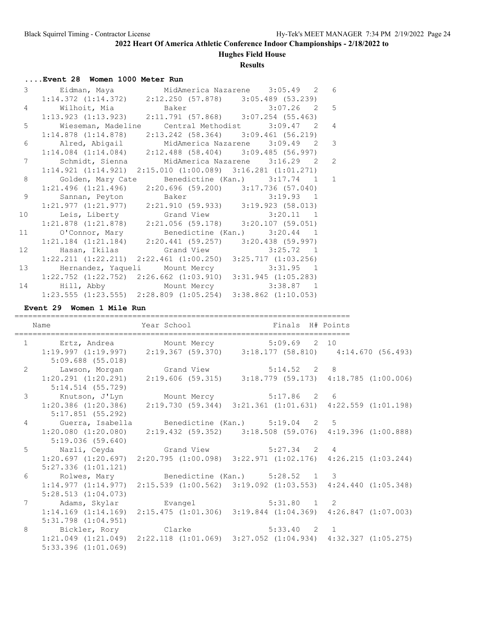# **Hughes Field House**

### **Results**

# **....Event 28 Women 1000 Meter Run**

|       | 3 Eidman, Maya MidAmerica Nazarene 3:05.49 2 6                                              |                                                                                           |                                                                         |                |
|-------|---------------------------------------------------------------------------------------------|-------------------------------------------------------------------------------------------|-------------------------------------------------------------------------|----------------|
|       |                                                                                             |                                                                                           | $1:14.372$ $(1:14.372)$ $2:12.250$ $(57.878)$ $3:05.489$ $(53.239)$     |                |
|       | 4 Wilhoit, Mia Baker 3:07.26 2 5<br>1:13.923 (1:13.923) 2:11.791 (57.868) 3:07.254 (55.463) |                                                                                           |                                                                         |                |
|       |                                                                                             |                                                                                           |                                                                         |                |
| $5 -$ |                                                                                             |                                                                                           | Wieseman, Madeline Central Methodist 3:09.47 2                          | $\overline{4}$ |
|       |                                                                                             |                                                                                           | $1:14.878$ (1:14.878) $2:13.242$ (58.364) $3:09.461$ (56.219)           |                |
|       | 6 Alred, Abigail MidAmerica Nazarene 3:09.49 2                                              |                                                                                           |                                                                         | 3              |
|       |                                                                                             |                                                                                           | $1:14.084$ (1:14.084) $2:12.488$ (58.404) 3:09.485 (56.997)             |                |
| 7     |                                                                                             |                                                                                           | Schmidt, Sienna MidAmerica Nazarene 3:16.29 2                           | 2              |
|       |                                                                                             |                                                                                           | $1:14.921$ $(1:14.921)$ $2:15.010$ $(1:00.089)$ $3:16.281$ $(1:01.271)$ |                |
| 8     |                                                                                             |                                                                                           | Golden, Mary Cate Benedictine (Kan.) 3:17.74 1 1                        |                |
|       |                                                                                             | $1:21.496$ $(1:21.496)$ $2:20.696$ $(59.200)$ $3:17.736$ $(57.040)$                       |                                                                         |                |
| 9     |                                                                                             | Sannan, Peyton Baker 3:19.93 1<br>1:21.977 (1:21.977) 2:21.910 (59.933) 3:19.923 (58.013) |                                                                         |                |
|       |                                                                                             |                                                                                           |                                                                         |                |
| 10    |                                                                                             | Leis, Liberty Grand View 3:20.11 1                                                        |                                                                         |                |
|       |                                                                                             | $1:21.878$ $(1:21.878)$ $2:21.056$ $(59.178)$ $3:20.107$ $(59.051)$                       |                                                                         |                |
|       | 11 O'Connor, Mary Benedictine (Kan.) 3:20.44 1                                              |                                                                                           |                                                                         |                |
|       |                                                                                             | $1:21.184$ $(1:21.184)$ $2:20.441$ $(59.257)$ $3:20.438$ $(59.997)$                       |                                                                         |                |
|       |                                                                                             |                                                                                           |                                                                         |                |
|       |                                                                                             | $1:22.211$ $(1:22.211)$ $2:22.461$ $(1:00.250)$ $3:25.717$ $(1:03.256)$                   |                                                                         |                |
|       | 13 Hernandez, Yaqueli Mount Mercy 3:31.95 1                                                 |                                                                                           |                                                                         |                |
|       | $1:22.752$ $(1:22.752)$ $2:26.662$ $(1:03.910)$ $3:31.945$ $(1:05.283)$                     |                                                                                           |                                                                         |                |
|       | 14 Hill, Abby Mount Mercy 3:38.87 1                                                         |                                                                                           |                                                                         |                |
|       |                                                                                             | $1:23.555$ $(1:23.555)$ $2:28.809$ $(1:05.254)$ $3:38.862$ $(1:10.053)$                   |                                                                         |                |

#### **Event 29 Women 1 Mile Run**

| Name           |                                                                                                                                             | ============================ | Year School <a> Finals H# Points<br/>________________________________</a>                       |  |
|----------------|---------------------------------------------------------------------------------------------------------------------------------------------|------------------------------|-------------------------------------------------------------------------------------------------|--|
|                | 1 Ertz, Andrea Mount Mercy 5:09.69 2 10<br>$1:19.997$ (1:19.997) 2:19.367 (59.370) 3:18.177 (58.810) 4:14.670 (56.493)<br>5:09.688 (55.018) |                              |                                                                                                 |  |
|                | 2 Lawson, Morgan Grand View 5:14.52 2 8<br>1:20.291 (1:20.291) 2:19.606 (59.315) 3:18.779 (59.173) 4:18.785 (1:00.006)<br>5:14.514(55.729)  |                              |                                                                                                 |  |
|                | 3 Knutson, J'Lyn Mount Mercy 5:17.86 2 6<br>5:17.851 (55.292)                                                                               |                              | $1:20.386$ (1:20.386) $2:19.730$ (59.344) 3:21.361 (1:01.631) 4:22.559 (1:01.198)               |  |
|                | 4 Guerra, Isabella Benedictine (Kan.) 5:19.04 2 5<br>5:19.036 (59.640)                                                                      |                              | $1:20.080$ (1:20.080) $2:19.432$ (59.352) $3:18.508$ (59.076) $4:19.396$ (1:00.888)             |  |
| 5 <sup>5</sup> | $5:27.336$ $(1:01.121)$                                                                                                                     |                              | $1:20.697$ $(1:20.697)$ $2:20.795$ $(1:00.098)$ $3:22.971$ $(1:02.176)$ $4:26.215$ $(1:03.244)$ |  |
|                | 6 Rolwes, Mary Benedictine (Kan.) 5:28.52 1 3<br>5:28.513(1:04.073)                                                                         |                              | $1:14.977$ $(1:14.977)$ $2:15.539$ $(1:00.562)$ $3:19.092$ $(1:03.553)$ $4:24.440$ $(1:05.348)$ |  |
|                | 7 Adams, Skylar Bvangel 5:31.80 1 2<br>$5:31.798$ $(1:04.951)$                                                                              |                              | 1:14.169 (1:14.169) 2:15.475 (1:01.306) 3:19.844 (1:04.369) 4:26.847 (1:07.003)                 |  |
|                | 8 Bickler, Rory Clarke 5:33.40 2 1<br>$5:33.396$ $(1:01.069)$                                                                               |                              | $1:21.049$ $(1:21.049)$ $2:22.118$ $(1:01.069)$ $3:27.052$ $(1:04.934)$ $4:32.327$ $(1:05.275)$ |  |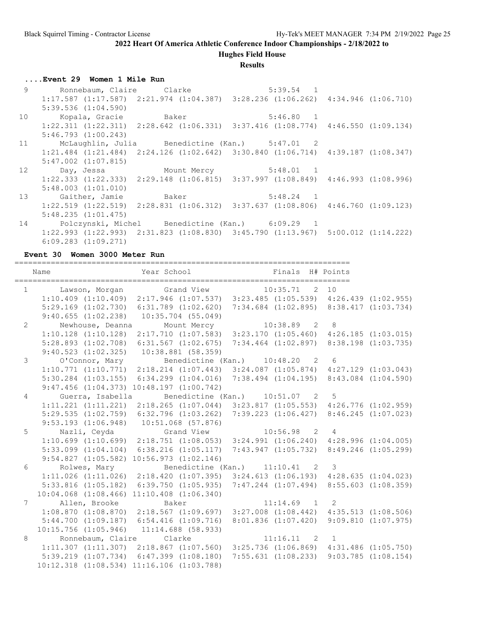**Hughes Field House**

#### **Results**

**....Event 29 Women 1 Mile Run**

|                 | 9 Ronnebaum, Claire Clarke          | $5:39.54$ 1                                                                                     |  |
|-----------------|-------------------------------------|-------------------------------------------------------------------------------------------------|--|
|                 |                                     | $1:17.587$ $(1:17.587)$ $2:21.974$ $(1:04.387)$ $3:28.236$ $(1:06.262)$ $4:34.946$ $(1:06.710)$ |  |
|                 | $5:39.536$ $(1:04.590)$             |                                                                                                 |  |
| 10 <sup>°</sup> |                                     |                                                                                                 |  |
|                 |                                     | $1:22.311$ $(1:22.311)$ $2:28.642$ $(1:06.331)$ $3:37.416$ $(1:08.774)$ $4:46.550$ $(1:09.134)$ |  |
|                 | $5:46.793$ $(1:00.243)$             |                                                                                                 |  |
|                 |                                     | 11 McLaughlin, Julia Benedictine (Kan.) 5:47.01 2                                               |  |
|                 |                                     | $1:21.484$ $(1:21.484)$ $2:24.126$ $(1:02.642)$ $3:30.840$ $(1:06.714)$ $4:39.187$ $(1:08.347)$ |  |
|                 | $5:47.002$ $(1:07.815)$             |                                                                                                 |  |
|                 | 12 Day, Jessa Mount Mercy 5:48.01 1 |                                                                                                 |  |
|                 |                                     |                                                                                                 |  |
|                 |                                     | $1:22.333$ $(1:22.333)$ $2:29.148$ $(1:06.815)$ $3:37.997$ $(1:08.849)$ $4:46.993$ $(1:08.996)$ |  |
|                 | $5:48.003$ $(1:01.010)$             |                                                                                                 |  |
|                 |                                     | 13 Gaither, Jamie Baker 5:48.24 1                                                               |  |
|                 |                                     | $1:22.519$ $(1:22.519)$ $2:28.831$ $(1:06.312)$ $3:37.637$ $(1:08.806)$ $4:46.760$ $(1:09.123)$ |  |
|                 | 5:48.235(1:01.475)                  |                                                                                                 |  |
| 14              |                                     | Polczynski, Michel Benedictine (Kan.) 6:09.29 1                                                 |  |
|                 |                                     | $1:22.993$ $(1:22.993)$ $2:31.823$ $(1:08.830)$ $3:45.790$ $(1:13.967)$ $5:00.012$ $(1:14.222)$ |  |

**Event 30 Women 3000 Meter Run**

|                | Name              | Year School <a> Finals H# Points</a>                                                                                         |                                                 |  |
|----------------|-------------------|------------------------------------------------------------------------------------------------------------------------------|-------------------------------------------------|--|
|                |                   | 1 Lawson, Morgan Grand View 10:35.71 2 10                                                                                    |                                                 |  |
|                |                   | $1:10.409$ $(1:10.409)$ $2:17.946$ $(1:07.537)$ $3:23.485$ $(1:05.539)$ $4:26.439$ $(1:02.955)$                              |                                                 |  |
|                |                   | 5:29.169 (1:02.730) 6:31.789 (1:02.620) 7:34.684 (1:02.895) 8:38.417 (1:03.734)                                              |                                                 |  |
|                |                   | $9:40.655$ $(1:02.238)$ $10:35.704$ $(55.049)$                                                                               |                                                 |  |
| $\overline{2}$ |                   |                                                                                                                              |                                                 |  |
|                |                   | Newhouse, Deanna Mount Mercy 10:38.89 2 8<br>1:10.128 (1:10.128) 2:17.710 (1:07.583) 3:23.170 (1:05.460) 4:26.185 (1:03.015) |                                                 |  |
|                |                   | 5:28.893 (1:02.708) 6:31.567 (1:02.675) 7:34.464 (1:02.897) 8:38.198 (1:03.735)                                              |                                                 |  |
|                |                   | $9:40.523$ $(1:02.325)$ $10:38.881$ $(58.359)$                                                                               |                                                 |  |
| $\mathcal{S}$  |                   | O'Connor, Mary Benedictine (Kan.) 10:48.20 2 6                                                                               |                                                 |  |
|                |                   | $1:10.771$ $(1:10.771)$ $2:18.214$ $(1:07.443)$ $3:24.087$ $(1:05.874)$ $4:27.129$ $(1:03.043)$                              |                                                 |  |
|                |                   | 5:30.284 (1:03.155) 6:34.299 (1:04.016) 7:38.494 (1:04.195) 8:43.084 (1:04.590)                                              |                                                 |  |
|                |                   | $9:47.456$ $(1:04.373)$ $10:48.197$ $(1:00.742)$                                                                             |                                                 |  |
| $\overline{4}$ |                   | Guerra, Isabella Benedictine (Kan.) 10:51.07 2 5                                                                             |                                                 |  |
|                |                   | 1:11.221 (1:11.221) 2:18.265 (1:07.044) 3:23.817 (1:05.553) 4:26.776 (1:02.959)                                              |                                                 |  |
|                |                   | 5:29.535 (1:02.759) 6:32.796 (1:03.262) 7:39.223 (1:06.427) 8:46.245 (1:07.023)                                              |                                                 |  |
|                |                   | $9:53.193$ $(1:06.948)$ $10:51.068$ $(57.876)$                                                                               |                                                 |  |
| 5              |                   |                                                                                                                              |                                                 |  |
|                |                   | $1:10.699$ $(1:10.699)$ $2:18.751$ $(1:08.053)$ $3:24.991$ $(1:06.240)$ $4:28.996$ $(1:04.005)$                              |                                                 |  |
|                |                   | 5:33.099 (1:04.104) 6:38.216 (1:05.117) 7:43.947 (1:05.732) 8:49.246 (1:05.299)                                              |                                                 |  |
|                |                   | $9:54.827$ $(1:05.582)$ $10:56.973$ $(1:02.146)$                                                                             |                                                 |  |
| 6              |                   | Rolwes, Mary Benedictine (Kan.) 11:10.41 2 3                                                                                 |                                                 |  |
|                |                   | 1:11.026 (1:11.026) 2:18.420 (1:07.395) 3:24.613 (1:06.193) 4:28.635 (1:04.023)                                              |                                                 |  |
|                |                   | 5:33.816 (1:05.182) 6:39.750 (1:05.935) 7:47.244 (1:07.494) 8:55.603 (1:08.359)                                              |                                                 |  |
|                |                   | $10:04.068$ $(1:08.466)$ $11:10.408$ $(1:06.340)$                                                                            |                                                 |  |
|                | 7 Allen, Brooke   | Baker                                                                                                                        | $11:14.69$ 1 2                                  |  |
|                |                   | 1:08.870 (1:08.870) 2:18.567 (1:09.697) 3:27.008 (1:08.442) 4:35.513 (1:08.506)                                              |                                                 |  |
|                |                   | 5:44.700 (1:09.187) 6:54.416 (1:09.716) 8:01.836 (1:07.420) 9:09.810 (1:07.975)                                              |                                                 |  |
|                |                   | $10:15.756$ $(1:05.946)$ $11:14.688$ $(58.933)$                                                                              |                                                 |  |
| 8              | Ronnebaum, Claire | Clarke                                                                                                                       | $11:16.11$ 2 1                                  |  |
|                |                   | $1:11.307$ (1:11.307) $2:18.867$ (1:07.560) $3:25.736$ (1:06.869) $4:31.486$ (1:05.750)                                      |                                                 |  |
|                |                   | $5:39.219$ $(1:07.734)$ $6:47.399$ $(1:08.180)$                                                                              | $7:55.631$ $(1:08.233)$ $9:03.785$ $(1:08.154)$ |  |
|                |                   | 10:12.318 (1:08.534) 11:16.106 (1:03.788)                                                                                    |                                                 |  |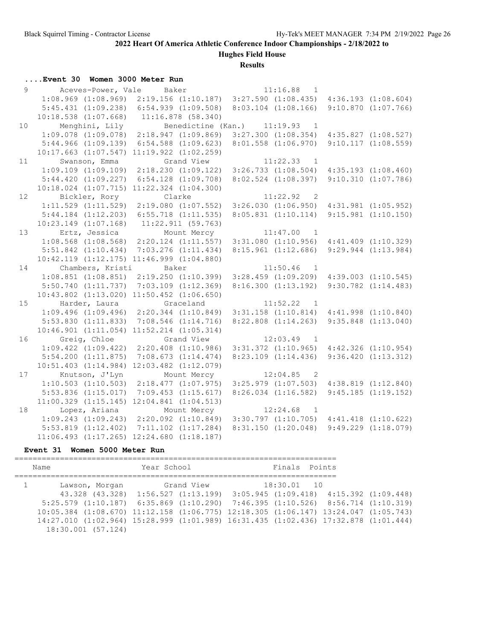## **Hughes Field House**

**Results**

### **....Event 30 Women 3000 Meter Run**

| 9               |               | Aceves-Power, Vale Baker                          |            |                                                                         |          | $11:16.88$ 1                                                                                    |                         |
|-----------------|---------------|---------------------------------------------------|------------|-------------------------------------------------------------------------|----------|-------------------------------------------------------------------------------------------------|-------------------------|
|                 |               | $1:08.969$ $(1:08.969)$                           |            |                                                                         |          | $2:19.156$ (1:10.187) $3:27.590$ (1:08.435) $4:36.193$ (1:08.604)                               |                         |
|                 |               | $5:45.431$ $(1:09.238)$ $6:54.939$ $(1:09.508)$   |            |                                                                         |          | $8:03.104$ $(1:08.166)$ $9:10.870$ $(1:07.766)$                                                 |                         |
|                 |               | $10:18.538$ $(1:07.668)$ $11:16.878$ $(58.340)$   |            |                                                                         |          |                                                                                                 |                         |
| 10 <sup>°</sup> |               |                                                   |            | Menghini, Lily Benedictine (Kan.) 11:19.93 1                            |          |                                                                                                 |                         |
|                 |               |                                                   |            | $1:09.078$ $(1:09.078)$ $2:18.947$ $(1:09.869)$                         |          | $3:27.300$ $(1:08.354)$ $4:35.827$ $(1:08.527)$                                                 |                         |
|                 |               | $5:44.966$ $(1:09.139)$                           |            | $6:54.588$ $(1:09.623)$                                                 |          | $8:01.558$ $(1:06.970)$ $9:10.117$ $(1:08.559)$                                                 |                         |
|                 |               | $10:17.663$ $(1:07.547)$ $11:19.922$ $(1:02.259)$ |            |                                                                         |          |                                                                                                 |                         |
|                 |               | 11 Swanson, Emma                                  | Grand View |                                                                         |          | $11:22.33$ 1                                                                                    |                         |
|                 |               |                                                   |            |                                                                         |          | $1:09.109$ $(1:09.109)$ $2:18.230$ $(1:09.122)$ $3:26.733$ $(1:08.504)$ $4:35.193$ $(1:08.460)$ |                         |
|                 |               | 5:44.420(1:09.227)                                |            | $6:54.128$ $(1:09.708)$                                                 |          | $8:02.524$ $(1:08.397)$                                                                         | 9:10.310(1:07.786)      |
|                 |               | $10:18.024$ $(1:07.715)$ $11:22.324$ $(1:04.300)$ |            |                                                                         |          |                                                                                                 |                         |
| 12 <sup>°</sup> | Bickler, Rory |                                                   |            | Clarke                                                                  |          | $11:22.92$ 2                                                                                    |                         |
|                 |               |                                                   |            | $1:11.529$ $(1:11.529)$ $2:19.080$ $(1:07.552)$ $3:26.030$ $(1:06.950)$ |          |                                                                                                 | $4:31.981$ $(1:05.952)$ |
|                 |               | $5:44.184$ $(1:12.203)$                           |            | $6:55.718$ $(1:11.535)$                                                 |          | 8:05.831 (1:10.114) 9:15.981 (1:10.150)                                                         |                         |
|                 |               | $10:23.149$ $(1:07.168)$ $11:22.911$ $(59.763)$   |            |                                                                         |          |                                                                                                 |                         |
| 13              |               |                                                   |            | Ertz, Jessica Mount Mercy 11:47.00 1                                    |          |                                                                                                 |                         |
|                 |               |                                                   |            |                                                                         |          | $1:08.568$ (1:08.568) 2:20.124 (1:11.557) 3:31.080 (1:10.956) 4:41.409 (1:10.329)               |                         |
|                 |               | $5:51.842$ $(1:10.434)$                           |            | 7:03.276(1:11.434)                                                      |          | $8:15.961$ $(1:12.686)$ $9:29.944$ $(1:13.984)$                                                 |                         |
|                 |               | $10:42.119$ $(1:12.175)$ $11:46.999$ $(1:04.880)$ |            |                                                                         |          |                                                                                                 |                         |
|                 |               | 14 Chambers, Kristi                               | Baker      |                                                                         |          | $11:50.46$ 1                                                                                    |                         |
|                 |               |                                                   |            | $1:08.851$ $(1:08.851)$ $2:19.250$ $(1:10.399)$                         |          | $3:28.459$ $(1:09.209)$ $4:39.003$ $(1:10.545)$                                                 |                         |
|                 |               | $5:50.740$ $(1:11.737)$                           |            | $7:03.109$ $(1:12.369)$                                                 |          | $8:16.300$ $(1:13.192)$ $9:30.782$ $(1:14.483)$                                                 |                         |
|                 |               | 10:43.802 (1:13.020) 11:50.452 (1:06.650)         |            |                                                                         |          |                                                                                                 |                         |
|                 |               | 15 Harder, Laura Graceland                        |            |                                                                         | 11:52.22 | $\sim$ 1                                                                                        |                         |
|                 |               |                                                   |            |                                                                         |          | $1:09.496$ (1:09.496) 2:20.344 (1:10.849) 3:31.158 (1:10.814) 4:41.998 (1:10.840)               |                         |
|                 |               | 5:53.830(1:11.833)                                |            | 7:08.546(1:14.716)                                                      |          | $8:22.808$ $(1:14.263)$                                                                         | $9:35.848$ $(1:13.040)$ |
|                 |               | $10:46.901$ $(1:11.054)$ $11:52.214$ $(1:05.314)$ |            |                                                                         |          |                                                                                                 |                         |
| 16              | Greig, Chloe  |                                                   |            | Grand View                                                              |          | $12:03.49$ 1                                                                                    |                         |
|                 |               |                                                   |            |                                                                         |          | $1:09.422$ $(1:09.422)$ $2:20.408$ $(1:10.986)$ $3:31.372$ $(1:10.965)$ $4:42.326$ $(1:10.954)$ |                         |
|                 |               | $5:54.200$ $(1:11.875)$                           |            | 7:08.673(1:14.474)                                                      |          | 8:23.109 (1:14.436) 9:36.420 (1:13.312)                                                         |                         |
|                 |               | $10:51.403$ $(1:14.984)$                          |            | $12:03.482$ $(1:12.079)$                                                |          |                                                                                                 |                         |
| 17              |               | Knutson, J'Lyn                                    |            | Mount Mercy 12:04.85 2                                                  |          |                                                                                                 |                         |
|                 |               |                                                   |            |                                                                         |          | $1:10.503$ $(1:10.503)$ $2:18.477$ $(1:07.975)$ $3:25.979$ $(1:07.503)$ $4:38.819$ $(1:12.840)$ |                         |
|                 |               | $5:53.836$ $(1:15.017)$                           |            | $7:09.453$ $(1:15.617)$                                                 |          | $8:26.034$ $(1:16.582)$                                                                         | 9:45.185(1:19.152)      |
|                 |               | $11:00.329$ $(1:15.145)$ $12:04.841$ $(1:04.513)$ |            |                                                                         |          |                                                                                                 |                         |
| 18              |               |                                                   |            | Lopez, Ariana Mount Mercy 12:24.68 1                                    |          |                                                                                                 |                         |
|                 |               |                                                   |            |                                                                         |          | $1:09.243$ $(1:09.243)$ $2:20.092$ $(1:10.849)$ $3:30.797$ $(1:10.705)$ $4:41.418$ $(1:10.622)$ |                         |
|                 |               |                                                   |            | $5:53.819$ $(1:12.402)$ $7:11.102$ $(1:17.284)$                         |          | 8:31.150(1:20.048)                                                                              | 9:49.229(1:18.079)      |
|                 |               | $11:06.493$ $(1:17.265)$ $12:24.680$ $(1:18.187)$ |            |                                                                         |          |                                                                                                 |                         |

#### **Event 31 Women 5000 Meter Run**

======================================================================= Name Year School Finals Points ======================================================================= 1 Lawson, Morgan Grand View 18:30.01 10 43.328 (43.328) 1:56.527 (1:13.199) 3:05.945 (1:09.418) 4:15.392 (1:09.448) 5:25.579 (1:10.187) 6:35.869 (1:10.290) 7:46.395 (1:10.526) 8:56.714 (1:10.319) 10:05.384 (1:08.670) 11:12.158 (1:06.775) 12:18.305 (1:06.147) 13:24.047 (1:05.743) 14:27.010 (1:02.964) 15:28.999 (1:01.989) 16:31.435 (1:02.436) 17:32.878 (1:01.444) 18:30.001 (57.124)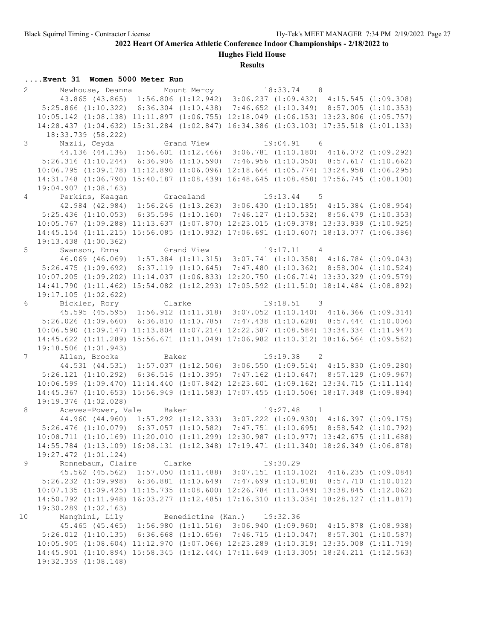**Hughes Field House**

#### **Results**

### **....Event 31 Women 5000 Meter Run**

| $\overline{2}$ | Newhouse, Deanna Mount Mercy 18:33.74 8                                                                     |                             |              |  |
|----------------|-------------------------------------------------------------------------------------------------------------|-----------------------------|--------------|--|
|                | 43.865 (43.865) 1:56.806 (1:12.942) 3:06.237 (1:09.432) 4:15.545 (1:09.308)                                 |                             |              |  |
|                | 5:25.866 (1:10.322) 6:36.304 (1:10.438) 7:46.652 (1:10.349) 8:57.005 (1:10.353)                             |                             |              |  |
|                | 10:05.142 (1:08.138) 11:11.897 (1:06.755) 12:18.049 (1:06.153) 13:23.806 (1:05.757)                         |                             |              |  |
|                | 14:28.437 (1:04.632) 15:31.284 (1:02.847) 16:34.386 (1:03.103) 17:35.518 (1:01.133)                         |                             |              |  |
|                | 18:33.739 (58.222)                                                                                          |                             |              |  |
| $\mathcal{S}$  | Nazli, Ceyda               Grand View                 19:04.91     6                                        |                             |              |  |
|                | 44.136 (44.136) 1:56.601 (1:12.466) 3:06.781 (1:10.180) 4:16.072 (1:09.292)                                 |                             |              |  |
|                | 5:26.316 (1:10.244) 6:36.906 (1:10.590) 7:46.956 (1:10.050) 8:57.617 (1:10.662)                             |                             |              |  |
|                | 10:06.795 (1:09.178) 11:12.890 (1:06.096) 12:18.664 (1:05.774) 13:24.958 (1:06.295)                         |                             |              |  |
|                | 14:31.748 (1:06.790) 15:40.187 (1:08.439) 16:48.645 (1:08.458) 17:56.745 (1:08.100)                         |                             |              |  |
|                | 19:04.907 (1:08.163)                                                                                        |                             |              |  |
|                | 4 Perkins, Keagan                                                                                           | Graceland                   | $19:13.44$ 5 |  |
|                | 42.984 (42.984) 1:56.246 (1:13.263) 3:06.430 (1:10.185) 4:15.384 (1:08.954)                                 |                             |              |  |
|                | $5:25.436$ (1:10.053) 6:35.596 (1:10.160) 7:46.127 (1:10.532) 8:56.479 (1:10.353)                           |                             |              |  |
|                | 10:05.767 (1:09.288) 11:13.637 (1:07.870) 12:23.015 (1:09.378) 13:33.939 (1:10.925)                         |                             |              |  |
|                | 14:45.154 (1:11.215) 15:56.085 (1:10.932) 17:06.691 (1:10.607) 18:13.077 (1:06.386)                         |                             |              |  |
|                | $19:13.438$ $(1:00.362)$                                                                                    |                             |              |  |
|                | 5 Swanson, Emma Grand View 19:17.11 4                                                                       |                             |              |  |
|                | 46.069 (46.069) 1:57.384 (1:11.315) 3:07.741 (1:10.358) 4:16.784 (1:09.043)                                 |                             |              |  |
|                | 5:26.475 (1:09.692) 6:37.119 (1:10.645) 7:47.480 (1:10.362) 8:58.004 (1:10.524)                             |                             |              |  |
|                | 10:07.205 (1:09.202) 11:14.037 (1:06.833) 12:20.750 (1:06.714) 13:30.329 (1:09.579)                         |                             |              |  |
|                | 14:41.790 (1:11.462) 15:54.082 (1:12.293) 17:05.592 (1:11.510) 18:14.484 (1:08.892)                         |                             |              |  |
|                | $19:17.105$ $(1:02.622)$                                                                                    |                             |              |  |
| 6              | Bickler, Rory                                                                                               | Clarke                      | $19:18.51$ 3 |  |
|                | 45.595 (45.595) 1:56.912 (1:11.318) 3:07.052 (1:10.140) 4:16.366 (1:09.314)                                 |                             |              |  |
|                | $5:26.026$ (1:09.660) 6:36.810 (1:10.785) 7:47.438 (1:10.628) 8:57.444 (1:10.006)                           |                             |              |  |
|                | 10:06.590 (1:09.147) 11:13.804 (1:07.214) 12:22.387 (1:08.584) 13:34.334 (1:11.947)                         |                             |              |  |
|                |                                                                                                             |                             |              |  |
|                | 14:45.622 (1:11.289) 15:56.671 (1:11.049) 17:06.982 (1:10.312) 18:16.564 (1:09.582)<br>19:18.506(1:01.943)  |                             |              |  |
|                | 7 Allen, Brooke                                                                                             | Baker                       |              |  |
|                | 44.531 (44.531) 1:57.037 (1:12.506) 3:06.550 (1:09.514) 4:15.830 (1:09.280)                                 |                             | $19:19.38$ 2 |  |
|                | 5:26.121 (1:10.292) 6:36.516 (1:10.395) 7:47.162 (1:10.647) 8:57.129 (1:09.967)                             |                             |              |  |
|                | 10:06.599 (1:09.470) 11:14.440 (1:07.842) 12:23.601 (1:09.162) 13:34.715 (1:11.114)                         |                             |              |  |
|                |                                                                                                             |                             |              |  |
|                | 14:45.367 (1:10.653) 15:56.949 (1:11.583) 17:07.455 (1:10.506) 18:17.348 (1:09.894)<br>19:19.376 (1:02.028) |                             |              |  |
| 8              | Aceves-Power, Vale Baker                                                                                    |                             | $19:27.48$ 1 |  |
|                | 44.960 (44.960) 1:57.292 (1:12.333) 3:07.222 (1:09.930) 4:16.397 (1:09.175)                                 |                             |              |  |
|                | 5:26.476 (1:10.079) 6:37.057 (1:10.582) 7:47.751 (1:10.695) 8:58.542 (1:10.792)                             |                             |              |  |
|                | 10:08.711 (1:10.169) 11:20.010 (1:11.299) 12:30.987 (1:10.977) 13:42.675 (1:11.688)                         |                             |              |  |
|                | 14:55.784 (1:13.109) 16:08.131 (1:12.348) 17:19.471 (1:11.340) 18:26.349 (1:06.878)                         |                             |              |  |
|                |                                                                                                             |                             |              |  |
|                | 19:27.472 (1:01.124)                                                                                        |                             |              |  |
| 9              | Ronnebaum, Claire                                                                                           | Clarke                      | 19:30.29     |  |
|                | 45.562 (45.562) 1:57.050 (1:11.488) 3:07.151 (1:10.102) 4:16.235 (1:09.084)                                 |                             |              |  |
|                | 5:26.232 (1:09.998) 6:36.881 (1:10.649) 7:47.699 (1:10.818) 8:57.710 (1:10.012)                             |                             |              |  |
|                | 10:07.135 (1:09.425) 11:15.735 (1:08.600) 12:26.784 (1:11.049) 13:38.845 (1:12.062)                         |                             |              |  |
|                | 14:50.792 (1:11.948) 16:03.277 (1:12.485) 17:16.310 (1:13.034) 18:28.127 (1:11.817)                         |                             |              |  |
|                | 19:30.289 (1:02.163)                                                                                        |                             |              |  |
| 10             | Menghini, Lily                                                                                              | Benedictine (Kan.) 19:32.36 |              |  |
|                | 45.465 (45.465) 1:56.980 (1:11.516) 3:06.940 (1:09.960) 4:15.878 (1:08.938)                                 |                             |              |  |
|                | $5:26.012$ (1:10.135) 6:36.668 (1:10.656) 7:46.715 (1:10.047) 8:57.301 (1:10.587)                           |                             |              |  |
|                | 10:05.905 (1:08.604) 11:12.970 (1:07.066) 12:23.289 (1:10.319) 13:35.008 (1:11.719)                         |                             |              |  |
|                | 14:45.901 (1:10.894) 15:58.345 (1:12.444) 17:11.649 (1:13.305) 18:24.211 (1:12.563)                         |                             |              |  |
|                | 19:32.359 (1:08.148)                                                                                        |                             |              |  |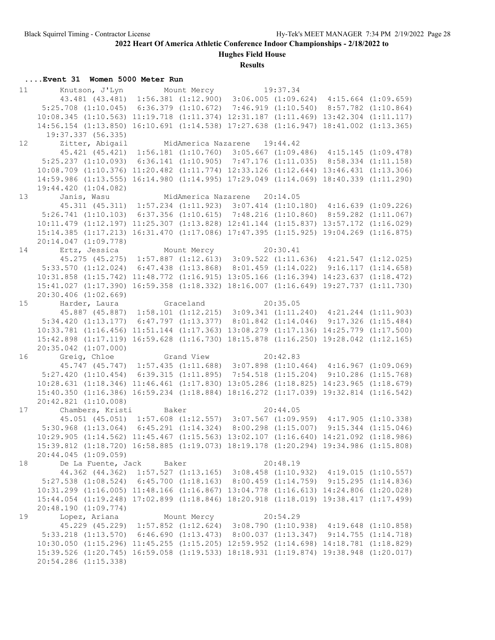**Hughes Field House**

#### **Results**

### **....Event 31 Women 5000 Meter Run**

| 11              | Knutson, J'Lyn Mount Mercy 19:37.34                                                 |       |                                                                         |          |  |
|-----------------|-------------------------------------------------------------------------------------|-------|-------------------------------------------------------------------------|----------|--|
|                 | 43.481 (43.481) 1:56.381 (1:12.900) 3:06.005 (1:09.624) 4:15.664 (1:09.659)         |       |                                                                         |          |  |
|                 | 5:25.708 (1:10.045) 6:36.379 (1:10.672) 7:46.919 (1:10.540) 8:57.782 (1:10.864)     |       |                                                                         |          |  |
|                 | 10:08.345 (1:10.563) 11:19.718 (1:11.374) 12:31.187 (1:11.469) 13:42.304 (1:11.117) |       |                                                                         |          |  |
|                 | 14:56.154 (1:13.850) 16:10.691 (1:14.538) 17:27.638 (1:16.947) 18:41.002 (1:13.365) |       |                                                                         |          |  |
|                 | 19:37.337 (56.335)                                                                  |       |                                                                         |          |  |
| 12 <sup>7</sup> | Zitter, Abigail                                                                     |       | MidAmerica Nazarene 19:44.42                                            |          |  |
|                 | 45.421 (45.421) 1:56.181 (1:10.760) 3:05.667 (1:09.486) 4:15.145 (1:09.478)         |       |                                                                         |          |  |
|                 | 5:25.237 (1:10.093) 6:36.141 (1:10.905) 7:47.176 (1:11.035) 8:58.334 (1:11.158)     |       |                                                                         |          |  |
|                 | 10:08.709 (1:10.376) 11:20.482 (1:11.774) 12:33.126 (1:12.644) 13:46.431 (1:13.306) |       |                                                                         |          |  |
|                 | 14:59.986 (1:13.555) 16:14.980 (1:14.995) 17:29.049 (1:14.069) 18:40.339 (1:11.290) |       |                                                                         |          |  |
|                 | 19:44.420 (1:04.082)                                                                |       |                                                                         |          |  |
| 13              | Janis, Wasu                                                                         |       | MidAmerica Nazarene 20:14.05                                            |          |  |
|                 | 45.311 (45.311) 1:57.234 (1:11.923) 3:07.414 (1:10.180) 4:16.639 (1:09.226)         |       |                                                                         |          |  |
|                 | 5:26.741 (1:10.103) 6:37.356 (1:10.615) 7:48.216 (1:10.860) 8:59.282 (1:11.067)     |       |                                                                         |          |  |
|                 | 10:11.479 (1:12.197) 11:25.307 (1:13.828) 12:41.144 (1:15.837) 13:57.172 (1:16.029) |       |                                                                         |          |  |
|                 | 15:14.385 (1:17.213) 16:31.470 (1:17.086) 17:47.395 (1:15.925) 19:04.269 (1:16.875) |       |                                                                         |          |  |
|                 | 20:14.047 (1:09.778)                                                                |       |                                                                         |          |  |
|                 |                                                                                     |       |                                                                         |          |  |
|                 | 14 Ertz, Jessica Mount Mercy 20:30.41                                               |       |                                                                         |          |  |
|                 | 45.275 (45.275) 1:57.887 (1:12.613) 3:09.522 (1:11.636) 4:21.547 (1:12.025)         |       |                                                                         |          |  |
|                 | $5:33.570$ $(1:12.024)$                                                             |       | $6:47.438$ $(1:13.868)$ $8:01.459$ $(1:14.022)$ $9:16.117$ $(1:14.658)$ |          |  |
|                 | 10:31.858 (1:15.742) 11:48.772 (1:16.915) 13:05.166 (1:16.394) 14:23.637 (1:18.472) |       |                                                                         |          |  |
|                 | 15:41.027 (1:17.390) 16:59.358 (1:18.332) 18:16.007 (1:16.649) 19:27.737 (1:11.730) |       |                                                                         |          |  |
|                 | $20:30.406$ $(1:02.669)$                                                            |       |                                                                         |          |  |
| 15              | Harder, Laura                                                                       |       | Graceland 20:35.05                                                      |          |  |
|                 | 45.887 (45.887) 1:58.101 (1:12.215) 3:09.341 (1:11.240) 4:21.244 (1:11.903)         |       |                                                                         |          |  |
|                 | 5:34.420 (1:13.177) 6:47.797 (1:13.377) 8:01.842 (1:14.046) 9:17.326 (1:15.484)     |       |                                                                         |          |  |
|                 | 10:33.781 (1:16.456) 11:51.144 (1:17.363) 13:08.279 (1:17.136) 14:25.779 (1:17.500) |       |                                                                         |          |  |
|                 | $15:42.898$ $(1:17.119)$                                                            |       | 16:59.628 (1:16.730) 18:15.878 (1:16.250) 19:28.042 (1:12.165)          |          |  |
|                 | $20:35.042$ $(1:07.000)$                                                            |       |                                                                         |          |  |
|                 | 16 Greig, Chloe Grand View 20:42.83                                                 |       |                                                                         |          |  |
|                 | 45.747 (45.747) 1:57.435 (1:11.688) 3:07.898 (1:10.464) 4:16.967 (1:09.069)         |       |                                                                         |          |  |
|                 | $5:27.420$ $(1:10.454)$                                                             |       | $6:39.315$ (1:11.895) 7:54.518 (1:15.204) 9:10.286 (1:15.768)           |          |  |
|                 | 10:28.631 (1:18.346) 11:46.461 (1:17.830) 13:05.286 (1:18.825) 14:23.965 (1:18.679) |       |                                                                         |          |  |
|                 | 15:40.350 (1:16.386) 16:59.234 (1:18.884) 18:16.272 (1:17.039) 19:32.814 (1:16.542) |       |                                                                         |          |  |
|                 | 20:42.821 (1:10.008)                                                                |       |                                                                         |          |  |
| 17              | Chambers, Kristi                                                                    | Baker |                                                                         | 20:44.05 |  |
|                 | 45.051 (45.051) 1:57.608 (1:12.557) 3:07.567 (1:09.959) 4:17.905 (1:10.338)         |       |                                                                         |          |  |
|                 | 5:30.968 (1:13.064) 6:45.291 (1:14.324) 8:00.298 (1:15.007) 9:15.344 (1:15.046)     |       |                                                                         |          |  |
|                 | 10:29.905 (1:14.562) 11:45.467 (1:15.563) 13:02.107 (1:16.640) 14:21.092 (1:18.986) |       |                                                                         |          |  |
|                 | 15:39.812 (1:18.720) 16:58.885 (1:19.073) 18:19.178 (1:20.294) 19:34.986 (1:15.808) |       |                                                                         |          |  |
|                 | 20:44.045 (1:09.059)                                                                |       |                                                                         |          |  |
| 18              | De La Fuente, Jack Baker                                                            |       |                                                                         | 20:48.19 |  |
|                 | 44.362 (44.362) 1:57.527 (1:13.165) 3:08.458 (1:10.932) 4:19.015 (1:10.557)         |       |                                                                         |          |  |
|                 | 5:27.538 (1:08.524) 6:45.700 (1:18.163) 8:00.459 (1:14.759) 9:15.295 (1:14.836)     |       |                                                                         |          |  |
|                 | 10:31.299 (1:16.005) 11:48.166 (1:16.867) 13:04.778 (1:16.613) 14:24.806 (1:20.028) |       |                                                                         |          |  |
|                 | 15:44.054 (1:19.248) 17:02.899 (1:18.846) 18:20.918 (1:18.019) 19:38.417 (1:17.499) |       |                                                                         |          |  |
|                 | 20:48.190 (1:09.774)                                                                |       |                                                                         |          |  |
| 19              | Lopez, Ariana                                                                       |       | Mount Mercy                                                             | 20:54.29 |  |
|                 | 45.229 (45.229) 1:57.852 (1:12.624) 3:08.790 (1:10.938) 4:19.648 (1:10.858)         |       |                                                                         |          |  |
|                 | 5:33.218 (1:13.570) 6:46.690 (1:13.473) 8:00.037 (1:13.347) 9:14.755 (1:14.718)     |       |                                                                         |          |  |
|                 | 10:30.050 (1:15.296) 11:45.255 (1:15.205) 12:59.952 (1:14.698) 14:18.781 (1:18.829) |       |                                                                         |          |  |
|                 | 15:39.526 (1:20.745) 16:59.058 (1:19.533) 18:18.931 (1:19.874) 19:38.948 (1:20.017) |       |                                                                         |          |  |
|                 | 20:54.286 (1:15.338)                                                                |       |                                                                         |          |  |
|                 |                                                                                     |       |                                                                         |          |  |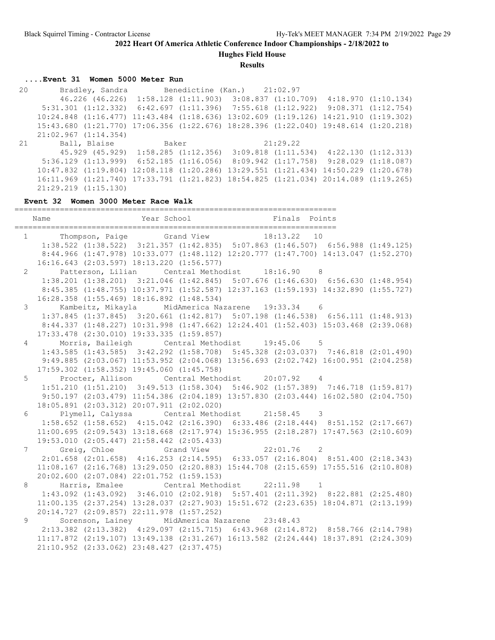**Hughes Field House**

**Results**

#### **....Event 31 Women 5000 Meter Run**

 20 Bradley, Sandra Benedictine (Kan.) 21:02.97 46.226 (46.226) 1:58.128 (1:11.903) 3:08.837 (1:10.709) 4:18.970 (1:10.134) 5:31.301 (1:12.332) 6:42.697 (1:11.396) 7:55.618 (1:12.922) 9:08.371 (1:12.754) 10:24.848 (1:16.477) 11:43.484 (1:18.636) 13:02.609 (1:19.126) 14:21.910 (1:19.302) 15:43.680 (1:21.770) 17:06.356 (1:22.676) 18:28.396 (1:22.040) 19:48.614 (1:20.218) 21:02.967 (1:14.354) 21 Ball, Blaise Baker 21:29.22 45.929 (45.929) 1:58.285 (1:12.356) 3:09.818 (1:11.534) 4:22.130 (1:12.313) 5:36.129 (1:13.999) 6:52.185 (1:16.056) 8:09.942 (1:17.758) 9:28.029 (1:18.087) 10:47.832 (1:19.804) 12:08.118 (1:20.286) 13:29.551 (1:21.434) 14:50.229 (1:20.678) 16:11.969 (1:21.740) 17:33.791 (1:21.823) 18:54.825 (1:21.034) 20:14.089 (1:19.265) 21:29.219 (1:15.130)

#### **Event 32 Women 3000 Meter Race Walk**

======================================================================= Name Year School Finals Points ======================================================================= 1 Thompson, Paige Grand View 18:13.22 10 1:38.522 (1:38.522) 3:21.357 (1:42.835) 5:07.863 (1:46.507) 6:56.988 (1:49.125) 8:44.966 (1:47.978) 10:33.077 (1:48.112) 12:20.777 (1:47.700) 14:13.047 (1:52.270) 16:16.643 (2:03.597) 18:13.220 (1:56.577) 2 Patterson, Lilian Central Methodist 18:16.90 8 1:38.201 (1:38.201) 3:21.046 (1:42.845) 5:07.676 (1:46.630) 6:56.630 (1:48.954) 8:45.385 (1:48.755) 10:37.971 (1:52.587) 12:37.163 (1:59.193) 14:32.890 (1:55.727) 16:28.358 (1:55.469) 18:16.892 (1:48.534) 3 Kambeitz, Mikayla MidAmerica Nazarene 19:33.34 6 1:37.845 (1:37.845) 3:20.661 (1:42.817) 5:07.198 (1:46.538) 6:56.111 (1:48.913) 8:44.337 (1:48.227) 10:31.998 (1:47.662) 12:24.401 (1:52.403) 15:03.468 (2:39.068) 17:33.478 (2:30.010) 19:33.335 (1:59.857) 4 Morris, Baileigh Central Methodist 19:45.06 5 1:43.585 (1:43.585) 3:42.292 (1:58.708) 5:45.328 (2:03.037) 7:46.818 (2:01.490) 9:49.885 (2:03.067) 11:53.952 (2:04.068) 13:56.693 (2:02.742) 16:00.951 (2:04.258) 17:59.302 (1:58.352) 19:45.060 (1:45.758) 5 Procter, Allison Central Methodist 20:07.92 4 1:51.210 (1:51.210) 3:49.513 (1:58.304) 5:46.902 (1:57.389) 7:46.718 (1:59.817) 9:50.197 (2:03.479) 11:54.386 (2:04.189) 13:57.830 (2:03.444) 16:02.580 (2:04.750) 18:05.891 (2:03.312) 20:07.911 (2:02.020) 6 Plymell, Calyssa Central Methodist 21:58.45 3 1:58.652 (1:58.652) 4:15.042 (2:16.390) 6:33.486 (2:18.444) 8:51.152 (2:17.667) 11:00.695 (2:09.543) 13:18.668 (2:17.974) 15:36.955 (2:18.287) 17:47.563 (2:10.609) 19:53.010 (2:05.447) 21:58.442 (2:05.433) 7 Greig, Chloe Grand View 22:01.76 2 2:01.658 (2:01.658) 4:16.253 (2:14.595) 6:33.057 (2:16.804) 8:51.400 (2:18.343) 11:08.167 (2:16.768) 13:29.050 (2:20.883) 15:44.708 (2:15.659) 17:55.516 (2:10.808) 20:02.600 (2:07.084) 22:01.752 (1:59.153) 8 Harris, Emalee Central Methodist 22:11.98 1 1:43.092 (1:43.092) 3:46.010 (2:02.918) 5:57.401 (2:11.392) 8:22.881 (2:25.480) 11:00.135 (2:37.254) 13:28.037 (2:27.903) 15:51.672 (2:23.635) 18:04.871 (2:13.199) 20:14.727 (2:09.857) 22:11.978 (1:57.252) 9 Sorenson, Lainey MidAmerica Nazarene 23:48.43 2:13.382 (2:13.382) 4:29.097 (2:15.715) 6:43.968 (2:14.872) 8:58.766 (2:14.798) 11:17.872 (2:19.107) 13:49.138 (2:31.267) 16:13.582 (2:24.444) 18:37.891 (2:24.309) 21:10.952 (2:33.062) 23:48.427 (2:37.475)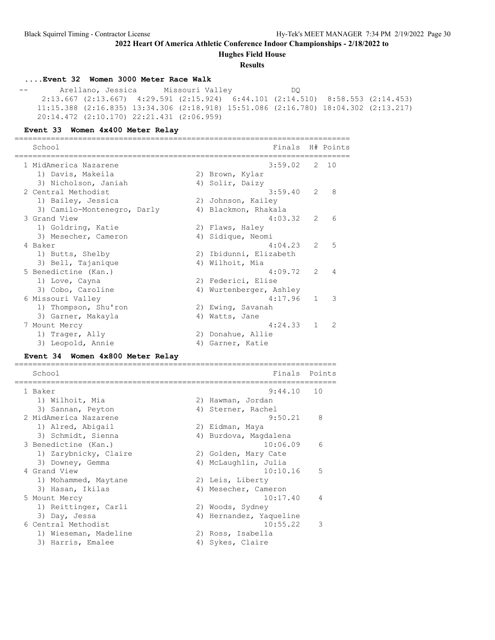**Hughes Field House**

#### **Results**

# **....Event 32 Women 3000 Meter Race Walk**

 -- Arellano, Jessica Missouri Valley DQ 2:13.667 (2:13.667) 4:29.591 (2:15.924) 6:44.101 (2:14.510) 8:58.553 (2:14.453) 11:15.388 (2:16.835) 13:34.306 (2:18.918) 15:51.086 (2:16.780) 18:04.302 (2:13.217) 20:14.472 (2:10.170) 22:21.431 (2:06.959)

#### **Event 33 Women 4x400 Meter Relay**

|                 | School                               |  | Finals                  |               | H# Points               |
|-----------------|--------------------------------------|--|-------------------------|---------------|-------------------------|
|                 | 1 MidAmerica Nazarene                |  | $3:59.02$ 2 10          |               |                         |
|                 | 1) Davis, Makeila                    |  | 2) Brown, Kylar         |               |                         |
|                 | 3) Nicholson, Janiah                 |  | 4) Solir, Daizy         |               |                         |
|                 | 2 Central Methodist                  |  | $3:59.40$ 2             |               | 8                       |
|                 | 1) Bailey, Jessica                   |  | 2) Johnson, Kailey      |               |                         |
|                 | 3) Camilo-Montenegro, Darly          |  | 4) Blackmon, Rhakala    |               |                         |
|                 | 3 Grand View                         |  | 4:03.32                 | 2             | 6                       |
|                 | 1) Goldring, Katie                   |  | 2) Flaws, Haley         |               |                         |
|                 | 3) Mesecher, Cameron                 |  | 4) Sidique, Neomi       |               |                         |
| 4 Baker         |                                      |  | 4:04.23                 | $\mathcal{P}$ | 5                       |
|                 | 1) Butts, Shelby                     |  | 2) Ibidunni, Elizabeth  |               |                         |
|                 | 3) Bell, Tajanique                   |  | 4) Wilhoit, Mia         |               |                         |
|                 | 5 Benedictine (Kan.)                 |  | 4:09.72                 | $\mathcal{L}$ | 4                       |
|                 | 1) Love, Cayna                       |  | 2) Federici, Elise      |               |                         |
|                 | 3) Cobo, Caroline                    |  | 4) Wurtenberger, Ashley |               |                         |
|                 | 6 Missouri Valley                    |  | $4:17.96$ 1             |               | $\overline{\mathbf{3}}$ |
|                 | 1) Thompson, Shu'ron                 |  | 2) Ewing, Savanah       |               |                         |
|                 | 3) Garner, Makayla                   |  | 4) Watts, Jane          |               |                         |
|                 | 7 Mount Mercy                        |  | 4:24.33                 | $\mathbf{1}$  | $\mathcal{L}$           |
|                 | 1) Trager, Ally                      |  | 2) Donahue, Allie       |               |                         |
|                 | 3) Leopold, Annie                    |  | 4) Garner, Katie        |               |                         |
| <b>Event 34</b> | Women 4x800 Meter Relay<br>========= |  |                         |               |                         |

| School                |    | Finals Points           |    |
|-----------------------|----|-------------------------|----|
| 1 Baker               |    | 9:44.10                 | 10 |
| 1) Wilhoit, Mia       |    | 2) Hawman, Jordan       |    |
| 3) Sannan, Peyton     |    | 4) Sterner, Rachel      |    |
| 2 MidAmerica Nazarene |    | 9:50.21                 | 8  |
| 1) Alred, Abigail     |    | 2) Eidman, Maya         |    |
| 3) Schmidt, Sienna    |    | 4) Burdova, Magdalena   |    |
| 3 Benedictine (Kan.)  |    | 10:06.09                | 6  |
| 1) Zarybnicky, Claire |    | 2) Golden, Mary Cate    |    |
| 3) Downey, Gemma      |    | 4) McLaughlin, Julia    |    |
| 4 Grand View          |    | 10:10.16                | .5 |
| 1) Mohammed, Maytane  |    | 2) Leis, Liberty        |    |
| 3) Hasan, Ikilas      |    | 4) Mesecher, Cameron    |    |
| 5 Mount Mercy         |    | 10:17.40                | 4  |
| 1) Reittinger, Carli  |    | 2) Woods, Sydney        |    |
| 3) Day, Jessa         |    | 4) Hernandez, Yaqueline |    |
| 6 Central Methodist   |    | 10:55.22                | 3  |
| 1) Wieseman, Madeline |    | 2) Ross, Isabella       |    |
| 3) Harris, Emalee     | 4) | Sykes, Claire           |    |
|                       |    |                         |    |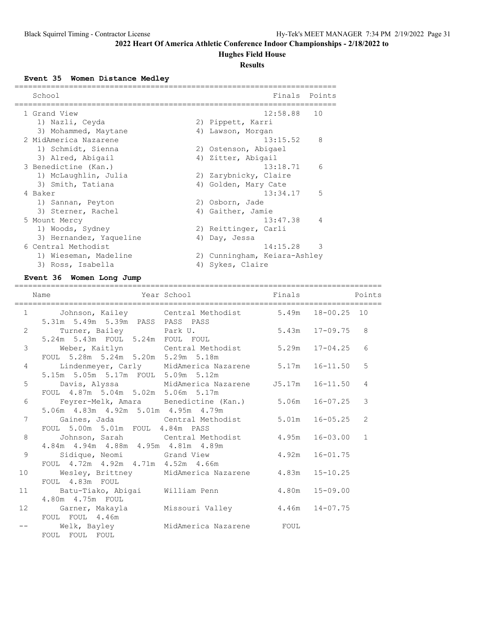# **Hughes Field House**

### **Results**

**Event 35 Women Distance Medley**

| School                  |  | Finals                       | Points         |  |  |  |  |  |
|-------------------------|--|------------------------------|----------------|--|--|--|--|--|
| 1 Grand View            |  | 12:58.88                     | 10             |  |  |  |  |  |
| 1) Nazli, Ceyda         |  | 2) Pippett, Karri            |                |  |  |  |  |  |
| 3) Mohammed, Maytane    |  | 4) Lawson, Morgan            |                |  |  |  |  |  |
| 2 MidAmerica Nazarene   |  | 13:15.52                     | 8              |  |  |  |  |  |
| 1) Schmidt, Sienna      |  | 2) Ostenson, Abigael         |                |  |  |  |  |  |
| 3) Alred, Abigail       |  | 4) Zitter, Abigail           |                |  |  |  |  |  |
| 3 Benedictine (Kan.)    |  | 13:18.71                     | 6              |  |  |  |  |  |
| 1) McLaughlin, Julia    |  | 2) Zarybnicky, Claire        |                |  |  |  |  |  |
| 3) Smith, Tatiana       |  | 4) Golden, Mary Cate         |                |  |  |  |  |  |
| 4 Baker                 |  | 13:34.17                     | 5              |  |  |  |  |  |
| 1) Sannan, Peyton       |  | 2) Osborn, Jade              |                |  |  |  |  |  |
| 3) Sterner, Rachel      |  | 4) Gaither, Jamie            |                |  |  |  |  |  |
| 5 Mount Mercy           |  | 13:47.38                     | $\overline{4}$ |  |  |  |  |  |
| 1) Woods, Sydney        |  | 2) Reittinger, Carli         |                |  |  |  |  |  |
| 3) Hernandez, Yaqueline |  | 4) Day, Jessa                |                |  |  |  |  |  |
| 6 Central Methodist     |  | 14:15.28                     | 3              |  |  |  |  |  |
| 1) Wieseman, Madeline   |  | 2) Cunningham, Keiara-Ashley |                |  |  |  |  |  |
| 3) Ross, Isabella       |  | 4) Sykes, Claire             |                |  |  |  |  |  |

# **Event 36 Women Long Jump**

|                 | Year School<br>Name                                                                                                | <b>Example 18</b> Finals | Points         |
|-----------------|--------------------------------------------------------------------------------------------------------------------|--------------------------|----------------|
|                 | 1 Johnson, Kailey Central Methodist 5.49m 18-00.25 10<br>5.31m 5.49m 5.39m PASS PASS PASS                          |                          |                |
| $\overline{2}$  | Turner, Bailey             Park U.                        5.43m   17-09.75   8<br>5.24m 5.43m FOUL 5.24m FOUL FOUL |                          |                |
| 3               | Weber, Kaitlyn Central Methodist 5.29m 17-04.25<br>FOUL 5.28m 5.24m 5.20m 5.29m 5.18m                              |                          | 6              |
| $\overline{4}$  | Lindenmeyer, Carly MidAmerica Nazarene 5.17m 16-11.50<br>5.15m 5.05m 5.17m FOUL 5.09m 5.12m                        |                          | 5              |
| 5               | Davis, Alyssa       MidAmerica Nazarene     J5.17m   16-11.50<br>FOUL 4.87m 5.04m 5.02m 5.06m 5.17m                |                          | $\overline{4}$ |
| 6               | Feyrer-Melk, Amara Benedictine (Kan.) 5.06m 16-07.25<br>5.06m 4.83m 4.92m 5.01m 4.95m 4.79m                        |                          | 3              |
| 7               | Gaines, Jada (Central Methodist 5.01m 16-05.25<br>FOUL 5.00m 5.01m FOUL 4.84m PASS                                 |                          | $\overline{2}$ |
| 8               | Johnson, Sarah Central Methodist 4.95m 16-03.00<br>4.84m  4.94m  4.88m  4.95m  4.81m  4.89m                        |                          | $\mathbf{1}$   |
| 9               | Sidique, Neomi Grand View 5.92m 16-01.75<br>FOUL 4.72m 4.92m 4.71m 4.52m 4.66m                                     |                          |                |
| 10 <sup>°</sup> | Wesley, Brittney MidAmerica Nazarene $4.83$ m 15-10.25<br>FOUL 4.83m FOUL                                          |                          |                |
| 11              | Batu-Tiako, Abigai Milliam Penn (1980 15-09.00<br>4.80m  4.75m  FOUL                                               |                          |                |
| 12 <sup>°</sup> | Missouri Valley $4.46m$ 14-07.75<br>Garner, Makayla<br>FOUL FOUL 4.46m                                             |                          |                |
|                 | -- Welk, Bayley<br>MidAmerica Nazarene     FOUL<br>FOUL FOUL FOUL                                                  |                          |                |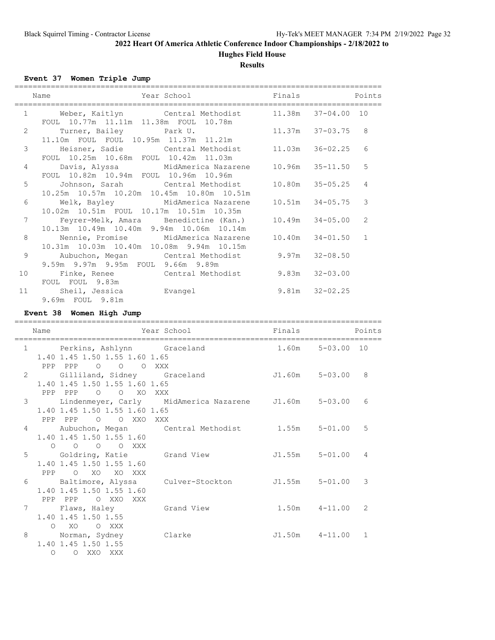# **Hughes Field House**

**Results**

**Event 37 Women Triple Jump**

|                | Year School Finals<br>Name                                                                             |                     | Points          |
|----------------|--------------------------------------------------------------------------------------------------------|---------------------|-----------------|
| $\mathbf{1}$   | Weber, Kaitlyn Central Methodist 11.38m 37-04.00 10<br>FOUL 10.77m 11.11m 11.38m FOUL 10.78m           |                     |                 |
| $\overline{c}$ | Turner, Bailey Dark U.<br>11.10m FOUL FOUL 10.95m 11.37m 11.21m                                        | $11.37m$ $37-03.75$ | 8               |
| 3              | Heisner, Sadie           Central Methodist<br>FOUL 10.25m 10.68m FOUL 10.42m 11.03m                    | $11.03m$ $36-02.25$ | 6               |
| 4              | Davis, Alyssa     MidAmerica Nazarene     10.96m   35-11.50<br>FOUL 10.82m 10.94m FOUL 10.96m 10.96m   |                     | $5\overline{5}$ |
| 5              | Johnson, Sarah           Central Methodist<br>10.25m 10.57m 10.20m 10.45m 10.80m 10.51m                | 10.80m 35-05.25     | $\overline{4}$  |
| 6              | Welk, Bayley MidAmerica Nazarene<br>10.02m 10.51m FOUL 10.17m 10.51m 10.35m                            | $10.51m$ $34-05.75$ | 3               |
| 7              | Feyrer-Melk, Amara Benedictine (Kan.) 10.49m 34-05.00<br>10.13m  10.49m  10.40m  9.94m  10.06m  10.14m |                     | 2               |
| 8              | Nennie, Promise MidAmerica Nazarene 10.40m 34-01.50<br>10.31m 10.03m 10.40m 10.08m 9.94m 10.15m        |                     | $\mathbf{1}$    |
| 9              | Aubuchon, Megan             Central Methodist<br>9.59m 9.97m 9.95m FOUL 9.66m 9.89m                    | $9.97m$ $32-08.50$  |                 |
| 10             | Finke, Renee Central Methodist<br>FOUL FOUL 9.83m                                                      | $9.83m$ $32-03.00$  |                 |
| 11             | Sheil, Jessica<br>Evangel<br>9.69m FOUL 9.81m                                                          | $9.81m$ $32-02.25$  |                 |

#### **Event 38 Women High Jump**

================================================================================= Name The Year School Team Points Points ================================================================================= 1 Perkins, Ashlynn Graceland 1.40 1.45 1.50 1.55 1.60 1.65 PPP PPP O O O XXX 2 Gilliland, Sidney Graceland J1.60m 5-03.00 8 1.40 1.45 1.50 1.55 1.60 1.65 PPP PPP O O XO XXX 3 Lindenmeyer, Carly MidAmerica Nazarene J1.60m 5-03.00 6 1.40 1.45 1.50 1.55 1.60 1.65 PPP PPP O O XXO XXX 4 Aubuchon, Megan Central Methodist 1.55m 5-01.00 5 1.40 1.45 1.50 1.55 1.60 O O O O XXX<br>5 Goldring, Katie 5 Goldring, Katie Grand View J1.55m 5-01.00 4 1.40 1.45 1.50 1.55 1.60 PPP O XO XO XXX 6 Baltimore, Alyssa Culver-Stockton J1.55m 5-01.00 3 1.40 1.45 1.50 1.55 1.60 PPP PPP O XXO XXX 7 Flaws, Haley Grand View 1.50m 4-11.00 2 1.40 1.45 1.50 1.55 O XO O XXX 8 Norman, Sydney Clarke J1.50m 4-11.00 1 1.40 1.45 1.50 1.55 O O XXO XXX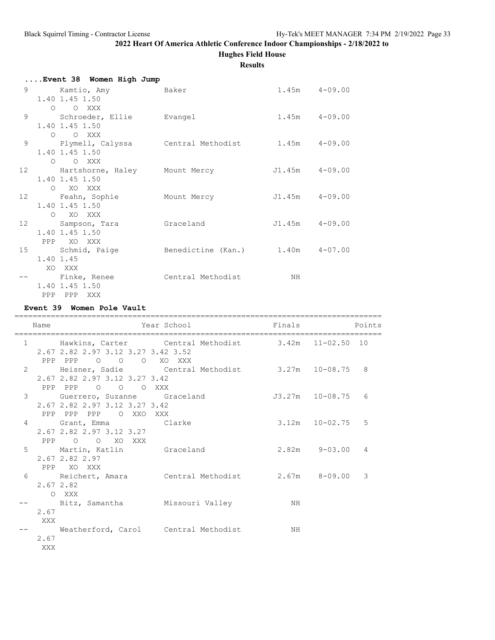### **2022 Heart Of America Athletic Conference Indoor Championships - 2/18/2022 to Hughes Field House**

**Results**

|   |           | Event 38 Women High Jump           |                                                    |                    |  |
|---|-----------|------------------------------------|----------------------------------------------------|--------------------|--|
| 9 |           | Kamtio, Amy Baker                  |                                                    | $1.45m$ $4-09.00$  |  |
|   |           | 1.40 1.45 1.50                     |                                                    |                    |  |
|   |           | O O XXX                            |                                                    |                    |  |
| 9 |           | Schroeder, Ellie Evangel           |                                                    | $1.45m$ $4-09.00$  |  |
|   |           | 1.40 1.45 1.50<br>O O XXX          |                                                    |                    |  |
|   |           |                                    | 9 Plymell, Calyssa Central Methodist 1.45m 4-09.00 |                    |  |
|   |           | 1.40 1.45 1.50                     |                                                    |                    |  |
|   |           | O O XXX                            |                                                    |                    |  |
|   |           | 12 Hartshorne, Haley Mount Mercy   |                                                    | J1.45m 4-09.00     |  |
|   |           | 1.40 1.45 1.50                     |                                                    |                    |  |
|   |           | O XO XXX                           |                                                    |                    |  |
|   |           | 12 Feahn, Sophie Mount Mercy       |                                                    | $J1.45m$ $4-09.00$ |  |
|   |           | 1.40 1.45 1.50                     |                                                    |                    |  |
|   |           | O XO XXX                           |                                                    |                    |  |
|   |           | 12 Sampson, Tara<br>1.40 1.45 1.50 | Graceland                                          | $J1.45m$ $4-09.00$ |  |
|   |           | PPP XO XXX                         |                                                    |                    |  |
|   |           |                                    | 15 Schmid, Paige Benedictine (Kan.) 1.40m 4-07.00  |                    |  |
|   | 1.40 1.45 |                                    |                                                    |                    |  |
|   | XO XXX    |                                    |                                                    |                    |  |
|   |           | Finke, Renee                       | Central Methodist                                  | NH                 |  |
|   |           | 1.40 1.45 1.50                     |                                                    |                    |  |
|   |           | PPP PPP XXX                        |                                                    |                    |  |

**Event 39 Women Pole Vault**

### ================================================================================= Name The Year School Team Points Points ================================================================================= 1 Hawkins, Carter Central Methodist 3.42m 11-02.50 10 2.67 2.82 2.97 3.12 3.27 3.42 3.52 PPP PPP O O O XO XXX 2 Heisner, Sadie Central Methodist 3.27m 10-08.75 8 2.67 2.82 2.97 3.12 3.27 3.42 PPP PPP O O O XXX 3 Guerrero, Suzanne Graceland J3.27m 10-08.75 6 2.67 2.82 2.97 3.12 3.27 3.42 PPP PPP PPP O XXO XXX 4 Grant, Emma Clarke 3.12m 10-02.75 5 2.67 2.82 2.97 3.12 3.27 PPP O O XO XXX 5 Martin, Katlin Graceland 2.82m 9-03.00 4 2.67 2.82 2.97 PPP XO XXX 6 Reichert, Amara Central Methodist 2.67m 8-09.00 3 2.67 2.82 O XXX Bitz, Samantha Missouri Valley NH 2.67 XXX -- Weatherford, Carol Central Methodist MH 2.67 XXX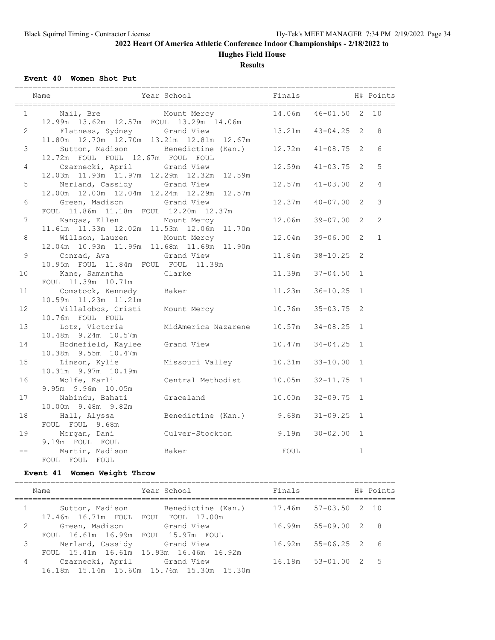# **Hughes Field House**

**Results**

**Event 40 Women Shot Put**

|                |                                                |                                                  | Finals                  |                     |                | H# Points    |
|----------------|------------------------------------------------|--------------------------------------------------|-------------------------|---------------------|----------------|--------------|
| $\mathbf{1}$   | Nail, Bre Mount Mercy                          |                                                  | 14.06m  46-01.50  2  10 |                     |                |              |
|                | 12.99m  13.62m  12.57m  FOUL  13.29m  14.06m   |                                                  |                         |                     |                |              |
| $\overline{2}$ | Flatness, Sydney Grand View                    |                                                  | 13.21m  43-04.25  2     |                     |                | 8            |
|                | 11.80m  12.70m  12.70m  13.21m  12.81m  12.67m |                                                  |                         |                     |                |              |
| 3              |                                                | Sutton, Madison Benedictine (Kan.) 12.72m        |                         | $41 - 08.75$ 2      |                | 6            |
|                | 12.72m FOUL FOUL 12.67m FOUL FOUL              |                                                  |                         |                     |                |              |
| 4              | Czarnecki, April Grand View                    |                                                  | 12.59m                  | $41 - 03.75$        | 2              | 5            |
|                | 12.03m  11.93m  11.97m  12.29m  12.32m  12.59m |                                                  |                         |                     |                |              |
| 5              | Nerland, Cassidy Grand View                    |                                                  | $12.57m$ $41-03.00$     |                     | $\overline{2}$ | 4            |
|                | 12.00m  12.00m  12.04m  12.24m  12.29m  12.57m |                                                  |                         |                     |                |              |
| 6              | Green, Madison                                 | Grand View                                       | 12.37m  40-07.00  2     |                     |                | 3            |
|                | FOUL 11.86m 11.18m FOUL 12.20m 12.37m          |                                                  |                         |                     |                |              |
| $\overline{7}$ | Kangas, Ellen Mount Mercy                      |                                                  | 12.06m                  | $39 - 07.00$ 2      |                | 2            |
|                | 11.61m  11.33m  12.02m  11.53m  12.06m  11.70m |                                                  |                         |                     |                |              |
| 8              | Willson, Lauren Mount Mercy                    |                                                  |                         | $12.04m$ $39-06.00$ | $\overline{2}$ | $\mathbf{1}$ |
|                | 12.04m  10.93m  11.99m  11.68m  11.69m  11.90m |                                                  |                         |                     |                |              |
| 9              | Conrad, Ava Grand View                         |                                                  | $11.84m$ $38-10.25$     |                     | 2              |              |
|                | 10.95m FOUL 11.84m FOUL FOUL 11.39m            |                                                  |                         |                     |                |              |
| 10             | Kane, Samantha                                 | Clarke                                           | $11.39m$ $37-04.50$     |                     | $\mathbf{1}$   |              |
|                | FOUL 11.39m 10.71m                             |                                                  |                         |                     |                |              |
| 11             | Comstock, Kennedy Baker                        |                                                  | 11.23m  36-10.25  1     |                     |                |              |
|                | 10.59m  11.23m  11.21m                         |                                                  |                         |                     |                |              |
| 12             |                                                | Villalobos, Cristi Mount Mercy 10.76m 35-03.75 2 |                         |                     |                |              |
|                | 10.76m FOUL FOUL                               |                                                  |                         |                     |                |              |
| 13             | Lotz, Victoria                                 | MidAmerica Nazarene 10.57m 34-08.25 1            |                         |                     |                |              |
|                | 10.48m 9.24m 10.57m                            |                                                  |                         |                     |                |              |
| 14             |                                                | Hodnefield, Kaylee Grand View                    | $10.47m$ $34-04.25$     |                     | $\mathbf{1}$   |              |
| 15             | 10.38m 9.55m 10.47m<br>Linson, Kylie           | Missouri Valley                                  | 10.31m                  | $33 - 10.00$        | $\mathbf{1}$   |              |
|                | 10.31m 9.97m 10.19m                            |                                                  |                         |                     |                |              |
| 16             | Wolfe, Karli                                   | Central Methodist 10.05m 32-11.75 1              |                         |                     |                |              |
|                | 9.95m 9.96m 10.05m                             |                                                  |                         |                     |                |              |
| 17             |                                                | Nabindu, Bahati Graceland                        | 10.00m                  | $32 - 09.75$ 1      |                |              |
|                | 10.00m 9.48m 9.82m                             |                                                  |                         |                     |                |              |
| 18             |                                                | Hall, Alyssa Benedictine (Kan.) 9.68m 31-09.25   |                         |                     | $\mathbf{1}$   |              |
|                | FOUL FOUL 9.68m                                |                                                  |                         |                     |                |              |
| 19             | Morgan, Dani                                   | Culver-Stockton                                  | 9.19m                   | $30 - 02.00$        | $\mathbf{1}$   |              |
|                | 9.19m FOUL FOUL                                |                                                  |                         |                     |                |              |
|                | Martin, Madison<br>Baker                       |                                                  | FOUL                    |                     | $\mathbf{1}$   |              |
|                | FOUL FOUL FOUL                                 |                                                  |                         |                     |                |              |

#### **Event 41 Women Weight Throw**

|   | Name                                | Year School                                             | Finals                    |  | H# Points |
|---|-------------------------------------|---------------------------------------------------------|---------------------------|--|-----------|
|   | 17.46m 16.71m FOUL FOUL FOUL 17.00m | Sutton, Madison Benedictine (Kan.) 17.46m 57-03.50 2 10 |                           |  |           |
| 2 | FOUL 16.61m 16.99m FOUL 15.97m FOUL |                                                         | 16.99m 55-09.00 2 8       |  |           |
|   | Nerland, Cassidy Grand View         |                                                         | 16.92m 55-06.25 2 6       |  |           |
| 4 | Czarnecki, April       Grand View   | FOUL 15.41m 16.61m 15.93m 16.46m 16.92m                 | $16.18m$ $53-01.00$ $2$ 5 |  |           |
|   |                                     | 16.18m 15.14m 15.60m 15.76m 15.30m 15.30m               |                           |  |           |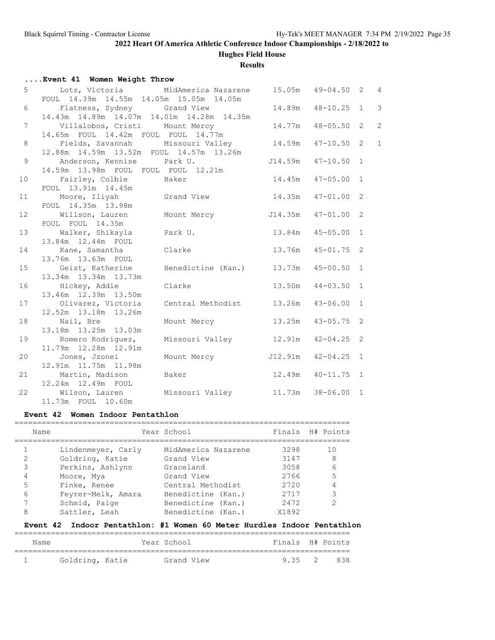**Hughes Field House**

**Results**

|                 | Event 41 Women Weight Throw                                                                             |                                   |                     |                |
|-----------------|---------------------------------------------------------------------------------------------------------|-----------------------------------|---------------------|----------------|
|                 | 5 Lotz, Victoria MidAmerica Nazarene 15.05m 49-04.50 2 4<br>FOUL 14.39m 14.55m 14.05m 15.05m 14.05m     |                                   |                     |                |
|                 | 6 Flatness, Sydney Grand View<br>14.43m  14.89m  14.07m  14.01m  14.28m  14.35m                         |                                   | 14.89m  48-10.25  1 | $\mathbf{3}$   |
| 7 <sup>1</sup>  | Villalobos, Cristi Mount Mercy<br>Villalobos, Cristi Mount Mercy<br>14.65m FOUL 14.42m FOUL FOUL 14.77m |                                   | 14.77m  48-05.50  2 | $\overline{c}$ |
| 8               | Fields, Savannah Missouri Valley 14.59m 47-10.50 2<br>12.88m  14.59m  13.52m  FOUL  14.57m  13.26m      |                                   |                     | $\mathbf{1}$   |
| 9               | Anderson, Kennise Park U. J14.59m 47-10.50 1<br>14.59m 13.98m FOUL FOUL FOUL 12.21m                     |                                   |                     |                |
|                 | 10 Fairley, Colbie Baker<br>FOUL 13.91m 14.45m                                                          |                                   | 14.45m  47-05.00  1 |                |
| 11              | Moore, Iliyah Grand View 14.35m 47-01.00 2<br>FOUL 14.35m 13.98m                                        |                                   |                     |                |
| 12 <sup>°</sup> | Willson, Lauren Mount Mercy 514.35m 47-01.00 2<br>FOUL FOUL 14.35m                                      |                                   |                     |                |
| 13              | Walker, Shikayla     Park U.               13.84m   45-05.00  1<br>13.84m  12.44m  FOUL                 |                                   |                     |                |
| 14              | Kane, Samantha Clarke 13.76m 45-01.75 2<br>13.76m  13.63m  FOUL                                         |                                   |                     |                |
| 15              | Geist, Katherine Benedictine (Kan.) 13.73m 45-00.50 1<br>13.34m 13.34m 13.73m                           |                                   |                     |                |
| 16              | Hickey, Addie Clarke<br>13.46m  12.39m  13.50m                                                          |                                   | 13.50m  44-03.50  1 |                |
| 17              | Olivarez, Victoria Central Methodist 13.26m 43-06.00 1<br>12.52m 13.18m 13.26m                          |                                   |                     |                |
| 18              | Nail, Bre<br>13.18m  13.25m  13.03m                                                                     | Mount Mercy 13.25m 43-05.75 2     |                     |                |
| 19              | Romero Rodriguez,<br>11.79m  12.28m  12.91m                                                             | Missouri Valley 12.91m 42-04.25 2 |                     |                |
|                 | 20 Jones, Jzonei<br>12.91m 11.75m 11.98m                                                                | Mount Mercy 512.91m 42-04.25 1    |                     |                |
|                 | 21 Martin, Madison Baker 12.49m 40-11.75 1<br>12.24m  12.49m  FOUL                                      |                                   |                     |                |
| 22              | Wilson, Lauren Missouri Valley 11.73m 38-06.00 1<br>11.73m  FOUL  10.60m                                |                                   |                     |                |
|                 |                                                                                                         |                                   |                     |                |

#### **Event 42 Women Indoor Pentathlon**

| Name          |                    | Year School         |       | Finals H# Points |
|---------------|--------------------|---------------------|-------|------------------|
|               | Lindenmeyer, Carly | MidAmerica Nazarene | 3298  | 10               |
| $\mathcal{L}$ | Goldring, Katie    | Grand View          | 3147  | 8                |
| 3             | Perkins, Ashlynn   | Graceland           | 3058  | 6                |
| 4             | Moore, Mya         | Grand View          | 2766  | 5                |
| 5             | Finke, Renee       | Central Methodist   | 2720  |                  |
| 6             | Feyrer-Melk, Amara | Benedictine (Kan.)  | 2717  |                  |
|               | Schmid, Paige      | Benedictine (Kan.)  | 2472  |                  |
| 8             | Sattler, Leah      | Benedictine (Kan.)  | X1892 |                  |

### **Event 42 Indoor Pentathlon: #1 Women 60 Meter Hurdles Indoor Pentathlon**

| Name |                 |  |  | Year School | Finals H# Points |  |      |  |  |  |  |
|------|-----------------|--|--|-------------|------------------|--|------|--|--|--|--|
|      | Goldring, Katie |  |  | Grand View  | $9.35 \quad 2$   |  | -838 |  |  |  |  |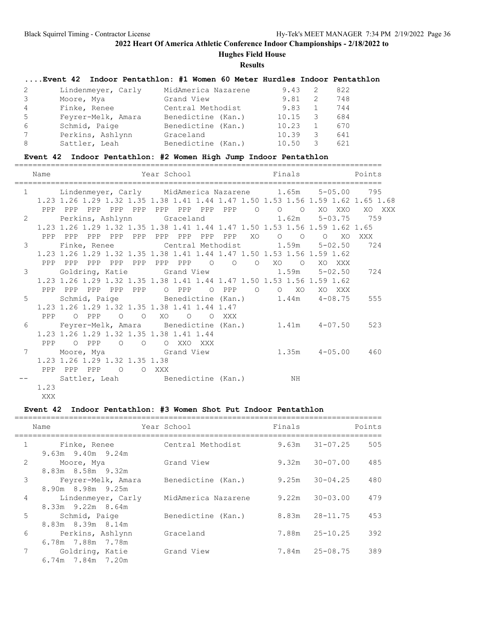# **Hughes Field House**

**Results**

### **....Event 42 Indoor Pentathlon: #1 Women 60 Meter Hurdles Indoor Pentathlon**

| 2 | Lindenmeyer, Carly | MidAmerica Nazarene | 9.43  |     | 822 |
|---|--------------------|---------------------|-------|-----|-----|
|   | Moore, Mya         | Grand View          | 9.81  | - 2 | 748 |
| 4 | Finke, Renee       | Central Methodist   | 9.83  |     | 744 |
| 5 | Feyrer-Melk, Amara | Benedictine (Kan.)  | 10.15 | 3   | 684 |
| 6 | Schmid, Paige      | Benedictine (Kan.)  | 10.23 |     | 670 |
|   | Perkins, Ashlynn   | Graceland           | 10.39 | 3   | 641 |
| 8 | Sattler, Leah      | Benedictine (Kan.)  | 10.50 | 3   | 621 |

### **Event 42 Indoor Pentathlon: #2 Women High Jump Indoor Pentathlon**

|               | Name              |           |  |                                              | Year School                                  |         |                                     |         | Finals                                 |  | <b>Example 19</b> Points                                                           |        |  |
|---------------|-------------------|-----------|--|----------------------------------------------|----------------------------------------------|---------|-------------------------------------|---------|----------------------------------------|--|------------------------------------------------------------------------------------|--------|--|
|               | $1 \qquad \qquad$ |           |  |                                              |                                              |         |                                     |         |                                        |  | Lindenmeyer, Carly MidAmerica Nazarene 1.65m 5-05.00 795                           |        |  |
|               |                   |           |  |                                              |                                              |         |                                     |         |                                        |  | 1.23 1.26 1.29 1.32 1.35 1.38 1.41 1.44 1.47 1.50 1.53 1.56 1.59 1.62 1.65 1.68    |        |  |
|               |                   |           |  |                                              |                                              |         |                                     |         |                                        |  | PPP PPP PPP PPP PPP PPP PPP PPP PPP 0 0 0 XO XXO XO XXX                            |        |  |
| $\mathcal{L}$ |                   |           |  |                                              |                                              |         |                                     |         |                                        |  |                                                                                    |        |  |
|               |                   |           |  |                                              |                                              |         |                                     |         |                                        |  | 1.23 1.26 1.29 1.32 1.35 1.38 1.41 1.44 1.47 1.50 1.53 1.56 1.59 1.62 1.65         |        |  |
|               |                   |           |  |                                              |                                              |         | PPP PPP PPP PPP PPP PPP PPP PPP PPP | XO      | $\circ$ $\circ$                        |  | $\circ$ 0                                                                          | XO XXX |  |
| 3             |                   |           |  |                                              |                                              |         |                                     |         |                                        |  | Finke, Renee                  Central Methodist           1.59m     5-02.50    724 |        |  |
|               |                   |           |  |                                              |                                              |         |                                     |         |                                        |  | 1.23 1.26 1.29 1.32 1.35 1.38 1.41 1.44 1.47 1.50 1.53 1.56 1.59 1.62              |        |  |
|               |                   |           |  |                                              |                                              |         |                                     |         | PPP PPP PPP PPP PPP PPP PPP O O O XO O |  | XO XXX                                                                             |        |  |
| 3             |                   |           |  |                                              |                                              |         |                                     |         | Goldring, Katie Grand View 1.59m       |  | 5-02.50                                                                            | 724    |  |
|               |                   |           |  |                                              |                                              |         |                                     |         |                                        |  | 1.23 1.26 1.29 1.32 1.35 1.38 1.41 1.44 1.47 1.50 1.53 1.56 1.59 1.62              |        |  |
|               |                   |           |  |                                              |                                              |         | PPP PPP PPP PPP PPP O PPP O PPP     | $\circ$ | $O$ XO                                 |  | XO XXX                                                                             |        |  |
| 5             |                   |           |  |                                              |                                              |         |                                     |         |                                        |  | Schmid, Paige Benedictine (Kan.) 1.44m 4-08.75                                     | 555    |  |
|               |                   |           |  |                                              | 1.23 1.26 1.29 1.32 1.35 1.38 1.41 1.44 1.47 |         |                                     |         |                                        |  |                                                                                    |        |  |
|               |                   | PPP O PPP |  | $\begin{matrix} 0 & 0 \\ 0 & 0 \end{matrix}$ | XO                                           | $\circ$ | O XXX                               |         |                                        |  |                                                                                    |        |  |
| 6             |                   |           |  |                                              |                                              |         |                                     |         |                                        |  | Feyrer-Melk, Amara    Benedictine (Kan.)      1.41m    4-07.50    523              |        |  |
|               |                   |           |  |                                              | 1.23 1.26 1.29 1.32 1.35 1.38 1.41 1.44      |         |                                     |         |                                        |  |                                                                                    |        |  |
|               |                   |           |  |                                              | PPP OPPP OOO XXOXXX                          |         |                                     |         |                                        |  |                                                                                    |        |  |
| 7             |                   |           |  |                                              |                                              |         |                                     |         |                                        |  |                                                                                    |        |  |
|               |                   |           |  | 1.23 1.26 1.29 1.32 1.35 1.38                |                                              |         |                                     |         |                                        |  |                                                                                    |        |  |
|               | PPP PPP PPP       |           |  | O O XXX                                      |                                              |         |                                     |         |                                        |  |                                                                                    |        |  |
|               | 1.23              |           |  |                                              |                                              |         |                                     |         | Sattler, Leah Benedictine (Kan.) NH    |  |                                                                                    |        |  |
|               | XXX               |           |  |                                              |                                              |         |                                     |         |                                        |  |                                                                                    |        |  |
|               |                   |           |  |                                              |                                              |         |                                     |         |                                        |  |                                                                                    |        |  |

### **Event 42 Indoor Pentathlon: #3 Women Shot Put Indoor Pentathlon**

|                | Name                                    | Year School         | Finals |                    | Points |
|----------------|-----------------------------------------|---------------------|--------|--------------------|--------|
| $\mathbf{1}$   | Finke, Renee                            | Central Methodist   |        | $9.63m$ $31-07.25$ | 505    |
| 2              | $9.63m$ $9.40m$ $9.24m$<br>Moore, Mya   | Grand View          | 9.32m  | 30-07.00           | 485    |
| 3              | 8.83m 8.58m 9.32m<br>Feyrer-Melk, Amara | Benedictine (Kan.)  | 9.25m  | $30 - 04.25$       | 480    |
| $\overline{4}$ | 8.90m 8.98m 9.25m<br>Lindenmeyer, Carly | MidAmerica Nazarene | 9.22m  | $30 - 03.00$       | 479    |
|                | 8.33m 9.22m 8.64m                       |                     |        |                    |        |
| 5              | Schmid, Paige<br>8.83m 8.39m 8.14m      | Benedictine (Kan.)  | 8.83m  | 28-11.75           | 453    |
| 6              | Perkins, Ashlynn<br>6.78m 7.88m 7.78m   | Graceland           | 7.88m  | 25-10.25           | 392    |
| 7              | Goldring, Katie<br>6.74m 7.84m 7.20m    | Grand View          | 7.84m  | $25 - 08.75$       | 389    |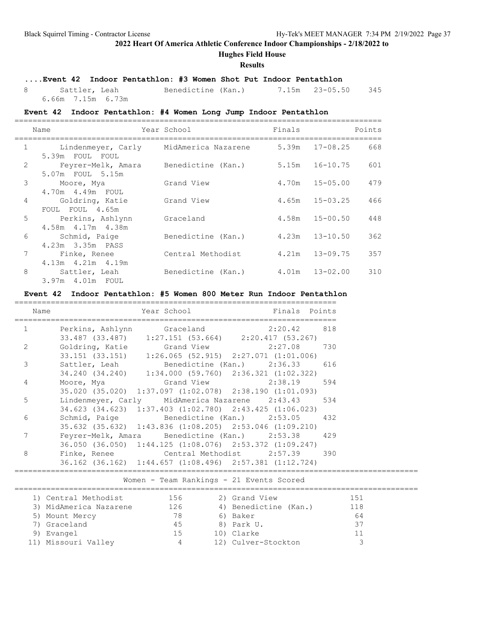**Hughes Field House**

#### **Results**

### **....Event 42 Indoor Pentathlon: #3 Women Shot Put Indoor Pentathlon**

 8 Sattler, Leah Benedictine (Kan.) 7.15m 23-05.50 345 6.66m 7.15m 6.73m

#### **Event 42 Indoor Pentathlon: #4 Women Long Jump Indoor Pentathlon**

|              | Name                                    | Year School                            | Finals |                | Points |
|--------------|-----------------------------------------|----------------------------------------|--------|----------------|--------|
| $\mathbf{1}$ | 5.39m FOUL FOUL                         | Lindenmeyer, Carly MidAmerica Nazarene |        | 5.39m 17-08.25 | 668    |
| 2            | 5.07m FOUL 5.15m                        | Feyrer-Melk, Amara Benedictine (Kan.)  | 5.15m  | 16-10.75       | 601    |
| 3            | Moore, Mya<br>4.70m  4.49m  FOUL        | Grand View                             | 4.70m  | 15-05.00       | 479    |
| 4            | Goldring, Katie<br>FOUL FOUL 4.65m      | Grand View                             | 4.65m  | 15-03.25       | 466    |
| 5            | Perkins, Ashlynn<br>4.58m 4.17m 4.38m   | Graceland                              | 4.58m  | 15-00.50       | 448    |
| 6            | Schmid, Paige<br>4.23m 3.35m PASS       | Benedictine (Kan.)                     | 4.23m  | 13-10.50       | 362    |
| 7            | Finke, Renee<br>$4.13m$ $4.21m$ $4.19m$ | Central Methodist                      | 4.21m  | $13 - 09.75$   | 357    |
| 8            | Sattler, Leah<br>3.97m 4.01m FOUL       | Benedictine (Kan.)                     | 4.01m  | 13-02.00       | 310    |

#### **Event 42 Indoor Pentathlon: #5 Women 800 Meter Run Indoor Pentathlon**

| Name | Year School <b>Example 19 Service School</b> Finals Points                    |  |
|------|-------------------------------------------------------------------------------|--|
| 1    | Perkins, Ashlynn Graceland 2:20.42 818                                        |  |
|      | 33.487 (33.487) 1:27.151 (53.664) 2:20.417 (53.267)                           |  |
| 2    | Goldring, Katie 6 Grand View 2:27.08 730                                      |  |
|      | 33.151 (33.151) 1:26.065 (52.915) 2:27.071 (1:01.006)                         |  |
| 3    | Sattler, Leah Benedictine (Kan.) 2:36.33 616                                  |  |
|      | 34.240 (34.240) 1:34.000 (59.760) 2:36.321 (1:02.322)                         |  |
| 4    | Moore, Mya                       Grand View                 2:38.19       594 |  |
|      | $35.020$ (35.020) $1:37.097$ (1:02.078) $2:38.190$ (1:01.093)                 |  |
| 5    | Lindenmeyer, Carly MidAmerica Nazarene 2:43.43 534                            |  |
|      | 34.623 (34.623) 1:37.403 (1:02.780) 2:43.425 (1:06.023)                       |  |
| 6    | Schmid, Paige Benedictine (Kan.) 2:53.05 432                                  |  |
|      | 35.632 (35.632) 1:43.836 (1:08.205) 2:53.046 (1:09.210)                       |  |
| 7    | Feyrer-Melk, Amara Benedictine (Kan.) 2:53.38 429                             |  |
|      | 36.050 (36.050) 1:44.125 (1:08.076) 2:53.372 (1:09.247)                       |  |
| 8    | Finke, Renee Central Methodist 2:57.39 390                                    |  |
|      | $36.162$ (36.162) 1:44.657 (1:08.496) 2:57.381 (1:12.724)                     |  |

| Women - Team Rankings - 21 Events Scored |                        |     |  |                       |     |  |  |
|------------------------------------------|------------------------|-----|--|-----------------------|-----|--|--|
|                                          | 1) Central Methodist   | 156 |  | 2) Grand View         | 151 |  |  |
|                                          | 3) MidAmerica Nazarene | 126 |  | 4) Benedictine (Kan.) | 118 |  |  |
|                                          | 5) Mount Mercy         | 78  |  | 6) Baker              | 64  |  |  |
|                                          | 7) Graceland           | 45  |  | 8) Park U.            | 37  |  |  |
|                                          | 9) Evangel             | 15  |  | 10) Clarke            | 11  |  |  |
|                                          | 11) Missouri Valley    | 4   |  | 12) Culver-Stockton   |     |  |  |